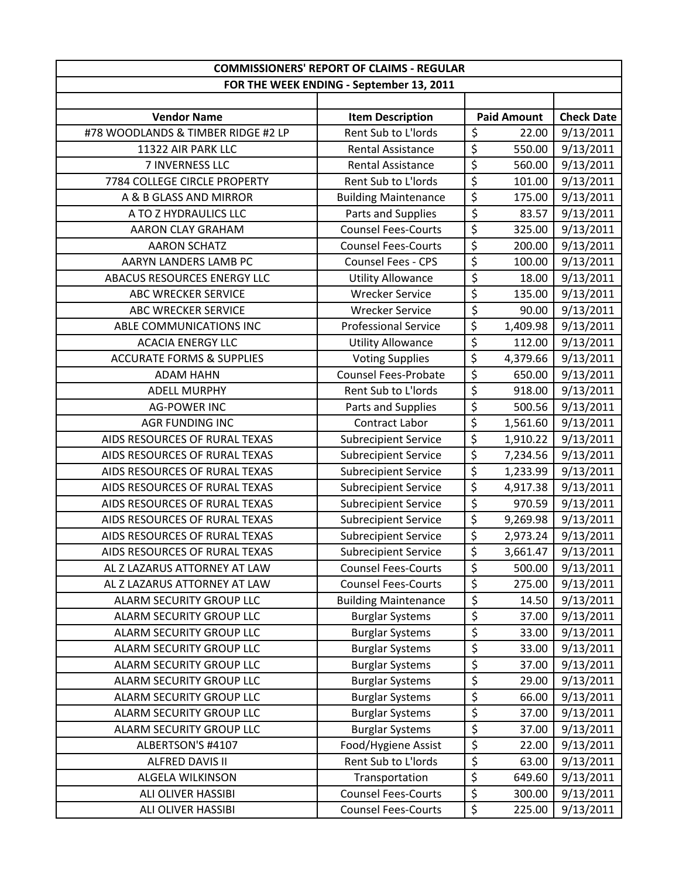|                                      | <b>COMMISSIONERS' REPORT OF CLAIMS - REGULAR</b> |                          |                    |                   |  |
|--------------------------------------|--------------------------------------------------|--------------------------|--------------------|-------------------|--|
|                                      | FOR THE WEEK ENDING - September 13, 2011         |                          |                    |                   |  |
|                                      |                                                  |                          |                    |                   |  |
| <b>Vendor Name</b>                   | <b>Item Description</b>                          |                          | <b>Paid Amount</b> | <b>Check Date</b> |  |
| #78 WOODLANDS & TIMBER RIDGE #2 LP   | Rent Sub to L'Iords                              | \$                       | 22.00              | 9/13/2011         |  |
| 11322 AIR PARK LLC                   | <b>Rental Assistance</b>                         | \$                       | 550.00             | 9/13/2011         |  |
| 7 INVERNESS LLC                      | <b>Rental Assistance</b>                         | \$                       | 560.00             | 9/13/2011         |  |
| 7784 COLLEGE CIRCLE PROPERTY         | Rent Sub to L'Iords                              | \$                       | 101.00             | 9/13/2011         |  |
| A & B GLASS AND MIRROR               | <b>Building Maintenance</b>                      | $\overline{\xi}$         | 175.00             | 9/13/2011         |  |
| A TO Z HYDRAULICS LLC                | Parts and Supplies                               | \$                       | 83.57              | 9/13/2011         |  |
| AARON CLAY GRAHAM                    | <b>Counsel Fees-Courts</b>                       | \$                       | 325.00             | 9/13/2011         |  |
| <b>AARON SCHATZ</b>                  | <b>Counsel Fees-Courts</b>                       | $\overline{\xi}$         | 200.00             | 9/13/2011         |  |
| AARYN LANDERS LAMB PC                | Counsel Fees - CPS                               | \$                       | 100.00             | 9/13/2011         |  |
| ABACUS RESOURCES ENERGY LLC          | <b>Utility Allowance</b>                         | \$                       | 18.00              | 9/13/2011         |  |
| ABC WRECKER SERVICE                  | <b>Wrecker Service</b>                           | $\overline{\xi}$         | 135.00             | 9/13/2011         |  |
| <b>ABC WRECKER SERVICE</b>           | <b>Wrecker Service</b>                           | \$                       | 90.00              | 9/13/2011         |  |
| ABLE COMMUNICATIONS INC              | <b>Professional Service</b>                      | \$                       | 1,409.98           | 9/13/2011         |  |
| <b>ACACIA ENERGY LLC</b>             | <b>Utility Allowance</b>                         | \$                       | 112.00             | 9/13/2011         |  |
| <b>ACCURATE FORMS &amp; SUPPLIES</b> | <b>Voting Supplies</b>                           | $\overline{\xi}$         | 4,379.66           | 9/13/2011         |  |
| <b>ADAM HAHN</b>                     | <b>Counsel Fees-Probate</b>                      | \$                       | 650.00             | 9/13/2011         |  |
| <b>ADELL MURPHY</b>                  | Rent Sub to L'Iords                              | $\overline{\xi}$         | 918.00             | 9/13/2011         |  |
| <b>AG-POWER INC</b>                  | Parts and Supplies                               | $\overline{\xi}$         | 500.56             | 9/13/2011         |  |
| <b>AGR FUNDING INC</b>               | Contract Labor                                   | $\overline{\mathcal{S}}$ | 1,561.60           | 9/13/2011         |  |
| AIDS RESOURCES OF RURAL TEXAS        | <b>Subrecipient Service</b>                      | $\overline{\xi}$         | 1,910.22           | 9/13/2011         |  |
| AIDS RESOURCES OF RURAL TEXAS        | <b>Subrecipient Service</b>                      | $\overline{\xi}$         | 7,234.56           | 9/13/2011         |  |
| AIDS RESOURCES OF RURAL TEXAS        | <b>Subrecipient Service</b>                      | \$                       | 1,233.99           | 9/13/2011         |  |
| AIDS RESOURCES OF RURAL TEXAS        | <b>Subrecipient Service</b>                      | \$                       | 4,917.38           | 9/13/2011         |  |
| AIDS RESOURCES OF RURAL TEXAS        | <b>Subrecipient Service</b>                      | $\overline{\xi}$         | 970.59             | 9/13/2011         |  |
| AIDS RESOURCES OF RURAL TEXAS        | <b>Subrecipient Service</b>                      | $\overline{\xi}$         | 9,269.98           | 9/13/2011         |  |
| AIDS RESOURCES OF RURAL TEXAS        | <b>Subrecipient Service</b>                      | \$                       | 2,973.24           | 9/13/2011         |  |
| AIDS RESOURCES OF RURAL TEXAS        | <b>Subrecipient Service</b>                      | \$                       | 3,661.47           | 9/13/2011         |  |
| AL Z LAZARUS ATTORNEY AT LAW         | <b>Counsel Fees-Courts</b>                       | \$                       | 500.00             | 9/13/2011         |  |
| AL Z LAZARUS ATTORNEY AT LAW         | <b>Counsel Fees-Courts</b>                       | \$                       | 275.00             | 9/13/2011         |  |
| <b>ALARM SECURITY GROUP LLC</b>      | <b>Building Maintenance</b>                      | \$                       | 14.50              | 9/13/2011         |  |
| ALARM SECURITY GROUP LLC             | <b>Burglar Systems</b>                           | \$                       | 37.00              | 9/13/2011         |  |
| ALARM SECURITY GROUP LLC             | <b>Burglar Systems</b>                           | \$                       | 33.00              | 9/13/2011         |  |
| <b>ALARM SECURITY GROUP LLC</b>      | <b>Burglar Systems</b>                           | $\overline{\varsigma}$   | 33.00              | 9/13/2011         |  |
| ALARM SECURITY GROUP LLC             | <b>Burglar Systems</b>                           | \$                       | 37.00              | 9/13/2011         |  |
| ALARM SECURITY GROUP LLC             | <b>Burglar Systems</b>                           | \$                       | 29.00              | 9/13/2011         |  |
| ALARM SECURITY GROUP LLC             | <b>Burglar Systems</b>                           | \$                       | 66.00              | 9/13/2011         |  |
| ALARM SECURITY GROUP LLC             | <b>Burglar Systems</b>                           | \$                       | 37.00              | 9/13/2011         |  |
| ALARM SECURITY GROUP LLC             | <b>Burglar Systems</b>                           | \$                       | 37.00              | 9/13/2011         |  |
| ALBERTSON'S #4107                    | Food/Hygiene Assist                              | \$                       | 22.00              | 9/13/2011         |  |
| ALFRED DAVIS II                      | Rent Sub to L'Iords                              | \$                       | 63.00              | 9/13/2011         |  |
| ALGELA WILKINSON                     | Transportation                                   | \$                       | 649.60             | 9/13/2011         |  |
| ALI OLIVER HASSIBI                   | <b>Counsel Fees-Courts</b>                       | \$                       | 300.00             | 9/13/2011         |  |
| ALI OLIVER HASSIBI                   | <b>Counsel Fees-Courts</b>                       | \$                       | 225.00             | 9/13/2011         |  |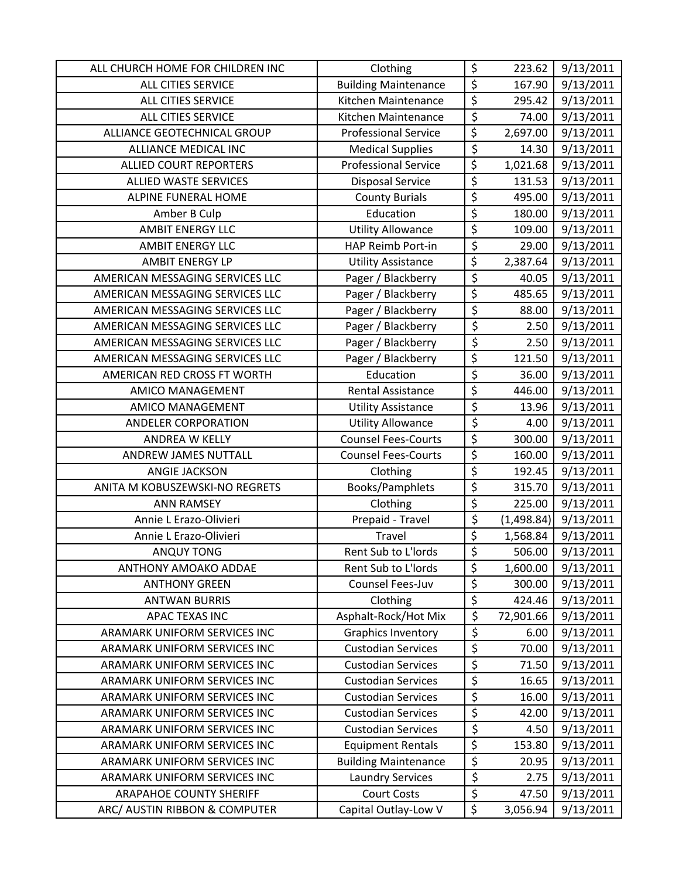| ALL CHURCH HOME FOR CHILDREN INC | Clothing                    | \$                     | 223.62     | 9/13/2011 |
|----------------------------------|-----------------------------|------------------------|------------|-----------|
| ALL CITIES SERVICE               | <b>Building Maintenance</b> | \$                     | 167.90     | 9/13/2011 |
| ALL CITIES SERVICE               | Kitchen Maintenance         | $\overline{\xi}$       | 295.42     | 9/13/2011 |
| ALL CITIES SERVICE               | Kitchen Maintenance         | \$                     | 74.00      | 9/13/2011 |
| ALLIANCE GEOTECHNICAL GROUP      | <b>Professional Service</b> | $\overline{\xi}$       | 2,697.00   | 9/13/2011 |
| <b>ALLIANCE MEDICAL INC</b>      | <b>Medical Supplies</b>     | \$                     | 14.30      | 9/13/2011 |
| <b>ALLIED COURT REPORTERS</b>    | <b>Professional Service</b> | $\overline{\xi}$       | 1,021.68   | 9/13/2011 |
| ALLIED WASTE SERVICES            | <b>Disposal Service</b>     | \$                     | 131.53     | 9/13/2011 |
| <b>ALPINE FUNERAL HOME</b>       | <b>County Burials</b>       | \$                     | 495.00     | 9/13/2011 |
| Amber B Culp                     | Education                   | \$                     | 180.00     | 9/13/2011 |
| <b>AMBIT ENERGY LLC</b>          | <b>Utility Allowance</b>    | \$                     | 109.00     | 9/13/2011 |
| <b>AMBIT ENERGY LLC</b>          | <b>HAP Reimb Port-in</b>    | \$                     | 29.00      | 9/13/2011 |
| <b>AMBIT ENERGY LP</b>           | <b>Utility Assistance</b>   | \$                     | 2,387.64   | 9/13/2011 |
| AMERICAN MESSAGING SERVICES LLC  | Pager / Blackberry          | \$                     | 40.05      | 9/13/2011 |
| AMERICAN MESSAGING SERVICES LLC  | Pager / Blackberry          | $\overline{\varsigma}$ | 485.65     | 9/13/2011 |
| AMERICAN MESSAGING SERVICES LLC  | Pager / Blackberry          | $\overline{\varsigma}$ | 88.00      | 9/13/2011 |
| AMERICAN MESSAGING SERVICES LLC  | Pager / Blackberry          | $\overline{\xi}$       | 2.50       | 9/13/2011 |
| AMERICAN MESSAGING SERVICES LLC  | Pager / Blackberry          | $\overline{\xi}$       | 2.50       | 9/13/2011 |
| AMERICAN MESSAGING SERVICES LLC  | Pager / Blackberry          | \$                     | 121.50     | 9/13/2011 |
| AMERICAN RED CROSS FT WORTH      | Education                   | \$                     | 36.00      | 9/13/2011 |
| <b>AMICO MANAGEMENT</b>          | <b>Rental Assistance</b>    | \$                     | 446.00     | 9/13/2011 |
| <b>AMICO MANAGEMENT</b>          | <b>Utility Assistance</b>   | \$                     | 13.96      | 9/13/2011 |
| ANDELER CORPORATION              | <b>Utility Allowance</b>    | \$                     | 4.00       | 9/13/2011 |
| ANDREA W KELLY                   | <b>Counsel Fees-Courts</b>  | \$                     | 300.00     | 9/13/2011 |
| ANDREW JAMES NUTTALL             | <b>Counsel Fees-Courts</b>  | \$                     | 160.00     | 9/13/2011 |
| ANGIE JACKSON                    | Clothing                    | \$                     | 192.45     | 9/13/2011 |
| ANITA M KOBUSZEWSKI-NO REGRETS   | Books/Pamphlets             | \$                     | 315.70     | 9/13/2011 |
| <b>ANN RAMSEY</b>                | Clothing                    | \$                     | 225.00     | 9/13/2011 |
| Annie L Erazo-Olivieri           | Prepaid - Travel            | \$                     | (1,498.84) | 9/13/2011 |
| Annie L Erazo-Olivieri           | Travel                      | \$                     | 1,568.84   | 9/13/2011 |
| <b>ANQUY TONG</b>                | Rent Sub to L'Iords         | \$                     | 506.00     | 9/13/2011 |
| ANTHONY AMOAKO ADDAE             | Rent Sub to L'Iords         | \$                     | 1,600.00   | 9/13/2011 |
| <b>ANTHONY GREEN</b>             | Counsel Fees-Juv            | \$                     | 300.00     | 9/13/2011 |
| <b>ANTWAN BURRIS</b>             | Clothing                    | \$                     | 424.46     | 9/13/2011 |
| <b>APAC TEXAS INC</b>            | Asphalt-Rock/Hot Mix        | \$                     | 72,901.66  | 9/13/2011 |
| ARAMARK UNIFORM SERVICES INC     | <b>Graphics Inventory</b>   | \$                     | 6.00       | 9/13/2011 |
| ARAMARK UNIFORM SERVICES INC     | <b>Custodian Services</b>   | \$                     | 70.00      | 9/13/2011 |
| ARAMARK UNIFORM SERVICES INC     | <b>Custodian Services</b>   | \$                     | 71.50      | 9/13/2011 |
| ARAMARK UNIFORM SERVICES INC     | <b>Custodian Services</b>   | \$                     | 16.65      | 9/13/2011 |
| ARAMARK UNIFORM SERVICES INC     | <b>Custodian Services</b>   | \$                     | 16.00      | 9/13/2011 |
| ARAMARK UNIFORM SERVICES INC     | <b>Custodian Services</b>   | \$                     | 42.00      | 9/13/2011 |
| ARAMARK UNIFORM SERVICES INC     | <b>Custodian Services</b>   | \$                     | 4.50       | 9/13/2011 |
| ARAMARK UNIFORM SERVICES INC     | <b>Equipment Rentals</b>    | \$                     | 153.80     | 9/13/2011 |
| ARAMARK UNIFORM SERVICES INC     | <b>Building Maintenance</b> | $\overline{\xi}$       | 20.95      | 9/13/2011 |
| ARAMARK UNIFORM SERVICES INC     | <b>Laundry Services</b>     | \$                     | 2.75       | 9/13/2011 |
| <b>ARAPAHOE COUNTY SHERIFF</b>   | <b>Court Costs</b>          | \$                     | 47.50      | 9/13/2011 |
| ARC/ AUSTIN RIBBON & COMPUTER    | Capital Outlay-Low V        | \$                     | 3,056.94   | 9/13/2011 |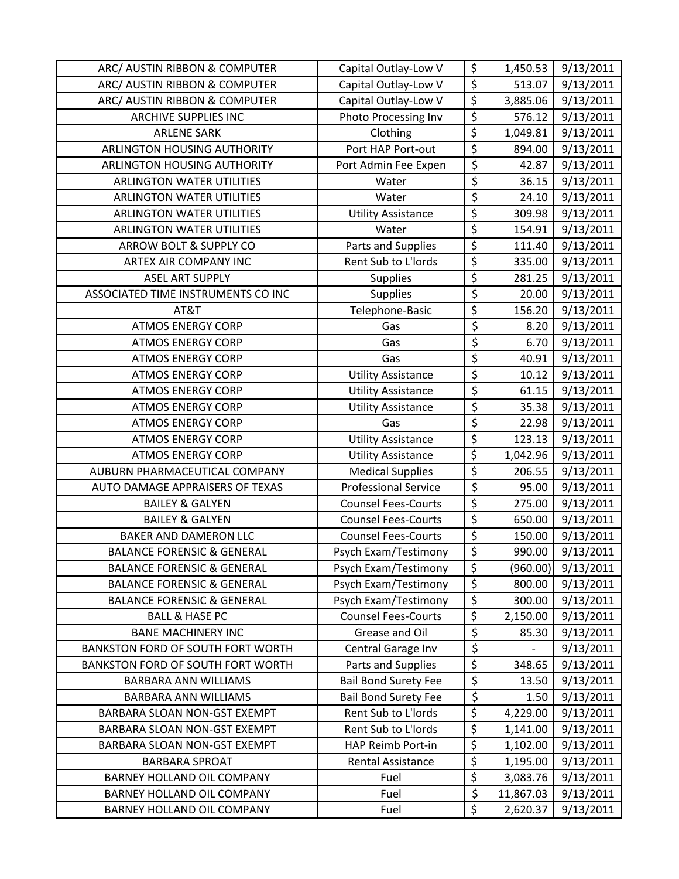| ARC/ AUSTIN RIBBON & COMPUTER            | Capital Outlay-Low V        | \$                     | 1,450.53  | 9/13/2011 |
|------------------------------------------|-----------------------------|------------------------|-----------|-----------|
| ARC/ AUSTIN RIBBON & COMPUTER            | Capital Outlay-Low V        | $\overline{\xi}$       | 513.07    | 9/13/2011 |
| ARC/ AUSTIN RIBBON & COMPUTER            | Capital Outlay-Low V        | $\overline{\xi}$       | 3,885.06  | 9/13/2011 |
| <b>ARCHIVE SUPPLIES INC</b>              | Photo Processing Inv        | \$                     | 576.12    | 9/13/2011 |
| <b>ARLENE SARK</b>                       | Clothing                    | $\overline{\xi}$       | 1,049.81  | 9/13/2011 |
| <b>ARLINGTON HOUSING AUTHORITY</b>       | Port HAP Port-out           | \$                     | 894.00    | 9/13/2011 |
| <b>ARLINGTON HOUSING AUTHORITY</b>       | Port Admin Fee Expen        | \$                     | 42.87     | 9/13/2011 |
| <b>ARLINGTON WATER UTILITIES</b>         | Water                       | $\overline{\varsigma}$ | 36.15     | 9/13/2011 |
| <b>ARLINGTON WATER UTILITIES</b>         | Water                       | $\overline{\xi}$       | 24.10     | 9/13/2011 |
| <b>ARLINGTON WATER UTILITIES</b>         | <b>Utility Assistance</b>   | \$                     | 309.98    | 9/13/2011 |
| <b>ARLINGTON WATER UTILITIES</b>         | Water                       | \$                     | 154.91    | 9/13/2011 |
| ARROW BOLT & SUPPLY CO                   | Parts and Supplies          | $\overline{\varsigma}$ | 111.40    | 9/13/2011 |
| ARTEX AIR COMPANY INC                    | Rent Sub to L'Iords         | \$                     | 335.00    | 9/13/2011 |
| <b>ASEL ART SUPPLY</b>                   | <b>Supplies</b>             | \$                     | 281.25    | 9/13/2011 |
| ASSOCIATED TIME INSTRUMENTS CO INC       | <b>Supplies</b>             | \$                     | 20.00     | 9/13/2011 |
| AT&T                                     | Telephone-Basic             | \$                     | 156.20    | 9/13/2011 |
| <b>ATMOS ENERGY CORP</b>                 | Gas                         | \$                     | 8.20      | 9/13/2011 |
| <b>ATMOS ENERGY CORP</b>                 | Gas                         | \$                     | 6.70      | 9/13/2011 |
| <b>ATMOS ENERGY CORP</b>                 | Gas                         | \$                     | 40.91     | 9/13/2011 |
| <b>ATMOS ENERGY CORP</b>                 | <b>Utility Assistance</b>   | \$                     | 10.12     | 9/13/2011 |
| <b>ATMOS ENERGY CORP</b>                 | <b>Utility Assistance</b>   | \$                     | 61.15     | 9/13/2011 |
| <b>ATMOS ENERGY CORP</b>                 | <b>Utility Assistance</b>   | \$                     | 35.38     | 9/13/2011 |
| <b>ATMOS ENERGY CORP</b>                 | Gas                         | $\overline{\varsigma}$ | 22.98     | 9/13/2011 |
| <b>ATMOS ENERGY CORP</b>                 | <b>Utility Assistance</b>   | $\overline{\xi}$       | 123.13    | 9/13/2011 |
| <b>ATMOS ENERGY CORP</b>                 | <b>Utility Assistance</b>   | $\overline{\xi}$       | 1,042.96  | 9/13/2011 |
| AUBURN PHARMACEUTICAL COMPANY            | <b>Medical Supplies</b>     | \$                     | 206.55    | 9/13/2011 |
| AUTO DAMAGE APPRAISERS OF TEXAS          | <b>Professional Service</b> | $\overline{\xi}$       | 95.00     | 9/13/2011 |
| <b>BAILEY &amp; GALYEN</b>               | <b>Counsel Fees-Courts</b>  | \$                     | 275.00    | 9/13/2011 |
| <b>BAILEY &amp; GALYEN</b>               | <b>Counsel Fees-Courts</b>  | $\overline{\xi}$       | 650.00    | 9/13/2011 |
| BAKER AND DAMERON LLC                    | <b>Counsel Fees-Courts</b>  | $\overline{\xi}$       | 150.00    | 9/13/2011 |
| <b>BALANCE FORENSIC &amp; GENERAL</b>    | Psych Exam/Testimony        | \$                     | 990.00    | 9/13/2011 |
| <b>BALANCE FORENSIC &amp; GENERAL</b>    | Psych Exam/Testimony        | \$                     | (960.00)  | 9/13/2011 |
| <b>BALANCE FORENSIC &amp; GENERAL</b>    | Psych Exam/Testimony        | $\overline{\varsigma}$ | 800.00    | 9/13/2011 |
| <b>BALANCE FORENSIC &amp; GENERAL</b>    | Psych Exam/Testimony        | $\overline{\xi}$       | 300.00    | 9/13/2011 |
| <b>BALL &amp; HASE PC</b>                | <b>Counsel Fees-Courts</b>  | $\overline{\xi}$       | 2,150.00  | 9/13/2011 |
| <b>BANE MACHINERY INC</b>                | Grease and Oil              | $\overline{\xi}$       | 85.30     | 9/13/2011 |
| <b>BANKSTON FORD OF SOUTH FORT WORTH</b> | Central Garage Inv          | $\overline{\xi}$       |           | 9/13/2011 |
| BANKSTON FORD OF SOUTH FORT WORTH        | Parts and Supplies          | \$                     | 348.65    | 9/13/2011 |
| BARBARA ANN WILLIAMS                     | <b>Bail Bond Surety Fee</b> | \$                     | 13.50     | 9/13/2011 |
| <b>BARBARA ANN WILLIAMS</b>              | <b>Bail Bond Surety Fee</b> | $\overline{\xi}$       | 1.50      | 9/13/2011 |
| BARBARA SLOAN NON-GST EXEMPT             | Rent Sub to L'Iords         | $\overline{\xi}$       | 4,229.00  | 9/13/2011 |
| BARBARA SLOAN NON-GST EXEMPT             | Rent Sub to L'Iords         | \$                     | 1,141.00  | 9/13/2011 |
| BARBARA SLOAN NON-GST EXEMPT             | HAP Reimb Port-in           | \$                     | 1,102.00  | 9/13/2011 |
| <b>BARBARA SPROAT</b>                    | Rental Assistance           | \$                     | 1,195.00  | 9/13/2011 |
| BARNEY HOLLAND OIL COMPANY               | Fuel                        | \$                     | 3,083.76  | 9/13/2011 |
| BARNEY HOLLAND OIL COMPANY               | Fuel                        | \$                     | 11,867.03 | 9/13/2011 |
| BARNEY HOLLAND OIL COMPANY               | Fuel                        | \$                     | 2,620.37  | 9/13/2011 |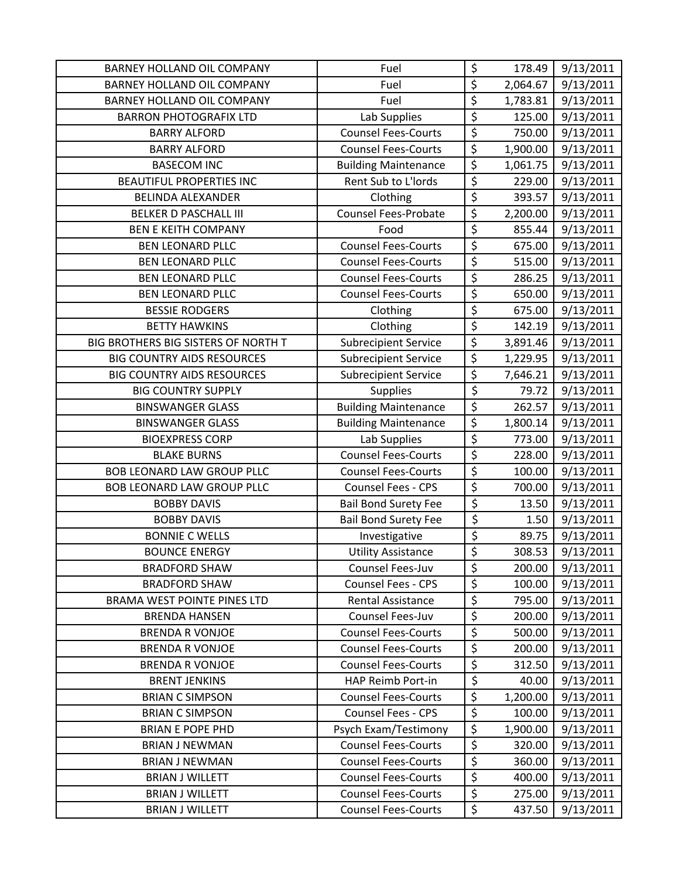| <b>BARNEY HOLLAND OIL COMPANY</b>   | Fuel                        | \$                     | 178.49   | 9/13/2011 |
|-------------------------------------|-----------------------------|------------------------|----------|-----------|
| BARNEY HOLLAND OIL COMPANY          | Fuel                        | $\overline{\xi}$       | 2,064.67 | 9/13/2011 |
| BARNEY HOLLAND OIL COMPANY          | Fuel                        | \$                     | 1,783.81 | 9/13/2011 |
| <b>BARRON PHOTOGRAFIX LTD</b>       | Lab Supplies                | \$                     | 125.00   | 9/13/2011 |
| <b>BARRY ALFORD</b>                 | <b>Counsel Fees-Courts</b>  | $\overline{\varsigma}$ | 750.00   | 9/13/2011 |
| <b>BARRY ALFORD</b>                 | <b>Counsel Fees-Courts</b>  | $\overline{\xi}$       | 1,900.00 | 9/13/2011 |
| <b>BASECOM INC</b>                  | <b>Building Maintenance</b> | \$                     | 1,061.75 | 9/13/2011 |
| <b>BEAUTIFUL PROPERTIES INC</b>     | Rent Sub to L'Iords         | \$                     | 229.00   | 9/13/2011 |
| <b>BELINDA ALEXANDER</b>            | Clothing                    | $\overline{\varsigma}$ | 393.57   | 9/13/2011 |
| <b>BELKER D PASCHALL III</b>        | <b>Counsel Fees-Probate</b> | \$                     | 2,200.00 | 9/13/2011 |
| <b>BEN E KEITH COMPANY</b>          | Food                        | \$                     | 855.44   | 9/13/2011 |
| <b>BEN LEONARD PLLC</b>             | <b>Counsel Fees-Courts</b>  | $\overline{\varsigma}$ | 675.00   | 9/13/2011 |
| <b>BEN LEONARD PLLC</b>             | <b>Counsel Fees-Courts</b>  | \$                     | 515.00   | 9/13/2011 |
| <b>BEN LEONARD PLLC</b>             | <b>Counsel Fees-Courts</b>  | \$                     | 286.25   | 9/13/2011 |
| <b>BEN LEONARD PLLC</b>             | <b>Counsel Fees-Courts</b>  | $\overline{\xi}$       | 650.00   | 9/13/2011 |
| <b>BESSIE RODGERS</b>               | Clothing                    | $\overline{\varsigma}$ | 675.00   | 9/13/2011 |
| <b>BETTY HAWKINS</b>                | Clothing                    | $\overline{\xi}$       | 142.19   | 9/13/2011 |
| BIG BROTHERS BIG SISTERS OF NORTH T | <b>Subrecipient Service</b> | $\overline{\xi}$       | 3,891.46 | 9/13/2011 |
| <b>BIG COUNTRY AIDS RESOURCES</b>   | <b>Subrecipient Service</b> | $\overline{\varsigma}$ | 1,229.95 | 9/13/2011 |
| <b>BIG COUNTRY AIDS RESOURCES</b>   | <b>Subrecipient Service</b> | \$                     | 7,646.21 | 9/13/2011 |
| <b>BIG COUNTRY SUPPLY</b>           | Supplies                    | $\overline{\varsigma}$ | 79.72    | 9/13/2011 |
| <b>BINSWANGER GLASS</b>             | <b>Building Maintenance</b> | $\overline{\xi}$       | 262.57   | 9/13/2011 |
| <b>BINSWANGER GLASS</b>             | <b>Building Maintenance</b> | $\overline{\varsigma}$ | 1,800.14 | 9/13/2011 |
| <b>BIOEXPRESS CORP</b>              | Lab Supplies                | $\overline{\xi}$       | 773.00   | 9/13/2011 |
| <b>BLAKE BURNS</b>                  | <b>Counsel Fees-Courts</b>  | $\overline{\xi}$       | 228.00   | 9/13/2011 |
| <b>BOB LEONARD LAW GROUP PLLC</b>   | <b>Counsel Fees-Courts</b>  | $\overline{\xi}$       | 100.00   | 9/13/2011 |
| <b>BOB LEONARD LAW GROUP PLLC</b>   | Counsel Fees - CPS          | $\overline{\xi}$       | 700.00   | 9/13/2011 |
| <b>BOBBY DAVIS</b>                  | <b>Bail Bond Surety Fee</b> | \$                     | 13.50    | 9/13/2011 |
| <b>BOBBY DAVIS</b>                  | <b>Bail Bond Surety Fee</b> | \$                     | 1.50     | 9/13/2011 |
| <b>BONNIE C WELLS</b>               | Investigative               | $\overline{\varsigma}$ | 89.75    | 9/13/2011 |
| <b>BOUNCE ENERGY</b>                | <b>Utility Assistance</b>   | \$                     | 308.53   | 9/13/2011 |
| <b>BRADFORD SHAW</b>                | Counsel Fees-Juv            | \$                     | 200.00   | 9/13/2011 |
| <b>BRADFORD SHAW</b>                | Counsel Fees - CPS          | \$                     | 100.00   | 9/13/2011 |
| BRAMA WEST POINTE PINES LTD         | <b>Rental Assistance</b>    | $\overline{\xi}$       | 795.00   | 9/13/2011 |
| <b>BRENDA HANSEN</b>                | Counsel Fees-Juv            | \$                     | 200.00   | 9/13/2011 |
| <b>BRENDA R VONJOE</b>              | <b>Counsel Fees-Courts</b>  | \$                     | 500.00   | 9/13/2011 |
| <b>BRENDA R VONJOE</b>              | <b>Counsel Fees-Courts</b>  | $\overline{\varsigma}$ | 200.00   | 9/13/2011 |
| <b>BRENDA R VONJOE</b>              | <b>Counsel Fees-Courts</b>  | \$                     | 312.50   | 9/13/2011 |
| <b>BRENT JENKINS</b>                | HAP Reimb Port-in           | \$                     | 40.00    | 9/13/2011 |
| <b>BRIAN C SIMPSON</b>              | <b>Counsel Fees-Courts</b>  | $\overline{\xi}$       | 1,200.00 | 9/13/2011 |
| <b>BRIAN C SIMPSON</b>              | <b>Counsel Fees - CPS</b>   | $\overline{\varsigma}$ | 100.00   | 9/13/2011 |
| <b>BRIAN E POPE PHD</b>             | Psych Exam/Testimony        | $\overline{\xi}$       | 1,900.00 | 9/13/2011 |
| <b>BRIAN J NEWMAN</b>               | <b>Counsel Fees-Courts</b>  | \$                     | 320.00   | 9/13/2011 |
| <b>BRIAN J NEWMAN</b>               | <b>Counsel Fees-Courts</b>  | $\overline{\varsigma}$ | 360.00   | 9/13/2011 |
| <b>BRIAN J WILLETT</b>              | <b>Counsel Fees-Courts</b>  | \$                     | 400.00   | 9/13/2011 |
| <b>BRIAN J WILLETT</b>              | <b>Counsel Fees-Courts</b>  | $\overline{\xi}$       | 275.00   | 9/13/2011 |
| <b>BRIAN J WILLETT</b>              | <b>Counsel Fees-Courts</b>  | \$                     | 437.50   | 9/13/2011 |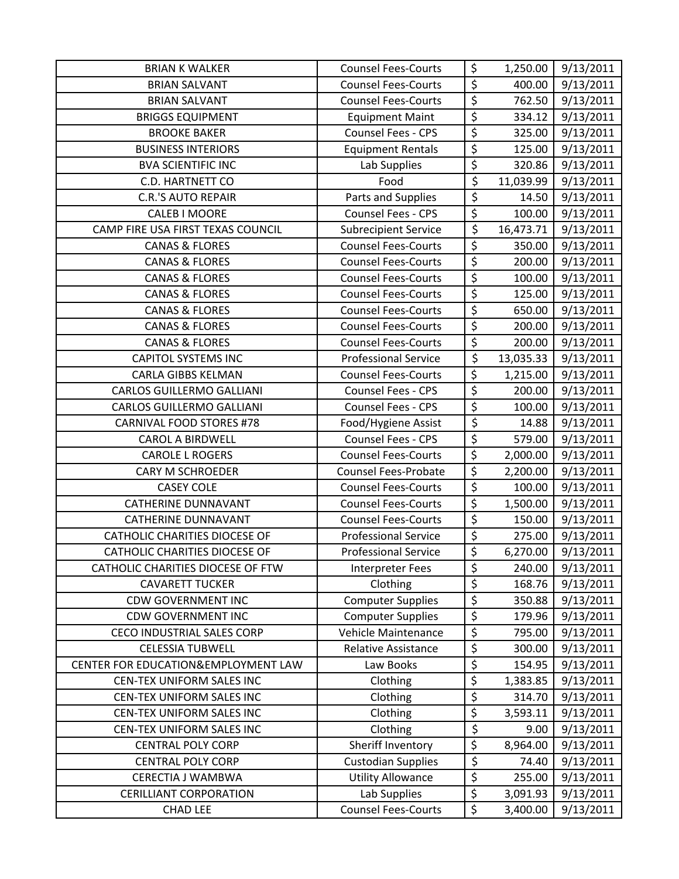| <b>BRIAN K WALKER</b>                | <b>Counsel Fees-Courts</b>  | \$                              | 1,250.00  | 9/13/2011 |
|--------------------------------------|-----------------------------|---------------------------------|-----------|-----------|
| <b>BRIAN SALVANT</b>                 | <b>Counsel Fees-Courts</b>  | \$                              | 400.00    | 9/13/2011 |
| <b>BRIAN SALVANT</b>                 | <b>Counsel Fees-Courts</b>  | $\overline{\xi}$                | 762.50    | 9/13/2011 |
| <b>BRIGGS EQUIPMENT</b>              | <b>Equipment Maint</b>      | \$                              | 334.12    | 9/13/2011 |
| <b>BROOKE BAKER</b>                  | <b>Counsel Fees - CPS</b>   | \$                              | 325.00    | 9/13/2011 |
| <b>BUSINESS INTERIORS</b>            | <b>Equipment Rentals</b>    | $\overline{\xi}$                | 125.00    | 9/13/2011 |
| <b>BVA SCIENTIFIC INC</b>            | Lab Supplies                | \$                              | 320.86    | 9/13/2011 |
| C.D. HARTNETT CO                     | Food                        | \$                              | 11,039.99 | 9/13/2011 |
| <b>C.R.'S AUTO REPAIR</b>            | Parts and Supplies          | \$                              | 14.50     | 9/13/2011 |
| <b>CALEB I MOORE</b>                 | Counsel Fees - CPS          | \$                              | 100.00    | 9/13/2011 |
| CAMP FIRE USA FIRST TEXAS COUNCIL    | <b>Subrecipient Service</b> | \$                              | 16,473.71 | 9/13/2011 |
| <b>CANAS &amp; FLORES</b>            | <b>Counsel Fees-Courts</b>  | $\overline{\xi}$                | 350.00    | 9/13/2011 |
| <b>CANAS &amp; FLORES</b>            | <b>Counsel Fees-Courts</b>  | $\overline{\xi}$                | 200.00    | 9/13/2011 |
| <b>CANAS &amp; FLORES</b>            | <b>Counsel Fees-Courts</b>  | \$                              | 100.00    | 9/13/2011 |
| <b>CANAS &amp; FLORES</b>            | <b>Counsel Fees-Courts</b>  | $\overline{\xi}$                | 125.00    | 9/13/2011 |
| <b>CANAS &amp; FLORES</b>            | <b>Counsel Fees-Courts</b>  | $\overline{\xi}$                | 650.00    | 9/13/2011 |
| <b>CANAS &amp; FLORES</b>            | <b>Counsel Fees-Courts</b>  | $\overline{\xi}$                | 200.00    | 9/13/2011 |
| <b>CANAS &amp; FLORES</b>            | <b>Counsel Fees-Courts</b>  | $\overline{\xi}$                | 200.00    | 9/13/2011 |
| <b>CAPITOL SYSTEMS INC</b>           | <b>Professional Service</b> | $\overline{\varsigma}$          | 13,035.33 | 9/13/2011 |
| <b>CARLA GIBBS KELMAN</b>            | <b>Counsel Fees-Courts</b>  | \$                              | 1,215.00  | 9/13/2011 |
| <b>CARLOS GUILLERMO GALLIANI</b>     | Counsel Fees - CPS          | \$                              | 200.00    | 9/13/2011 |
| <b>CARLOS GUILLERMO GALLIANI</b>     | Counsel Fees - CPS          | $\overline{\boldsymbol{\zeta}}$ | 100.00    | 9/13/2011 |
| <b>CARNIVAL FOOD STORES #78</b>      | Food/Hygiene Assist         | \$                              | 14.88     | 9/13/2011 |
| <b>CAROL A BIRDWELL</b>              | Counsel Fees - CPS          | \$                              | 579.00    | 9/13/2011 |
| <b>CAROLE L ROGERS</b>               | <b>Counsel Fees-Courts</b>  | $\overline{\xi}$                | 2,000.00  | 9/13/2011 |
| <b>CARY M SCHROEDER</b>              | <b>Counsel Fees-Probate</b> | $\overline{\xi}$                | 2,200.00  | 9/13/2011 |
| <b>CASEY COLE</b>                    | <b>Counsel Fees-Courts</b>  | $\overline{\xi}$                | 100.00    | 9/13/2011 |
| <b>CATHERINE DUNNAVANT</b>           | <b>Counsel Fees-Courts</b>  | $\overline{\xi}$                | 1,500.00  | 9/13/2011 |
| <b>CATHERINE DUNNAVANT</b>           | <b>Counsel Fees-Courts</b>  | $\overline{\xi}$                | 150.00    | 9/13/2011 |
| <b>CATHOLIC CHARITIES DIOCESE OF</b> | <b>Professional Service</b> | $\overline{\varsigma}$          | 275.00    | 9/13/2011 |
| <b>CATHOLIC CHARITIES DIOCESE OF</b> | <b>Professional Service</b> | \$                              | 6,270.00  | 9/13/2011 |
| CATHOLIC CHARITIES DIOCESE OF FTW    | Interpreter Fees            | \$                              | 240.00    | 9/13/2011 |
| <b>CAVARETT TUCKER</b>               | Clothing                    | \$                              | 168.76    | 9/13/2011 |
| <b>CDW GOVERNMENT INC</b>            | <b>Computer Supplies</b>    | \$                              | 350.88    | 9/13/2011 |
| <b>CDW GOVERNMENT INC</b>            | <b>Computer Supplies</b>    | \$                              | 179.96    | 9/13/2011 |
| <b>CECO INDUSTRIAL SALES CORP</b>    | Vehicle Maintenance         | \$                              | 795.00    | 9/13/2011 |
| <b>CELESSIA TUBWELL</b>              | <b>Relative Assistance</b>  | \$                              | 300.00    | 9/13/2011 |
| CENTER FOR EDUCATION& EMPLOYMENT LAW | Law Books                   | \$                              | 154.95    | 9/13/2011 |
| CEN-TEX UNIFORM SALES INC            | Clothing                    | \$                              | 1,383.85  | 9/13/2011 |
| CEN-TEX UNIFORM SALES INC            | Clothing                    | $\overline{\varsigma}$          | 314.70    | 9/13/2011 |
| CEN-TEX UNIFORM SALES INC            | Clothing                    | $\overline{\xi}$                | 3,593.11  | 9/13/2011 |
| CEN-TEX UNIFORM SALES INC            | Clothing                    | \$                              | 9.00      | 9/13/2011 |
| <b>CENTRAL POLY CORP</b>             | Sheriff Inventory           | \$                              | 8,964.00  | 9/13/2011 |
| <b>CENTRAL POLY CORP</b>             | <b>Custodian Supplies</b>   | \$                              | 74.40     | 9/13/2011 |
| CERECTIA J WAMBWA                    | <b>Utility Allowance</b>    | \$                              | 255.00    | 9/13/2011 |
| <b>CERILLIANT CORPORATION</b>        | Lab Supplies                | $\overline{\xi}$                | 3,091.93  | 9/13/2011 |
| <b>CHAD LEE</b>                      | <b>Counsel Fees-Courts</b>  | \$                              | 3,400.00  | 9/13/2011 |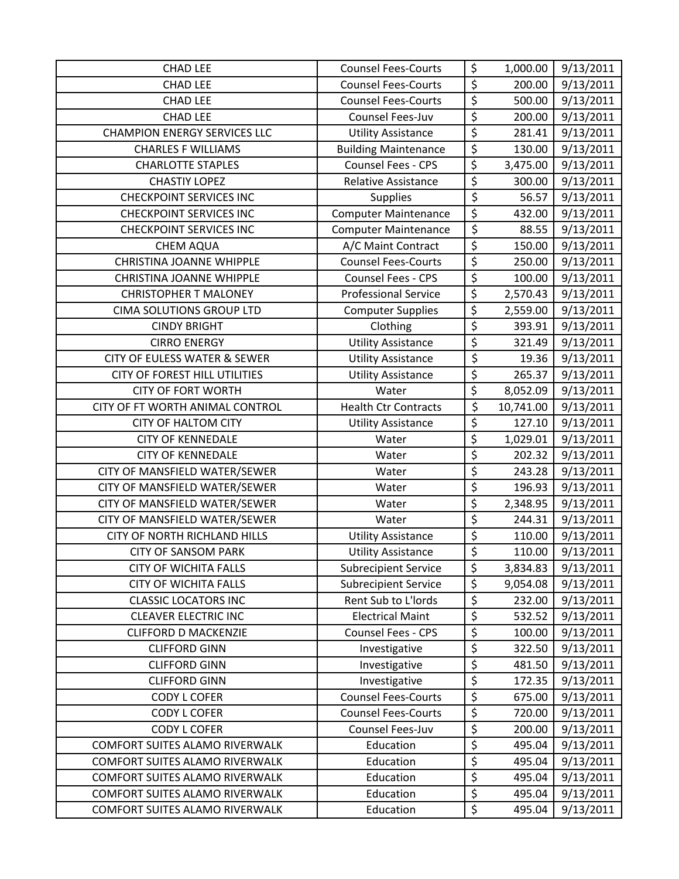| <b>CHAD LEE</b>                         | <b>Counsel Fees-Courts</b>  | \$                     | 1,000.00  | 9/13/2011 |
|-----------------------------------------|-----------------------------|------------------------|-----------|-----------|
| <b>CHAD LEE</b>                         | <b>Counsel Fees-Courts</b>  | \$                     | 200.00    | 9/13/2011 |
| <b>CHAD LEE</b>                         | <b>Counsel Fees-Courts</b>  | \$                     | 500.00    | 9/13/2011 |
| <b>CHAD LEE</b>                         | Counsel Fees-Juv            | \$                     | 200.00    | 9/13/2011 |
| <b>CHAMPION ENERGY SERVICES LLC</b>     | <b>Utility Assistance</b>   | \$                     | 281.41    | 9/13/2011 |
| <b>CHARLES F WILLIAMS</b>               | <b>Building Maintenance</b> | \$                     | 130.00    | 9/13/2011 |
| <b>CHARLOTTE STAPLES</b>                | Counsel Fees - CPS          | \$                     | 3,475.00  | 9/13/2011 |
| <b>CHASTIY LOPEZ</b>                    | <b>Relative Assistance</b>  | $\overline{\varsigma}$ | 300.00    | 9/13/2011 |
| <b>CHECKPOINT SERVICES INC</b>          | <b>Supplies</b>             | \$                     | 56.57     | 9/13/2011 |
| <b>CHECKPOINT SERVICES INC</b>          | <b>Computer Maintenance</b> | \$                     | 432.00    | 9/13/2011 |
| <b>CHECKPOINT SERVICES INC</b>          | <b>Computer Maintenance</b> | \$                     | 88.55     | 9/13/2011 |
| <b>CHEM AQUA</b>                        | A/C Maint Contract          | \$                     | 150.00    | 9/13/2011 |
| <b>CHRISTINA JOANNE WHIPPLE</b>         | <b>Counsel Fees-Courts</b>  | $\overline{\xi}$       | 250.00    | 9/13/2011 |
| <b>CHRISTINA JOANNE WHIPPLE</b>         | Counsel Fees - CPS          | \$                     | 100.00    | 9/13/2011 |
| <b>CHRISTOPHER T MALONEY</b>            | <b>Professional Service</b> | \$                     | 2,570.43  | 9/13/2011 |
| <b>CIMA SOLUTIONS GROUP LTD</b>         | <b>Computer Supplies</b>    | \$                     | 2,559.00  | 9/13/2011 |
| <b>CINDY BRIGHT</b>                     | Clothing                    | \$                     | 393.91    | 9/13/2011 |
| <b>CIRRO ENERGY</b>                     | <b>Utility Assistance</b>   | \$                     | 321.49    | 9/13/2011 |
| <b>CITY OF EULESS WATER &amp; SEWER</b> | <b>Utility Assistance</b>   | $\overline{\varsigma}$ | 19.36     | 9/13/2011 |
| <b>CITY OF FOREST HILL UTILITIES</b>    | <b>Utility Assistance</b>   | \$                     | 265.37    | 9/13/2011 |
| <b>CITY OF FORT WORTH</b>               | Water                       | \$                     | 8,052.09  | 9/13/2011 |
| CITY OF FT WORTH ANIMAL CONTROL         | <b>Health Ctr Contracts</b> | \$                     | 10,741.00 | 9/13/2011 |
| <b>CITY OF HALTOM CITY</b>              | <b>Utility Assistance</b>   | \$                     | 127.10    | 9/13/2011 |
| <b>CITY OF KENNEDALE</b>                | Water                       | \$                     | 1,029.01  | 9/13/2011 |
| <b>CITY OF KENNEDALE</b>                | Water                       | \$                     | 202.32    | 9/13/2011 |
| CITY OF MANSFIELD WATER/SEWER           | Water                       | $\overline{\varsigma}$ | 243.28    | 9/13/2011 |
| CITY OF MANSFIELD WATER/SEWER           | Water                       | \$                     | 196.93    | 9/13/2011 |
| CITY OF MANSFIELD WATER/SEWER           | Water                       | \$                     | 2,348.95  | 9/13/2011 |
| CITY OF MANSFIELD WATER/SEWER           | Water                       | \$                     | 244.31    | 9/13/2011 |
| CITY OF NORTH RICHLAND HILLS            | <b>Utility Assistance</b>   | \$                     | 110.00    | 9/13/2011 |
| <b>CITY OF SANSOM PARK</b>              | <b>Utility Assistance</b>   | \$                     | 110.00    | 9/13/2011 |
| <b>CITY OF WICHITA FALLS</b>            | <b>Subrecipient Service</b> | \$                     | 3,834.83  | 9/13/2011 |
| <b>CITY OF WICHITA FALLS</b>            | <b>Subrecipient Service</b> | \$                     | 9,054.08  | 9/13/2011 |
| <b>CLASSIC LOCATORS INC</b>             | Rent Sub to L'Iords         | \$                     | 232.00    | 9/13/2011 |
| <b>CLEAVER ELECTRIC INC</b>             | <b>Electrical Maint</b>     | \$                     | 532.52    | 9/13/2011 |
| <b>CLIFFORD D MACKENZIE</b>             | Counsel Fees - CPS          | \$                     | 100.00    | 9/13/2011 |
| <b>CLIFFORD GINN</b>                    | Investigative               | \$                     | 322.50    | 9/13/2011 |
| <b>CLIFFORD GINN</b>                    | Investigative               | \$                     | 481.50    | 9/13/2011 |
| <b>CLIFFORD GINN</b>                    | Investigative               | \$                     | 172.35    | 9/13/2011 |
| <b>CODY L COFER</b>                     | <b>Counsel Fees-Courts</b>  | \$                     | 675.00    | 9/13/2011 |
| <b>CODY L COFER</b>                     | <b>Counsel Fees-Courts</b>  | \$                     | 720.00    | 9/13/2011 |
| <b>CODY L COFER</b>                     | Counsel Fees-Juv            | \$                     | 200.00    | 9/13/2011 |
| <b>COMFORT SUITES ALAMO RIVERWALK</b>   | Education                   | \$                     | 495.04    | 9/13/2011 |
| COMFORT SUITES ALAMO RIVERWALK          | Education                   | $\overline{\varsigma}$ | 495.04    | 9/13/2011 |
| <b>COMFORT SUITES ALAMO RIVERWALK</b>   | Education                   | \$                     | 495.04    | 9/13/2011 |
| <b>COMFORT SUITES ALAMO RIVERWALK</b>   | Education                   | $\overline{\xi}$       | 495.04    | 9/13/2011 |
| COMFORT SUITES ALAMO RIVERWALK          | Education                   | \$                     | 495.04    | 9/13/2011 |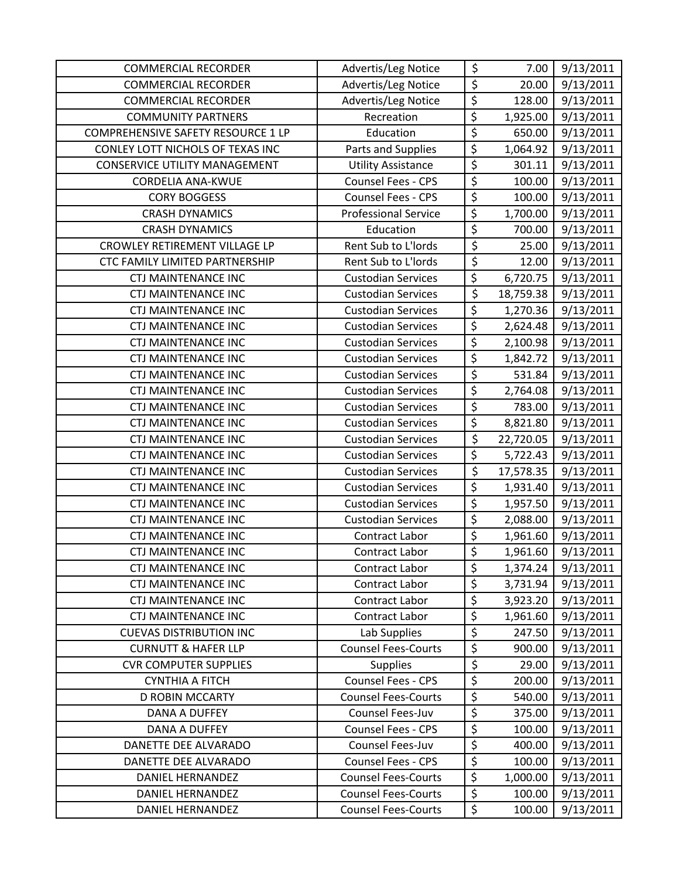| <b>COMMERCIAL RECORDER</b>           | Advertis/Leg Notice         | \$                     | 7.00      | 9/13/2011 |
|--------------------------------------|-----------------------------|------------------------|-----------|-----------|
| <b>COMMERCIAL RECORDER</b>           | Advertis/Leg Notice         | $\overline{\xi}$       | 20.00     | 9/13/2011 |
| <b>COMMERCIAL RECORDER</b>           | Advertis/Leg Notice         | $\overline{\xi}$       | 128.00    | 9/13/2011 |
| <b>COMMUNITY PARTNERS</b>            | Recreation                  | \$                     | 1,925.00  | 9/13/2011 |
| COMPREHENSIVE SAFETY RESOURCE 1 LP   | Education                   | \$                     | 650.00    | 9/13/2011 |
| CONLEY LOTT NICHOLS OF TEXAS INC     | Parts and Supplies          | \$                     | 1,064.92  | 9/13/2011 |
| <b>CONSERVICE UTILITY MANAGEMENT</b> | <b>Utility Assistance</b>   | \$                     | 301.11    | 9/13/2011 |
| <b>CORDELIA ANA-KWUE</b>             | Counsel Fees - CPS          | \$                     | 100.00    | 9/13/2011 |
| <b>CORY BOGGESS</b>                  | Counsel Fees - CPS          | \$                     | 100.00    | 9/13/2011 |
| <b>CRASH DYNAMICS</b>                | <b>Professional Service</b> | $\overline{\xi}$       | 1,700.00  | 9/13/2011 |
| <b>CRASH DYNAMICS</b>                | Education                   | \$                     | 700.00    | 9/13/2011 |
| CROWLEY RETIREMENT VILLAGE LP        | Rent Sub to L'Iords         | $\overline{\varsigma}$ | 25.00     | 9/13/2011 |
| CTC FAMILY LIMITED PARTNERSHIP       | Rent Sub to L'Iords         | $\overline{\xi}$       | 12.00     | 9/13/2011 |
| <b>CTJ MAINTENANCE INC</b>           | <b>Custodian Services</b>   | $\overline{\xi}$       | 6,720.75  | 9/13/2011 |
| <b>CTJ MAINTENANCE INC</b>           | <b>Custodian Services</b>   | $\overline{\xi}$       | 18,759.38 | 9/13/2011 |
| <b>CTJ MAINTENANCE INC</b>           | <b>Custodian Services</b>   | $\overline{\varsigma}$ | 1,270.36  | 9/13/2011 |
| <b>CTJ MAINTENANCE INC</b>           | <b>Custodian Services</b>   | \$                     | 2,624.48  | 9/13/2011 |
| <b>CTJ MAINTENANCE INC</b>           | <b>Custodian Services</b>   | $\overline{\xi}$       | 2,100.98  | 9/13/2011 |
| <b>CTJ MAINTENANCE INC</b>           | <b>Custodian Services</b>   | $\overline{\varsigma}$ | 1,842.72  | 9/13/2011 |
| <b>CTJ MAINTENANCE INC</b>           | <b>Custodian Services</b>   | $\overline{\xi}$       | 531.84    | 9/13/2011 |
| <b>CTJ MAINTENANCE INC</b>           | <b>Custodian Services</b>   | $\overline{\xi}$       | 2,764.08  | 9/13/2011 |
| <b>CTJ MAINTENANCE INC</b>           | <b>Custodian Services</b>   | $\overline{\xi}$       | 783.00    | 9/13/2011 |
| <b>CTJ MAINTENANCE INC</b>           | <b>Custodian Services</b>   | \$                     | 8,821.80  | 9/13/2011 |
| <b>CTJ MAINTENANCE INC</b>           | <b>Custodian Services</b>   | \$                     | 22,720.05 | 9/13/2011 |
| <b>CTJ MAINTENANCE INC</b>           | <b>Custodian Services</b>   | \$                     | 5,722.43  | 9/13/2011 |
| <b>CTJ MAINTENANCE INC</b>           | <b>Custodian Services</b>   | \$                     | 17,578.35 | 9/13/2011 |
| <b>CTJ MAINTENANCE INC</b>           | <b>Custodian Services</b>   | \$                     | 1,931.40  | 9/13/2011 |
| <b>CTJ MAINTENANCE INC</b>           | <b>Custodian Services</b>   | $\overline{\xi}$       | 1,957.50  | 9/13/2011 |
| <b>CTJ MAINTENANCE INC</b>           | <b>Custodian Services</b>   | $\overline{\xi}$       | 2,088.00  | 9/13/2011 |
| <b>CTJ MAINTENANCE INC</b>           | Contract Labor              | $\overline{\xi}$       | 1,961.60  | 9/13/2011 |
| <b>CTJ MAINTENANCE INC</b>           | Contract Labor              | \$                     | 1,961.60  | 9/13/2011 |
| <b>CTJ MAINTENANCE INC</b>           | Contract Labor              | \$                     | 1,374.24  | 9/13/2011 |
| <b>CTJ MAINTENANCE INC</b>           | Contract Labor              | $\overline{\varsigma}$ | 3,731.94  | 9/13/2011 |
| <b>CTJ MAINTENANCE INC</b>           | Contract Labor              | \$                     | 3,923.20  | 9/13/2011 |
| <b>CTJ MAINTENANCE INC</b>           | Contract Labor              | \$                     | 1,961.60  | 9/13/2011 |
| <b>CUEVAS DISTRIBUTION INC</b>       | Lab Supplies                | \$                     | 247.50    | 9/13/2011 |
| <b>CURNUTT &amp; HAFER LLP</b>       | <b>Counsel Fees-Courts</b>  | \$                     | 900.00    | 9/13/2011 |
| <b>CVR COMPUTER SUPPLIES</b>         | <b>Supplies</b>             | \$                     | 29.00     | 9/13/2011 |
| <b>CYNTHIA A FITCH</b>               | Counsel Fees - CPS          | $\overline{\xi}$       | 200.00    | 9/13/2011 |
| <b>D ROBIN MCCARTY</b>               | <b>Counsel Fees-Courts</b>  | \$                     | 540.00    | 9/13/2011 |
| DANA A DUFFEY                        | Counsel Fees-Juv            | $\overline{\varsigma}$ | 375.00    | 9/13/2011 |
| DANA A DUFFEY                        | <b>Counsel Fees - CPS</b>   | \$                     | 100.00    | 9/13/2011 |
| DANETTE DEE ALVARADO                 | Counsel Fees-Juv            | \$                     | 400.00    | 9/13/2011 |
| DANETTE DEE ALVARADO                 | <b>Counsel Fees - CPS</b>   | $\overline{\varsigma}$ | 100.00    | 9/13/2011 |
| DANIEL HERNANDEZ                     | <b>Counsel Fees-Courts</b>  | $\overline{\xi}$       | 1,000.00  | 9/13/2011 |
| DANIEL HERNANDEZ                     | <b>Counsel Fees-Courts</b>  | \$                     | 100.00    | 9/13/2011 |
| DANIEL HERNANDEZ                     | <b>Counsel Fees-Courts</b>  | \$                     | 100.00    | 9/13/2011 |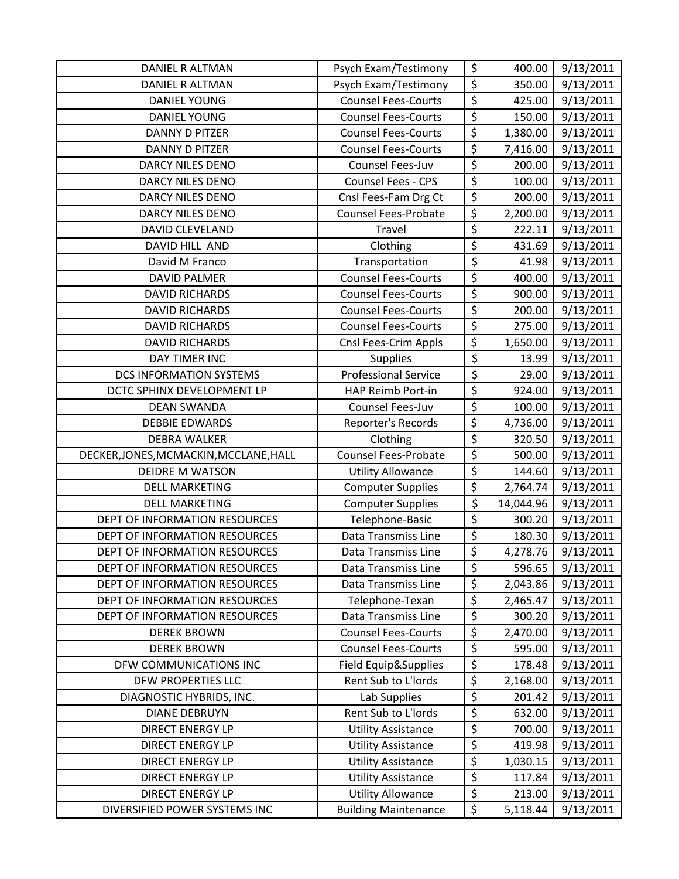| DANIEL R ALTMAN                        | Psych Exam/Testimony        | \$                              | 400.00    | 9/13/2011 |
|----------------------------------------|-----------------------------|---------------------------------|-----------|-----------|
| DANIEL R ALTMAN                        | Psych Exam/Testimony        | $\overline{\xi}$                | 350.00    | 9/13/2011 |
| <b>DANIEL YOUNG</b>                    | <b>Counsel Fees-Courts</b>  | $\overline{\xi}$                | 425.00    | 9/13/2011 |
| <b>DANIEL YOUNG</b>                    | <b>Counsel Fees-Courts</b>  | \$                              | 150.00    | 9/13/2011 |
| <b>DANNY D PITZER</b>                  | <b>Counsel Fees-Courts</b>  | $\overline{\xi}$                | 1,380.00  | 9/13/2011 |
| DANNY D PITZER                         | <b>Counsel Fees-Courts</b>  | $\overline{\xi}$                | 7,416.00  | 9/13/2011 |
| <b>DARCY NILES DENO</b>                | Counsel Fees-Juv            | \$                              | 200.00    | 9/13/2011 |
| DARCY NILES DENO                       | Counsel Fees - CPS          | $\overline{\xi}$                | 100.00    | 9/13/2011 |
| <b>DARCY NILES DENO</b>                | Cnsl Fees-Fam Drg Ct        | $\overline{\xi}$                | 200.00    | 9/13/2011 |
| <b>DARCY NILES DENO</b>                | <b>Counsel Fees-Probate</b> | \$                              | 2,200.00  | 9/13/2011 |
| <b>DAVID CLEVELAND</b>                 | Travel                      | \$                              | 222.11    | 9/13/2011 |
| DAVID HILL AND                         | Clothing                    | \$                              | 431.69    | 9/13/2011 |
| David M Franco                         | Transportation              | \$                              | 41.98     | 9/13/2011 |
| <b>DAVID PALMER</b>                    | <b>Counsel Fees-Courts</b>  | $\overline{\xi}$                | 400.00    | 9/13/2011 |
| <b>DAVID RICHARDS</b>                  | <b>Counsel Fees-Courts</b>  | \$                              | 900.00    | 9/13/2011 |
| <b>DAVID RICHARDS</b>                  | <b>Counsel Fees-Courts</b>  | $\overline{\varsigma}$          | 200.00    | 9/13/2011 |
| <b>DAVID RICHARDS</b>                  | <b>Counsel Fees-Courts</b>  | \$                              | 275.00    | 9/13/2011 |
| <b>DAVID RICHARDS</b>                  | Cnsl Fees-Crim Appls        | $\overline{\xi}$                | 1,650.00  | 9/13/2011 |
| DAY TIMER INC                          | <b>Supplies</b>             | \$                              | 13.99     | 9/13/2011 |
| <b>DCS INFORMATION SYSTEMS</b>         | <b>Professional Service</b> | $\overline{\xi}$                | 29.00     | 9/13/2011 |
| DCTC SPHINX DEVELOPMENT LP             | HAP Reimb Port-in           | \$                              | 924.00    | 9/13/2011 |
| <b>DEAN SWANDA</b>                     | Counsel Fees-Juv            | $\overline{\xi}$                | 100.00    | 9/13/2011 |
| <b>DEBBIE EDWARDS</b>                  | Reporter's Records          | \$                              | 4,736.00  | 9/13/2011 |
| <b>DEBRA WALKER</b>                    | Clothing                    | \$                              | 320.50    | 9/13/2011 |
| DECKER, JONES, MCMACKIN, MCCLANE, HALL | <b>Counsel Fees-Probate</b> | \$                              | 500.00    | 9/13/2011 |
| <b>DEIDRE M WATSON</b>                 | <b>Utility Allowance</b>    | \$                              | 144.60    | 9/13/2011 |
| <b>DELL MARKETING</b>                  | <b>Computer Supplies</b>    | $\overline{\xi}$                | 2,764.74  | 9/13/2011 |
| <b>DELL MARKETING</b>                  | <b>Computer Supplies</b>    | \$                              | 14,044.96 | 9/13/2011 |
| <b>DEPT OF INFORMATION RESOURCES</b>   | Telephone-Basic             | $\overline{\xi}$                | 300.20    | 9/13/2011 |
| DEPT OF INFORMATION RESOURCES          | Data Transmiss Line         | $\overline{\boldsymbol{\zeta}}$ | 180.30    | 9/13/2011 |
| DEPT OF INFORMATION RESOURCES          | Data Transmiss Line         | \$                              | 4,278.76  | 9/13/2011 |
| <b>DEPT OF INFORMATION RESOURCES</b>   | Data Transmiss Line         | \$                              | 596.65    | 9/13/2011 |
| DEPT OF INFORMATION RESOURCES          | Data Transmiss Line         | $\overline{\xi}$                | 2,043.86  | 9/13/2011 |
| DEPT OF INFORMATION RESOURCES          | Telephone-Texan             | $\overline{\xi}$                | 2,465.47  | 9/13/2011 |
| DEPT OF INFORMATION RESOURCES          | Data Transmiss Line         | \$                              | 300.20    | 9/13/2011 |
| <b>DEREK BROWN</b>                     | <b>Counsel Fees-Courts</b>  | $\overline{\boldsymbol{\zeta}}$ | 2,470.00  | 9/13/2011 |
| <b>DEREK BROWN</b>                     | <b>Counsel Fees-Courts</b>  | \$                              | 595.00    | 9/13/2011 |
| DFW COMMUNICATIONS INC                 | Field Equip&Supplies        | \$                              | 178.48    | 9/13/2011 |
| <b>DFW PROPERTIES LLC</b>              | Rent Sub to L'Iords         | \$                              | 2,168.00  | 9/13/2011 |
| DIAGNOSTIC HYBRIDS, INC.               | Lab Supplies                | \$                              | 201.42    | 9/13/2011 |
| <b>DIANE DEBRUYN</b>                   | Rent Sub to L'Iords         | \$                              | 632.00    | 9/13/2011 |
| <b>DIRECT ENERGY LP</b>                | <b>Utility Assistance</b>   | \$                              | 700.00    | 9/13/2011 |
| <b>DIRECT ENERGY LP</b>                | <b>Utility Assistance</b>   | \$                              | 419.98    | 9/13/2011 |
| <b>DIRECT ENERGY LP</b>                | <b>Utility Assistance</b>   | $\overline{\boldsymbol{\zeta}}$ | 1,030.15  | 9/13/2011 |
| <b>DIRECT ENERGY LP</b>                | <b>Utility Assistance</b>   | \$                              | 117.84    | 9/13/2011 |
| <b>DIRECT ENERGY LP</b>                | <b>Utility Allowance</b>    | \$                              | 213.00    | 9/13/2011 |
| DIVERSIFIED POWER SYSTEMS INC          | <b>Building Maintenance</b> | \$                              | 5,118.44  | 9/13/2011 |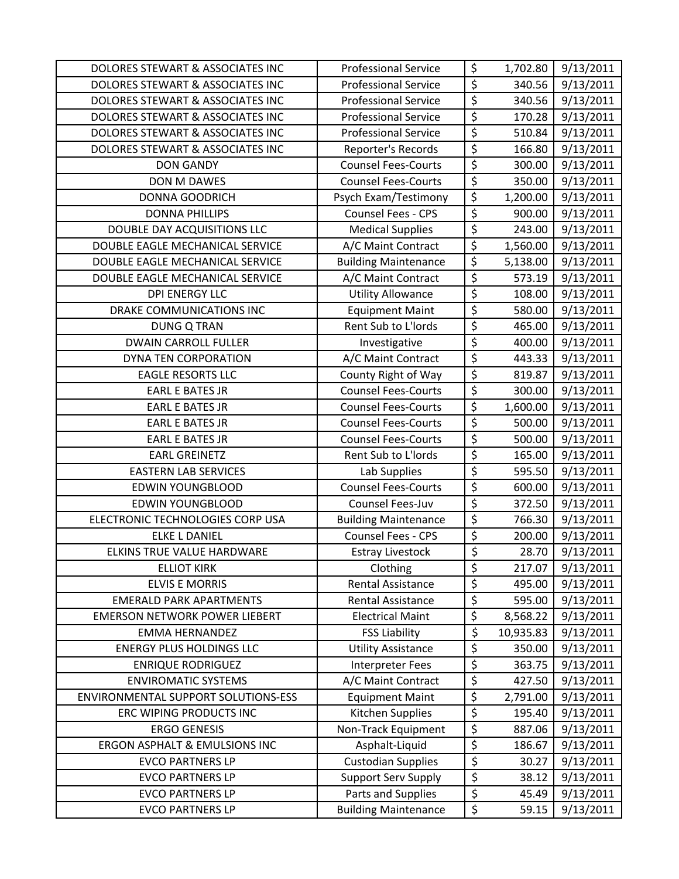| DOLORES STEWART & ASSOCIATES INC     | <b>Professional Service</b> | \$                              | 1,702.80  | 9/13/2011 |
|--------------------------------------|-----------------------------|---------------------------------|-----------|-----------|
| DOLORES STEWART & ASSOCIATES INC     | <b>Professional Service</b> | \$                              | 340.56    | 9/13/2011 |
| DOLORES STEWART & ASSOCIATES INC     | <b>Professional Service</b> | $\overline{\xi}$                | 340.56    | 9/13/2011 |
| DOLORES STEWART & ASSOCIATES INC     | <b>Professional Service</b> | $\overline{\boldsymbol{\zeta}}$ | 170.28    | 9/13/2011 |
| DOLORES STEWART & ASSOCIATES INC     | <b>Professional Service</b> | $\overline{\varsigma}$          | 510.84    | 9/13/2011 |
| DOLORES STEWART & ASSOCIATES INC     | Reporter's Records          | $\overline{\xi}$                | 166.80    | 9/13/2011 |
| <b>DON GANDY</b>                     | <b>Counsel Fees-Courts</b>  | $\overline{\xi}$                | 300.00    | 9/13/2011 |
| DON M DAWES                          | <b>Counsel Fees-Courts</b>  | $\overline{\xi}$                | 350.00    | 9/13/2011 |
| <b>DONNA GOODRICH</b>                | Psych Exam/Testimony        | $\overline{\boldsymbol{\zeta}}$ | 1,200.00  | 9/13/2011 |
| <b>DONNA PHILLIPS</b>                | Counsel Fees - CPS          | $\overline{\boldsymbol{\zeta}}$ | 900.00    | 9/13/2011 |
| DOUBLE DAY ACQUISITIONS LLC          | <b>Medical Supplies</b>     | $\overline{\xi}$                | 243.00    | 9/13/2011 |
| DOUBLE EAGLE MECHANICAL SERVICE      | A/C Maint Contract          | $\overline{\varsigma}$          | 1,560.00  | 9/13/2011 |
| DOUBLE EAGLE MECHANICAL SERVICE      | <b>Building Maintenance</b> | $\overline{\xi}$                | 5,138.00  | 9/13/2011 |
| DOUBLE EAGLE MECHANICAL SERVICE      | A/C Maint Contract          | \$                              | 573.19    | 9/13/2011 |
| <b>DPI ENERGY LLC</b>                | <b>Utility Allowance</b>    | $\overline{\xi}$                | 108.00    | 9/13/2011 |
| DRAKE COMMUNICATIONS INC             | <b>Equipment Maint</b>      | $\overline{\xi}$                | 580.00    | 9/13/2011 |
| <b>DUNG Q TRAN</b>                   | Rent Sub to L'Iords         | \$                              | 465.00    | 9/13/2011 |
| <b>DWAIN CARROLL FULLER</b>          | Investigative               | \$                              | 400.00    | 9/13/2011 |
| DYNA TEN CORPORATION                 | A/C Maint Contract          | $\overline{\xi}$                | 443.33    | 9/13/2011 |
| <b>EAGLE RESORTS LLC</b>             | County Right of Way         | $\overline{\xi}$                | 819.87    | 9/13/2011 |
| <b>EARL E BATES JR</b>               | <b>Counsel Fees-Courts</b>  | \$                              | 300.00    | 9/13/2011 |
| <b>EARL E BATES JR</b>               | <b>Counsel Fees-Courts</b>  | $\overline{\xi}$                | 1,600.00  | 9/13/2011 |
| <b>EARL E BATES JR</b>               | <b>Counsel Fees-Courts</b>  | $\overline{\varsigma}$          | 500.00    | 9/13/2011 |
| <b>EARL E BATES JR</b>               | <b>Counsel Fees-Courts</b>  | $\overline{\xi}$                | 500.00    | 9/13/2011 |
| <b>EARL GREINETZ</b>                 | Rent Sub to L'Iords         | \$                              | 165.00    | 9/13/2011 |
| <b>EASTERN LAB SERVICES</b>          | Lab Supplies                | \$                              | 595.50    | 9/13/2011 |
| <b>EDWIN YOUNGBLOOD</b>              | <b>Counsel Fees-Courts</b>  | $\overline{\xi}$                | 600.00    | 9/13/2011 |
| <b>EDWIN YOUNGBLOOD</b>              | Counsel Fees-Juv            | \$                              | 372.50    | 9/13/2011 |
| ELECTRONIC TECHNOLOGIES CORP USA     | <b>Building Maintenance</b> | $\overline{\xi}$                | 766.30    | 9/13/2011 |
| <b>ELKE L DANIEL</b>                 | <b>Counsel Fees - CPS</b>   | \$                              | 200.00    | 9/13/2011 |
| ELKINS TRUE VALUE HARDWARE           | <b>Estray Livestock</b>     | $\overline{\xi}$                | 28.70     | 9/13/2011 |
| <b>ELLIOT KIRK</b>                   | Clothing                    | \$                              | 217.07    | 9/13/2011 |
| <b>ELVIS E MORRIS</b>                | <b>Rental Assistance</b>    | \$                              | 495.00    | 9/13/2011 |
| <b>EMERALD PARK APARTMENTS</b>       | <b>Rental Assistance</b>    | \$                              | 595.00    | 9/13/2011 |
| <b>EMERSON NETWORK POWER LIEBERT</b> | <b>Electrical Maint</b>     | \$                              | 8,568.22  | 9/13/2011 |
| <b>EMMA HERNANDEZ</b>                | <b>FSS Liability</b>        | \$                              | 10,935.83 | 9/13/2011 |
| <b>ENERGY PLUS HOLDINGS LLC</b>      | <b>Utility Assistance</b>   | \$                              | 350.00    | 9/13/2011 |
| <b>ENRIQUE RODRIGUEZ</b>             | Interpreter Fees            | \$                              | 363.75    | 9/13/2011 |
| <b>ENVIROMATIC SYSTEMS</b>           | A/C Maint Contract          | \$                              | 427.50    | 9/13/2011 |
| ENVIRONMENTAL SUPPORT SOLUTIONS-ESS  | <b>Equipment Maint</b>      | \$                              | 2,791.00  | 9/13/2011 |
| ERC WIPING PRODUCTS INC              | Kitchen Supplies            | \$                              | 195.40    | 9/13/2011 |
| <b>ERGO GENESIS</b>                  | Non-Track Equipment         | \$                              | 887.06    | 9/13/2011 |
| ERGON ASPHALT & EMULSIONS INC        | Asphalt-Liquid              | \$                              | 186.67    | 9/13/2011 |
| <b>EVCO PARTNERS LP</b>              | <b>Custodian Supplies</b>   | \$                              | 30.27     | 9/13/2011 |
| <b>EVCO PARTNERS LP</b>              | <b>Support Serv Supply</b>  | \$                              | 38.12     | 9/13/2011 |
| <b>EVCO PARTNERS LP</b>              | Parts and Supplies          | \$                              | 45.49     | 9/13/2011 |
| <b>EVCO PARTNERS LP</b>              | <b>Building Maintenance</b> | $\overline{\xi}$                | 59.15     | 9/13/2011 |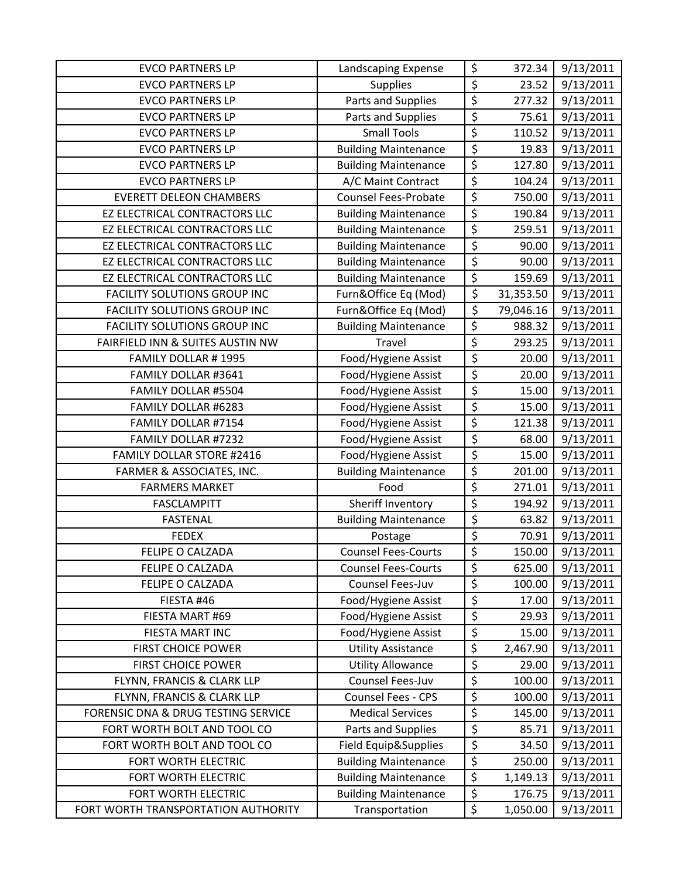| <b>EVCO PARTNERS LP</b>             | Landscaping Expense         | \$               | 372.34    | 9/13/2011 |
|-------------------------------------|-----------------------------|------------------|-----------|-----------|
| <b>EVCO PARTNERS LP</b>             | <b>Supplies</b>             | \$               | 23.52     | 9/13/2011 |
| <b>EVCO PARTNERS LP</b>             | Parts and Supplies          | \$               | 277.32    | 9/13/2011 |
| <b>EVCO PARTNERS LP</b>             | Parts and Supplies          | \$               | 75.61     | 9/13/2011 |
| <b>EVCO PARTNERS LP</b>             | <b>Small Tools</b>          | \$               | 110.52    | 9/13/2011 |
| <b>EVCO PARTNERS LP</b>             | <b>Building Maintenance</b> | \$               | 19.83     | 9/13/2011 |
| <b>EVCO PARTNERS LP</b>             | <b>Building Maintenance</b> | \$               | 127.80    | 9/13/2011 |
| <b>EVCO PARTNERS LP</b>             | A/C Maint Contract          | \$               | 104.24    | 9/13/2011 |
| <b>EVERETT DELEON CHAMBERS</b>      | <b>Counsel Fees-Probate</b> | \$               | 750.00    | 9/13/2011 |
| EZ ELECTRICAL CONTRACTORS LLC       | <b>Building Maintenance</b> | \$               | 190.84    | 9/13/2011 |
| EZ ELECTRICAL CONTRACTORS LLC       | <b>Building Maintenance</b> | \$               | 259.51    | 9/13/2011 |
| EZ ELECTRICAL CONTRACTORS LLC       | <b>Building Maintenance</b> | \$               | 90.00     | 9/13/2011 |
| EZ ELECTRICAL CONTRACTORS LLC       | <b>Building Maintenance</b> | \$               | 90.00     | 9/13/2011 |
| EZ ELECTRICAL CONTRACTORS LLC       | <b>Building Maintenance</b> | \$               | 159.69    | 9/13/2011 |
| FACILITY SOLUTIONS GROUP INC        | Furn&Office Eq (Mod)        | $\overline{\xi}$ | 31,353.50 | 9/13/2011 |
| FACILITY SOLUTIONS GROUP INC        | Furn&Office Eq (Mod)        | \$               | 79,046.16 | 9/13/2011 |
| FACILITY SOLUTIONS GROUP INC        | <b>Building Maintenance</b> | \$               | 988.32    | 9/13/2011 |
| FAIRFIELD INN & SUITES AUSTIN NW    | <b>Travel</b>               | \$               | 293.25    | 9/13/2011 |
| FAMILY DOLLAR #1995                 | Food/Hygiene Assist         | \$               | 20.00     | 9/13/2011 |
| FAMILY DOLLAR #3641                 | Food/Hygiene Assist         | \$               | 20.00     | 9/13/2011 |
| FAMILY DOLLAR #5504                 | Food/Hygiene Assist         | \$               | 15.00     | 9/13/2011 |
| FAMILY DOLLAR #6283                 | Food/Hygiene Assist         | \$               | 15.00     | 9/13/2011 |
| FAMILY DOLLAR #7154                 | Food/Hygiene Assist         | $\overline{\xi}$ | 121.38    | 9/13/2011 |
| FAMILY DOLLAR #7232                 | Food/Hygiene Assist         | \$               | 68.00     | 9/13/2011 |
| <b>FAMILY DOLLAR STORE #2416</b>    | Food/Hygiene Assist         | \$               | 15.00     | 9/13/2011 |
| FARMER & ASSOCIATES, INC.           | <b>Building Maintenance</b> | \$               | 201.00    | 9/13/2011 |
| <b>FARMERS MARKET</b>               | Food                        | \$               | 271.01    | 9/13/2011 |
| <b>FASCLAMPITT</b>                  | Sheriff Inventory           | \$               | 194.92    | 9/13/2011 |
| <b>FASTENAL</b>                     | <b>Building Maintenance</b> | \$               | 63.82     | 9/13/2011 |
| <b>FEDEX</b>                        | Postage                     | \$               | 70.91     | 9/13/2011 |
| FELIPE O CALZADA                    | <b>Counsel Fees-Courts</b>  | \$               | 150.00    | 9/13/2011 |
| <b>FELIPE O CALZADA</b>             | <b>Counsel Fees-Courts</b>  | \$               | 625.00    | 9/13/2011 |
| FELIPE O CALZADA                    | Counsel Fees-Juv            | \$               | 100.00    | 9/13/2011 |
| FIESTA #46                          | Food/Hygiene Assist         | \$               | 17.00     | 9/13/2011 |
| FIESTA MART #69                     | Food/Hygiene Assist         | \$               | 29.93     | 9/13/2011 |
| FIESTA MART INC                     | Food/Hygiene Assist         | \$               | 15.00     | 9/13/2011 |
| <b>FIRST CHOICE POWER</b>           | <b>Utility Assistance</b>   | \$               | 2,467.90  | 9/13/2011 |
| <b>FIRST CHOICE POWER</b>           | <b>Utility Allowance</b>    | \$               | 29.00     | 9/13/2011 |
| FLYNN, FRANCIS & CLARK LLP          | Counsel Fees-Juv            | \$               | 100.00    | 9/13/2011 |
| FLYNN, FRANCIS & CLARK LLP          | Counsel Fees - CPS          | \$               | 100.00    | 9/13/2011 |
| FORENSIC DNA & DRUG TESTING SERVICE | <b>Medical Services</b>     | \$               | 145.00    | 9/13/2011 |
| FORT WORTH BOLT AND TOOL CO         | Parts and Supplies          | \$               | 85.71     | 9/13/2011 |
| FORT WORTH BOLT AND TOOL CO         | Field Equip&Supplies        | \$               | 34.50     | 9/13/2011 |
| FORT WORTH ELECTRIC                 | <b>Building Maintenance</b> | \$               | 250.00    | 9/13/2011 |
| FORT WORTH ELECTRIC                 | <b>Building Maintenance</b> | \$               | 1,149.13  | 9/13/2011 |
| FORT WORTH ELECTRIC                 | <b>Building Maintenance</b> | \$               | 176.75    | 9/13/2011 |
| FORT WORTH TRANSPORTATION AUTHORITY | Transportation              | \$               | 1,050.00  | 9/13/2011 |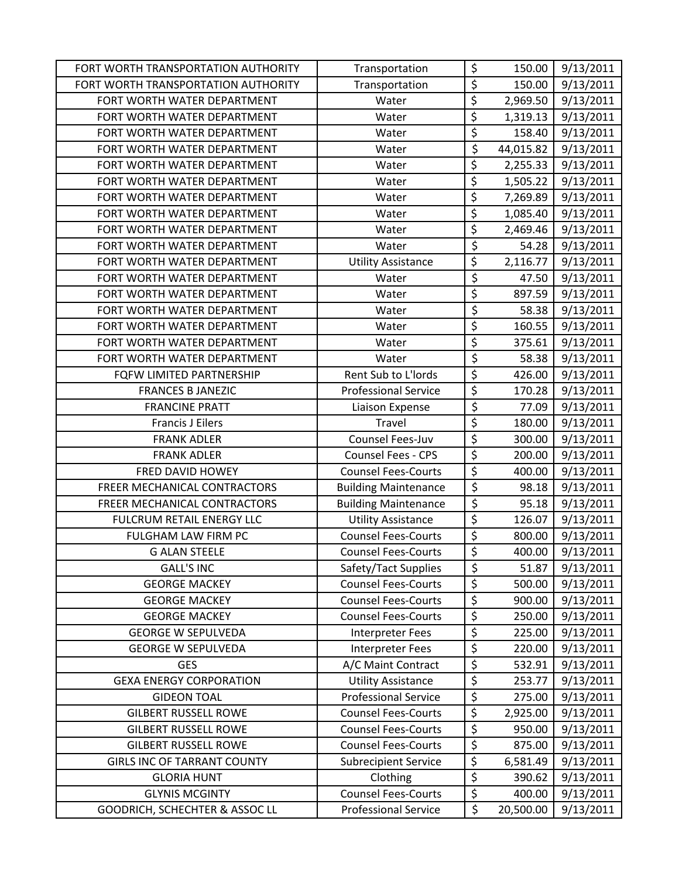| FORT WORTH TRANSPORTATION AUTHORITY | Transportation              | \$                     | 150.00    | 9/13/2011 |
|-------------------------------------|-----------------------------|------------------------|-----------|-----------|
| FORT WORTH TRANSPORTATION AUTHORITY | Transportation              | \$                     | 150.00    | 9/13/2011 |
| FORT WORTH WATER DEPARTMENT         | Water                       | \$                     | 2,969.50  | 9/13/2011 |
| FORT WORTH WATER DEPARTMENT         | Water                       | \$                     | 1,319.13  | 9/13/2011 |
| FORT WORTH WATER DEPARTMENT         | Water                       | $\overline{\varsigma}$ | 158.40    | 9/13/2011 |
| FORT WORTH WATER DEPARTMENT         | Water                       | \$                     | 44,015.82 | 9/13/2011 |
| FORT WORTH WATER DEPARTMENT         | Water                       | \$                     | 2,255.33  | 9/13/2011 |
| FORT WORTH WATER DEPARTMENT         | Water                       | \$                     | 1,505.22  | 9/13/2011 |
| FORT WORTH WATER DEPARTMENT         | Water                       | \$                     | 7,269.89  | 9/13/2011 |
| FORT WORTH WATER DEPARTMENT         | Water                       | \$                     | 1,085.40  | 9/13/2011 |
| FORT WORTH WATER DEPARTMENT         | Water                       | \$                     | 2,469.46  | 9/13/2011 |
| FORT WORTH WATER DEPARTMENT         | Water                       | \$                     | 54.28     | 9/13/2011 |
| FORT WORTH WATER DEPARTMENT         | <b>Utility Assistance</b>   | \$                     | 2,116.77  | 9/13/2011 |
| FORT WORTH WATER DEPARTMENT         | Water                       | \$                     | 47.50     | 9/13/2011 |
| FORT WORTH WATER DEPARTMENT         | Water                       | $\overline{\varsigma}$ | 897.59    | 9/13/2011 |
| FORT WORTH WATER DEPARTMENT         | Water                       | \$                     | 58.38     | 9/13/2011 |
| FORT WORTH WATER DEPARTMENT         | Water                       | $\overline{\xi}$       | 160.55    | 9/13/2011 |
| FORT WORTH WATER DEPARTMENT         | Water                       | \$                     | 375.61    | 9/13/2011 |
| FORT WORTH WATER DEPARTMENT         | Water                       | \$                     | 58.38     | 9/13/2011 |
| FQFW LIMITED PARTNERSHIP            | Rent Sub to L'Iords         | $\overline{\xi}$       | 426.00    | 9/13/2011 |
| <b>FRANCES B JANEZIC</b>            | <b>Professional Service</b> | \$                     | 170.28    | 9/13/2011 |
| <b>FRANCINE PRATT</b>               | Liaison Expense             | \$                     | 77.09     | 9/13/2011 |
| <b>Francis J Eilers</b>             | <b>Travel</b>               | \$                     | 180.00    | 9/13/2011 |
| <b>FRANK ADLER</b>                  | <b>Counsel Fees-Juv</b>     | \$                     | 300.00    | 9/13/2011 |
| <b>FRANK ADLER</b>                  | Counsel Fees - CPS          | \$                     | 200.00    | 9/13/2011 |
| FRED DAVID HOWEY                    | <b>Counsel Fees-Courts</b>  | \$                     | 400.00    | 9/13/2011 |
| FREER MECHANICAL CONTRACTORS        | <b>Building Maintenance</b> | \$                     | 98.18     | 9/13/2011 |
| FREER MECHANICAL CONTRACTORS        | <b>Building Maintenance</b> | $\overline{\xi}$       | 95.18     | 9/13/2011 |
| FULCRUM RETAIL ENERGY LLC           | <b>Utility Assistance</b>   | \$                     | 126.07    | 9/13/2011 |
| FULGHAM LAW FIRM PC                 | <b>Counsel Fees-Courts</b>  | $\overline{\xi}$       | 800.00    | 9/13/2011 |
| <b>G ALAN STEELE</b>                | <b>Counsel Fees-Courts</b>  | \$                     | 400.00    | 9/13/2011 |
| <b>GALL'S INC</b>                   | Safety/Tact Supplies        | \$                     | 51.87     | 9/13/2011 |
| <b>GEORGE MACKEY</b>                | <b>Counsel Fees-Courts</b>  | \$                     | 500.00    | 9/13/2011 |
| <b>GEORGE MACKEY</b>                | <b>Counsel Fees-Courts</b>  | \$                     | 900.00    | 9/13/2011 |
| <b>GEORGE MACKEY</b>                | <b>Counsel Fees-Courts</b>  | \$                     | 250.00    | 9/13/2011 |
| <b>GEORGE W SEPULVEDA</b>           | Interpreter Fees            | \$                     | 225.00    | 9/13/2011 |
| <b>GEORGE W SEPULVEDA</b>           | <b>Interpreter Fees</b>     | \$                     | 220.00    | 9/13/2011 |
| <b>GES</b>                          | A/C Maint Contract          | \$                     | 532.91    | 9/13/2011 |
| <b>GEXA ENERGY CORPORATION</b>      | <b>Utility Assistance</b>   | \$                     | 253.77    | 9/13/2011 |
| <b>GIDEON TOAL</b>                  | <b>Professional Service</b> | \$                     | 275.00    | 9/13/2011 |
| <b>GILBERT RUSSELL ROWE</b>         | <b>Counsel Fees-Courts</b>  | $\overline{\xi}$       | 2,925.00  | 9/13/2011 |
| <b>GILBERT RUSSELL ROWE</b>         | <b>Counsel Fees-Courts</b>  | \$                     | 950.00    | 9/13/2011 |
| <b>GILBERT RUSSELL ROWE</b>         | <b>Counsel Fees-Courts</b>  | \$                     | 875.00    | 9/13/2011 |
| <b>GIRLS INC OF TARRANT COUNTY</b>  | <b>Subrecipient Service</b> | \$                     | 6,581.49  | 9/13/2011 |
| <b>GLORIA HUNT</b>                  | Clothing                    | \$                     | 390.62    | 9/13/2011 |
| <b>GLYNIS MCGINTY</b>               | <b>Counsel Fees-Courts</b>  | \$                     | 400.00    | 9/13/2011 |
| GOODRICH, SCHECHTER & ASSOC LL      | <b>Professional Service</b> | \$                     | 20,500.00 | 9/13/2011 |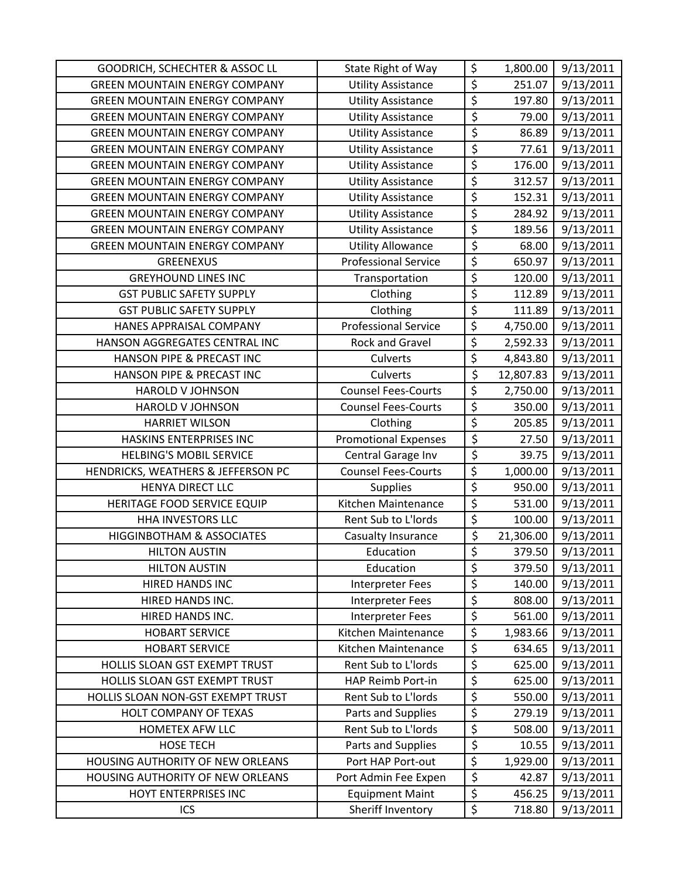| GOODRICH, SCHECHTER & ASSOC LL       | State Right of Way          | \$                              | 1,800.00  | 9/13/2011 |
|--------------------------------------|-----------------------------|---------------------------------|-----------|-----------|
| <b>GREEN MOUNTAIN ENERGY COMPANY</b> | <b>Utility Assistance</b>   | \$                              | 251.07    | 9/13/2011 |
| <b>GREEN MOUNTAIN ENERGY COMPANY</b> | <b>Utility Assistance</b>   | \$                              | 197.80    | 9/13/2011 |
| <b>GREEN MOUNTAIN ENERGY COMPANY</b> | <b>Utility Assistance</b>   | \$                              | 79.00     | 9/13/2011 |
| <b>GREEN MOUNTAIN ENERGY COMPANY</b> | <b>Utility Assistance</b>   | $\overline{\boldsymbol{\zeta}}$ | 86.89     | 9/13/2011 |
| <b>GREEN MOUNTAIN ENERGY COMPANY</b> | <b>Utility Assistance</b>   | \$                              | 77.61     | 9/13/2011 |
| <b>GREEN MOUNTAIN ENERGY COMPANY</b> | <b>Utility Assistance</b>   | \$                              | 176.00    | 9/13/2011 |
| <b>GREEN MOUNTAIN ENERGY COMPANY</b> | <b>Utility Assistance</b>   | \$                              | 312.57    | 9/13/2011 |
| <b>GREEN MOUNTAIN ENERGY COMPANY</b> | <b>Utility Assistance</b>   | \$                              | 152.31    | 9/13/2011 |
| <b>GREEN MOUNTAIN ENERGY COMPANY</b> | <b>Utility Assistance</b>   | \$                              | 284.92    | 9/13/2011 |
| <b>GREEN MOUNTAIN ENERGY COMPANY</b> | <b>Utility Assistance</b>   | \$                              | 189.56    | 9/13/2011 |
| <b>GREEN MOUNTAIN ENERGY COMPANY</b> | <b>Utility Allowance</b>    | $\overline{\boldsymbol{\zeta}}$ | 68.00     | 9/13/2011 |
| <b>GREENEXUS</b>                     | <b>Professional Service</b> | \$                              | 650.97    | 9/13/2011 |
| <b>GREYHOUND LINES INC</b>           | Transportation              | \$                              | 120.00    | 9/13/2011 |
| <b>GST PUBLIC SAFETY SUPPLY</b>      | Clothing                    | \$                              | 112.89    | 9/13/2011 |
| <b>GST PUBLIC SAFETY SUPPLY</b>      | Clothing                    | \$                              | 111.89    | 9/13/2011 |
| HANES APPRAISAL COMPANY              | <b>Professional Service</b> | \$                              | 4,750.00  | 9/13/2011 |
| HANSON AGGREGATES CENTRAL INC        | Rock and Gravel             | $\overline{\xi}$                | 2,592.33  | 9/13/2011 |
| HANSON PIPE & PRECAST INC            | <b>Culverts</b>             | $\overline{\boldsymbol{\zeta}}$ | 4,843.80  | 9/13/2011 |
| HANSON PIPE & PRECAST INC            | Culverts                    | \$                              | 12,807.83 | 9/13/2011 |
| <b>HAROLD V JOHNSON</b>              | <b>Counsel Fees-Courts</b>  | \$                              | 2,750.00  | 9/13/2011 |
| HAROLD V JOHNSON                     | <b>Counsel Fees-Courts</b>  | \$                              | 350.00    | 9/13/2011 |
| <b>HARRIET WILSON</b>                | Clothing                    | $\overline{\boldsymbol{\zeta}}$ | 205.85    | 9/13/2011 |
| HASKINS ENTERPRISES INC              | <b>Promotional Expenses</b> | $\overline{\xi}$                | 27.50     | 9/13/2011 |
| <b>HELBING'S MOBIL SERVICE</b>       | Central Garage Inv          | \$                              | 39.75     | 9/13/2011 |
| HENDRICKS, WEATHERS & JEFFERSON PC   | <b>Counsel Fees-Courts</b>  | \$                              | 1,000.00  | 9/13/2011 |
| HENYA DIRECT LLC                     | <b>Supplies</b>             | \$                              | 950.00    | 9/13/2011 |
| HERITAGE FOOD SERVICE EQUIP          | Kitchen Maintenance         | \$                              | 531.00    | 9/13/2011 |
| <b>HHA INVESTORS LLC</b>             | Rent Sub to L'Iords         | $\overline{\xi}$                | 100.00    | 9/13/2011 |
| <b>HIGGINBOTHAM &amp; ASSOCIATES</b> | Casualty Insurance          | \$                              | 21,306.00 | 9/13/2011 |
| <b>HILTON AUSTIN</b>                 | Education                   | \$                              | 379.50    | 9/13/2011 |
| <b>HILTON AUSTIN</b>                 | Education                   | \$                              | 379.50    | 9/13/2011 |
| HIRED HANDS INC                      | <b>Interpreter Fees</b>     | \$                              | 140.00    | 9/13/2011 |
| HIRED HANDS INC.                     | <b>Interpreter Fees</b>     | \$                              | 808.00    | 9/13/2011 |
| HIRED HANDS INC.                     | Interpreter Fees            | \$                              | 561.00    | 9/13/2011 |
| <b>HOBART SERVICE</b>                | Kitchen Maintenance         | \$                              | 1,983.66  | 9/13/2011 |
| <b>HOBART SERVICE</b>                | Kitchen Maintenance         | $\overline{\xi}$                | 634.65    | 9/13/2011 |
| HOLLIS SLOAN GST EXEMPT TRUST        | Rent Sub to L'Iords         | \$                              | 625.00    | 9/13/2011 |
| HOLLIS SLOAN GST EXEMPT TRUST        | HAP Reimb Port-in           | \$                              | 625.00    | 9/13/2011 |
| HOLLIS SLOAN NON-GST EXEMPT TRUST    | Rent Sub to L'Iords         | \$                              | 550.00    | 9/13/2011 |
| HOLT COMPANY OF TEXAS                | Parts and Supplies          | \$                              | 279.19    | 9/13/2011 |
| HOMETEX AFW LLC                      | Rent Sub to L'Iords         | \$                              | 508.00    | 9/13/2011 |
| <b>HOSE TECH</b>                     | Parts and Supplies          | \$                              | 10.55     | 9/13/2011 |
| HOUSING AUTHORITY OF NEW ORLEANS     | Port HAP Port-out           | $\overline{\varsigma}$          | 1,929.00  | 9/13/2011 |
| HOUSING AUTHORITY OF NEW ORLEANS     | Port Admin Fee Expen        | \$                              | 42.87     | 9/13/2011 |
| HOYT ENTERPRISES INC                 | <b>Equipment Maint</b>      | $\overline{\xi}$                | 456.25    | 9/13/2011 |
| ICS                                  | Sheriff Inventory           | \$                              | 718.80    | 9/13/2011 |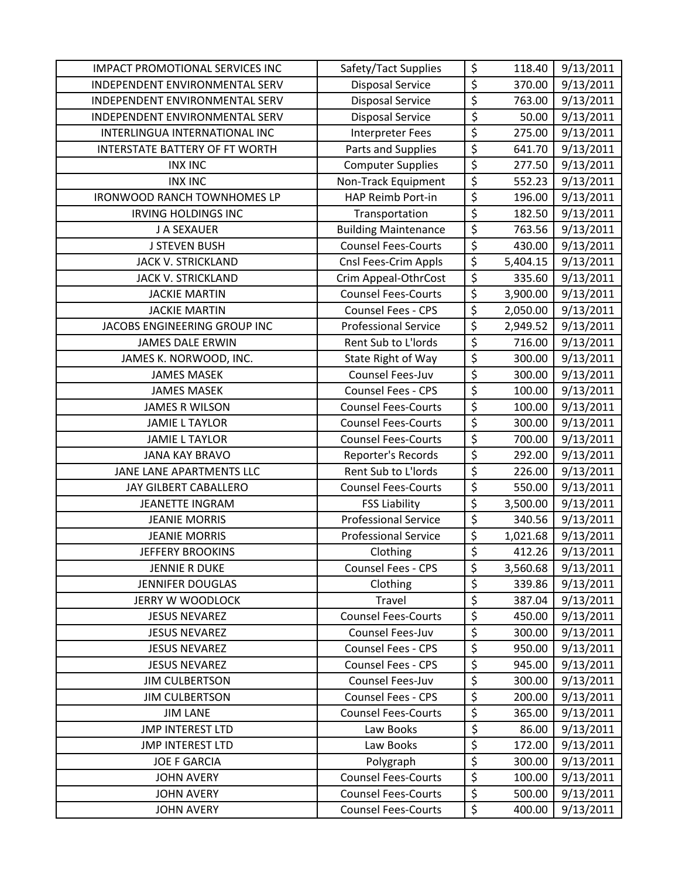| <b>IMPACT PROMOTIONAL SERVICES INC</b> | Safety/Tact Supplies        | \$                     | 118.40   | 9/13/2011 |
|----------------------------------------|-----------------------------|------------------------|----------|-----------|
| INDEPENDENT ENVIRONMENTAL SERV         | <b>Disposal Service</b>     | \$                     | 370.00   | 9/13/2011 |
| INDEPENDENT ENVIRONMENTAL SERV         | <b>Disposal Service</b>     | $\overline{\xi}$       | 763.00   | 9/13/2011 |
| INDEPENDENT ENVIRONMENTAL SERV         | <b>Disposal Service</b>     | \$                     | 50.00    | 9/13/2011 |
| INTERLINGUA INTERNATIONAL INC          | <b>Interpreter Fees</b>     | $\overline{\varsigma}$ | 275.00   | 9/13/2011 |
| INTERSTATE BATTERY OF FT WORTH         | Parts and Supplies          | \$                     | 641.70   | 9/13/2011 |
| <b>INX INC</b>                         | <b>Computer Supplies</b>    | $\overline{\xi}$       | 277.50   | 9/13/2011 |
| <b>INX INC</b>                         | Non-Track Equipment         | $\overline{\xi}$       | 552.23   | 9/13/2011 |
| <b>IRONWOOD RANCH TOWNHOMES LP</b>     | HAP Reimb Port-in           | \$                     | 196.00   | 9/13/2011 |
| <b>IRVING HOLDINGS INC</b>             | Transportation              | $\overline{\xi}$       | 182.50   | 9/13/2011 |
| J A SEXAUER                            | <b>Building Maintenance</b> | $\overline{\xi}$       | 763.56   | 9/13/2011 |
| <b>J STEVEN BUSH</b>                   | <b>Counsel Fees-Courts</b>  | $\overline{\xi}$       | 430.00   | 9/13/2011 |
| JACK V. STRICKLAND                     | Cnsl Fees-Crim Appls        | $\overline{\xi}$       | 5,404.15 | 9/13/2011 |
| <b>JACK V. STRICKLAND</b>              | Crim Appeal-OthrCost        | \$                     | 335.60   | 9/13/2011 |
| <b>JACKIE MARTIN</b>                   | <b>Counsel Fees-Courts</b>  | $\overline{\xi}$       | 3,900.00 | 9/13/2011 |
| <b>JACKIE MARTIN</b>                   | <b>Counsel Fees - CPS</b>   | $\overline{\xi}$       | 2,050.00 | 9/13/2011 |
| JACOBS ENGINEERING GROUP INC           | <b>Professional Service</b> | $\overline{\xi}$       | 2,949.52 | 9/13/2011 |
| <b>JAMES DALE ERWIN</b>                | Rent Sub to L'Iords         | \$                     | 716.00   | 9/13/2011 |
| JAMES K. NORWOOD, INC.                 | State Right of Way          | $\overline{\xi}$       | 300.00   | 9/13/2011 |
| <b>JAMES MASEK</b>                     | Counsel Fees-Juv            | $\overline{\xi}$       | 300.00   | 9/13/2011 |
| <b>JAMES MASEK</b>                     | Counsel Fees - CPS          | \$                     | 100.00   | 9/13/2011 |
| <b>JAMES R WILSON</b>                  | <b>Counsel Fees-Courts</b>  | $\overline{\xi}$       | 100.00   | 9/13/2011 |
| <b>JAMIE L TAYLOR</b>                  | <b>Counsel Fees-Courts</b>  | $\overline{\varsigma}$ | 300.00   | 9/13/2011 |
| <b>JAMIE L TAYLOR</b>                  | <b>Counsel Fees-Courts</b>  | $\overline{\xi}$       | 700.00   | 9/13/2011 |
| <b>JANA KAY BRAVO</b>                  | Reporter's Records          | \$                     | 292.00   | 9/13/2011 |
| JANE LANE APARTMENTS LLC               | Rent Sub to L'Iords         | $\overline{\varsigma}$ | 226.00   | 9/13/2011 |
| JAY GILBERT CABALLERO                  | <b>Counsel Fees-Courts</b>  | $\overline{\xi}$       | 550.00   | 9/13/2011 |
| JEANETTE INGRAM                        | <b>FSS Liability</b>        | $\overline{\xi}$       | 3,500.00 | 9/13/2011 |
| <b>JEANIE MORRIS</b>                   | <b>Professional Service</b> | \$                     | 340.56   | 9/13/2011 |
| <b>JEANIE MORRIS</b>                   | <b>Professional Service</b> | $\overline{\xi}$       | 1,021.68 | 9/13/2011 |
| <b>JEFFERY BROOKINS</b>                | Clothing                    | $\overline{\xi}$       | 412.26   | 9/13/2011 |
| <b>JENNIE R DUKE</b>                   | Counsel Fees - CPS          | \$                     | 3,560.68 | 9/13/2011 |
| <b>JENNIFER DOUGLAS</b>                | Clothing                    | \$                     | 339.86   | 9/13/2011 |
| JERRY W WOODLOCK                       | Travel                      | \$                     | 387.04   | 9/13/2011 |
| <b>JESUS NEVAREZ</b>                   | <b>Counsel Fees-Courts</b>  | \$                     | 450.00   | 9/13/2011 |
| <b>JESUS NEVAREZ</b>                   | Counsel Fees-Juv            | \$                     | 300.00   | 9/13/2011 |
| <b>JESUS NEVAREZ</b>                   | Counsel Fees - CPS          | \$                     | 950.00   | 9/13/2011 |
| <b>JESUS NEVAREZ</b>                   | <b>Counsel Fees - CPS</b>   | \$                     | 945.00   | 9/13/2011 |
| <b>JIM CULBERTSON</b>                  | Counsel Fees-Juv            | \$                     | 300.00   | 9/13/2011 |
| <b>JIM CULBERTSON</b>                  | Counsel Fees - CPS          | \$                     | 200.00   | 9/13/2011 |
| <b>JIM LANE</b>                        | <b>Counsel Fees-Courts</b>  | $\overline{\xi}$       | 365.00   | 9/13/2011 |
| <b>JMP INTEREST LTD</b>                | Law Books                   | \$                     | 86.00    | 9/13/2011 |
| <b>JMP INTEREST LTD</b>                | Law Books                   | \$                     | 172.00   | 9/13/2011 |
| <b>JOE F GARCIA</b>                    | Polygraph                   | $\overline{\xi}$       | 300.00   | 9/13/2011 |
| <b>JOHN AVERY</b>                      | <b>Counsel Fees-Courts</b>  | \$                     | 100.00   | 9/13/2011 |
| <b>JOHN AVERY</b>                      | <b>Counsel Fees-Courts</b>  | \$                     | 500.00   | 9/13/2011 |
| <b>JOHN AVERY</b>                      | <b>Counsel Fees-Courts</b>  | \$                     | 400.00   | 9/13/2011 |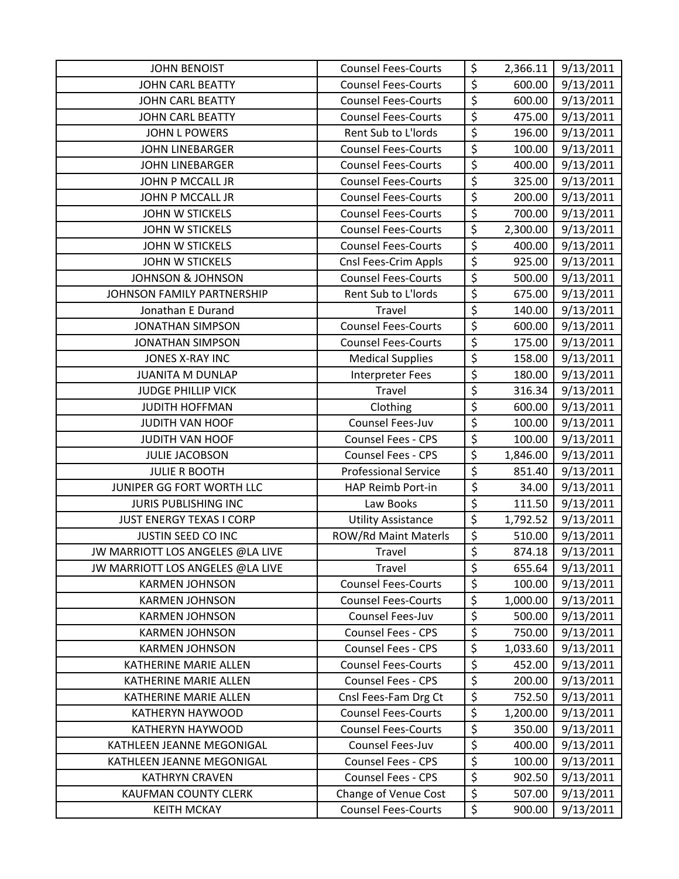| <b>JOHN BENOIST</b>              | <b>Counsel Fees-Courts</b>  | \$               | 2,366.11 | 9/13/2011 |
|----------------------------------|-----------------------------|------------------|----------|-----------|
| <b>JOHN CARL BEATTY</b>          | <b>Counsel Fees-Courts</b>  | \$               | 600.00   | 9/13/2011 |
| <b>JOHN CARL BEATTY</b>          | <b>Counsel Fees-Courts</b>  | \$               | 600.00   | 9/13/2011 |
| <b>JOHN CARL BEATTY</b>          | <b>Counsel Fees-Courts</b>  | $\overline{\xi}$ | 475.00   | 9/13/2011 |
| <b>JOHN L POWERS</b>             | Rent Sub to L'Iords         | \$               | 196.00   | 9/13/2011 |
| <b>JOHN LINEBARGER</b>           | <b>Counsel Fees-Courts</b>  | \$               | 100.00   | 9/13/2011 |
| <b>JOHN LINEBARGER</b>           | <b>Counsel Fees-Courts</b>  | \$               | 400.00   | 9/13/2011 |
| JOHN P MCCALL JR                 | <b>Counsel Fees-Courts</b>  | $\overline{\xi}$ | 325.00   | 9/13/2011 |
| JOHN P MCCALL JR                 | <b>Counsel Fees-Courts</b>  | \$               | 200.00   | 9/13/2011 |
| <b>JOHN W STICKELS</b>           | <b>Counsel Fees-Courts</b>  | \$               | 700.00   | 9/13/2011 |
| <b>JOHN W STICKELS</b>           | <b>Counsel Fees-Courts</b>  | $\overline{\xi}$ | 2,300.00 | 9/13/2011 |
| <b>JOHN W STICKELS</b>           | <b>Counsel Fees-Courts</b>  | \$               | 400.00   | 9/13/2011 |
| <b>JOHN W STICKELS</b>           | Cnsl Fees-Crim Appls        | $\overline{\xi}$ | 925.00   | 9/13/2011 |
| <b>JOHNSON &amp; JOHNSON</b>     | <b>Counsel Fees-Courts</b>  | \$               | 500.00   | 9/13/2011 |
| JOHNSON FAMILY PARTNERSHIP       | Rent Sub to L'Iords         | \$               | 675.00   | 9/13/2011 |
| Jonathan E Durand                | Travel                      | \$               | 140.00   | 9/13/2011 |
| <b>JONATHAN SIMPSON</b>          | <b>Counsel Fees-Courts</b>  | \$               | 600.00   | 9/13/2011 |
| <b>JONATHAN SIMPSON</b>          | <b>Counsel Fees-Courts</b>  | \$               | 175.00   | 9/13/2011 |
| JONES X-RAY INC                  | <b>Medical Supplies</b>     | \$               | 158.00   | 9/13/2011 |
| <b>JUANITA M DUNLAP</b>          | <b>Interpreter Fees</b>     | \$               | 180.00   | 9/13/2011 |
| <b>JUDGE PHILLIP VICK</b>        | Travel                      | \$               | 316.34   | 9/13/2011 |
| <b>JUDITH HOFFMAN</b>            | Clothing                    | \$               | 600.00   | 9/13/2011 |
| JUDITH VAN HOOF                  | Counsel Fees-Juv            | \$               | 100.00   | 9/13/2011 |
| <b>JUDITH VAN HOOF</b>           | <b>Counsel Fees - CPS</b>   | \$               | 100.00   | 9/13/2011 |
| <b>JULIE JACOBSON</b>            | Counsel Fees - CPS          | $\overline{\xi}$ | 1,846.00 | 9/13/2011 |
| <b>JULIE R BOOTH</b>             | <b>Professional Service</b> | \$               | 851.40   | 9/13/2011 |
| JUNIPER GG FORT WORTH LLC        | HAP Reimb Port-in           | \$               | 34.00    | 9/13/2011 |
| <b>JURIS PUBLISHING INC</b>      | Law Books                   | $\overline{\xi}$ | 111.50   | 9/13/2011 |
| <b>JUST ENERGY TEXAS I CORP</b>  | <b>Utility Assistance</b>   | \$               | 1,792.52 | 9/13/2011 |
| JUSTIN SEED CO INC               | ROW/Rd Maint Materls        | \$               | 510.00   | 9/13/2011 |
| JW MARRIOTT LOS ANGELES @LA LIVE | Travel                      | $\overline{\xi}$ | 874.18   | 9/13/2011 |
| JW MARRIOTT LOS ANGELES @LA LIVE | Travel                      | \$               | 655.64   | 9/13/2011 |
| <b>KARMEN JOHNSON</b>            | <b>Counsel Fees-Courts</b>  | $\overline{\xi}$ | 100.00   | 9/13/2011 |
| <b>KARMEN JOHNSON</b>            | <b>Counsel Fees-Courts</b>  | \$               | 1,000.00 | 9/13/2011 |
| <b>KARMEN JOHNSON</b>            | Counsel Fees-Juv            | \$               | 500.00   | 9/13/2011 |
| <b>KARMEN JOHNSON</b>            | Counsel Fees - CPS          | \$               | 750.00   | 9/13/2011 |
| <b>KARMEN JOHNSON</b>            | Counsel Fees - CPS          | \$               | 1,033.60 | 9/13/2011 |
| <b>KATHERINE MARIE ALLEN</b>     | <b>Counsel Fees-Courts</b>  | \$               | 452.00   | 9/13/2011 |
| KATHERINE MARIE ALLEN            | <b>Counsel Fees - CPS</b>   | \$               | 200.00   | 9/13/2011 |
| KATHERINE MARIE ALLEN            | Cnsl Fees-Fam Drg Ct        | \$               | 752.50   | 9/13/2011 |
| <b>KATHERYN HAYWOOD</b>          | <b>Counsel Fees-Courts</b>  | \$               | 1,200.00 | 9/13/2011 |
| KATHERYN HAYWOOD                 | <b>Counsel Fees-Courts</b>  | \$               | 350.00   | 9/13/2011 |
| KATHLEEN JEANNE MEGONIGAL        | Counsel Fees-Juv            | \$               | 400.00   | 9/13/2011 |
| KATHLEEN JEANNE MEGONIGAL        | Counsel Fees - CPS          | \$               | 100.00   | 9/13/2011 |
| <b>KATHRYN CRAVEN</b>            | <b>Counsel Fees - CPS</b>   | \$               | 902.50   | 9/13/2011 |
| <b>KAUFMAN COUNTY CLERK</b>      | Change of Venue Cost        | $\overline{\xi}$ | 507.00   | 9/13/2011 |
| <b>KEITH MCKAY</b>               | <b>Counsel Fees-Courts</b>  | \$               | 900.00   | 9/13/2011 |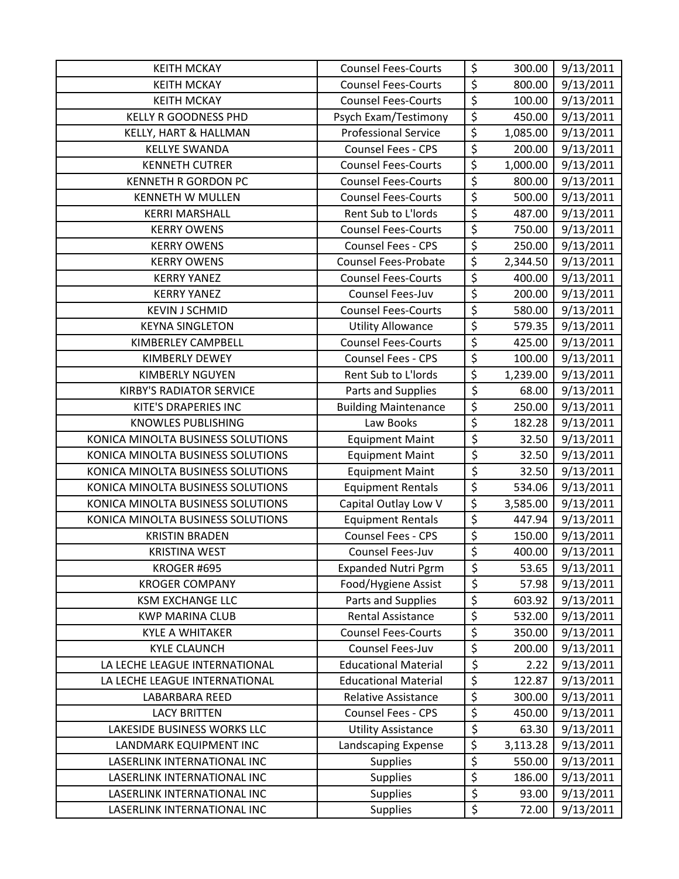| <b>KEITH MCKAY</b>                | <b>Counsel Fees-Courts</b>  | \$                              | 300.00   | 9/13/2011 |
|-----------------------------------|-----------------------------|---------------------------------|----------|-----------|
| <b>KEITH MCKAY</b>                | <b>Counsel Fees-Courts</b>  | $\overline{\xi}$                | 800.00   | 9/13/2011 |
| <b>KEITH MCKAY</b>                | <b>Counsel Fees-Courts</b>  | $\overline{\xi}$                | 100.00   | 9/13/2011 |
| <b>KELLY R GOODNESS PHD</b>       | Psych Exam/Testimony        | $\overline{\xi}$                | 450.00   | 9/13/2011 |
| KELLY, HART & HALLMAN             | <b>Professional Service</b> | $\overline{\xi}$                | 1,085.00 | 9/13/2011 |
| <b>KELLYE SWANDA</b>              | Counsel Fees - CPS          | $\overline{\xi}$                | 200.00   | 9/13/2011 |
| <b>KENNETH CUTRER</b>             | <b>Counsel Fees-Courts</b>  | \$                              | 1,000.00 | 9/13/2011 |
| <b>KENNETH R GORDON PC</b>        | <b>Counsel Fees-Courts</b>  | $\overline{\varsigma}$          | 800.00   | 9/13/2011 |
| <b>KENNETH W MULLEN</b>           | <b>Counsel Fees-Courts</b>  | \$                              | 500.00   | 9/13/2011 |
| <b>KERRI MARSHALL</b>             | Rent Sub to L'Iords         | $\overline{\boldsymbol{\zeta}}$ | 487.00   | 9/13/2011 |
| <b>KERRY OWENS</b>                | <b>Counsel Fees-Courts</b>  | $\overline{\xi}$                | 750.00   | 9/13/2011 |
| <b>KERRY OWENS</b>                | <b>Counsel Fees - CPS</b>   | $\overline{\xi}$                | 250.00   | 9/13/2011 |
| <b>KERRY OWENS</b>                | <b>Counsel Fees-Probate</b> | \$                              | 2,344.50 | 9/13/2011 |
| <b>KERRY YANEZ</b>                | <b>Counsel Fees-Courts</b>  | \$                              | 400.00   | 9/13/2011 |
| <b>KERRY YANEZ</b>                | Counsel Fees-Juv            | $\overline{\xi}$                | 200.00   | 9/13/2011 |
| <b>KEVIN J SCHMID</b>             | <b>Counsel Fees-Courts</b>  | $\overline{\varsigma}$          | 580.00   | 9/13/2011 |
| <b>KEYNA SINGLETON</b>            | <b>Utility Allowance</b>    | $\overline{\xi}$                | 579.35   | 9/13/2011 |
| KIMBERLEY CAMPBELL                | <b>Counsel Fees-Courts</b>  | $\overline{\xi}$                | 425.00   | 9/13/2011 |
| <b>KIMBERLY DEWEY</b>             | <b>Counsel Fees - CPS</b>   | $\overline{\xi}$                | 100.00   | 9/13/2011 |
| <b>KIMBERLY NGUYEN</b>            | Rent Sub to L'Iords         | $\overline{\xi}$                | 1,239.00 | 9/13/2011 |
| <b>KIRBY'S RADIATOR SERVICE</b>   | Parts and Supplies          | $\overline{\xi}$                | 68.00    | 9/13/2011 |
| KITE'S DRAPERIES INC              | <b>Building Maintenance</b> | $\overline{\xi}$                | 250.00   | 9/13/2011 |
| <b>KNOWLES PUBLISHING</b>         | Law Books                   | $\overline{\xi}$                | 182.28   | 9/13/2011 |
| KONICA MINOLTA BUSINESS SOLUTIONS | <b>Equipment Maint</b>      | \$                              | 32.50    | 9/13/2011 |
| KONICA MINOLTA BUSINESS SOLUTIONS | <b>Equipment Maint</b>      | $\overline{\xi}$                | 32.50    | 9/13/2011 |
| KONICA MINOLTA BUSINESS SOLUTIONS | <b>Equipment Maint</b>      | $\overline{\xi}$                | 32.50    | 9/13/2011 |
| KONICA MINOLTA BUSINESS SOLUTIONS | <b>Equipment Rentals</b>    | $\overline{\xi}$                | 534.06   | 9/13/2011 |
| KONICA MINOLTA BUSINESS SOLUTIONS | Capital Outlay Low V        | $\overline{\xi}$                | 3,585.00 | 9/13/2011 |
| KONICA MINOLTA BUSINESS SOLUTIONS | <b>Equipment Rentals</b>    | $\overline{\xi}$                | 447.94   | 9/13/2011 |
| <b>KRISTIN BRADEN</b>             | Counsel Fees - CPS          | $\overline{\varsigma}$          | 150.00   | 9/13/2011 |
| <b>KRISTINA WEST</b>              | Counsel Fees-Juv            | \$                              | 400.00   | 9/13/2011 |
| KROGER #695                       | <b>Expanded Nutri Pgrm</b>  | \$                              | 53.65    | 9/13/2011 |
| <b>KROGER COMPANY</b>             | Food/Hygiene Assist         | \$                              | 57.98    | 9/13/2011 |
| <b>KSM EXCHANGE LLC</b>           | Parts and Supplies          | $\overline{\xi}$                | 603.92   | 9/13/2011 |
| <b>KWP MARINA CLUB</b>            | <b>Rental Assistance</b>    | \$                              | 532.00   | 9/13/2011 |
| <b>KYLE A WHITAKER</b>            | <b>Counsel Fees-Courts</b>  | \$                              | 350.00   | 9/13/2011 |
| <b>KYLE CLAUNCH</b>               | Counsel Fees-Juv            | $\overline{\varsigma}$          | 200.00   | 9/13/2011 |
| LA LECHE LEAGUE INTERNATIONAL     | <b>Educational Material</b> | \$                              | 2.22     | 9/13/2011 |
| LA LECHE LEAGUE INTERNATIONAL     | <b>Educational Material</b> | $\overline{\xi}$                | 122.87   | 9/13/2011 |
| LABARBARA REED                    | <b>Relative Assistance</b>  | $\overline{\varsigma}$          | 300.00   | 9/13/2011 |
| <b>LACY BRITTEN</b>               | <b>Counsel Fees - CPS</b>   | \$                              | 450.00   | 9/13/2011 |
| LAKESIDE BUSINESS WORKS LLC       | <b>Utility Assistance</b>   | \$                              | 63.30    | 9/13/2011 |
| LANDMARK EQUIPMENT INC            | Landscaping Expense         | $\overline{\xi}$                | 3,113.28 | 9/13/2011 |
| LASERLINK INTERNATIONAL INC       | <b>Supplies</b>             | \$                              | 550.00   | 9/13/2011 |
| LASERLINK INTERNATIONAL INC       | <b>Supplies</b>             | \$                              | 186.00   | 9/13/2011 |
| LASERLINK INTERNATIONAL INC       | <b>Supplies</b>             | $\overline{\xi}$                | 93.00    | 9/13/2011 |
| LASERLINK INTERNATIONAL INC       | Supplies                    | \$                              | 72.00    | 9/13/2011 |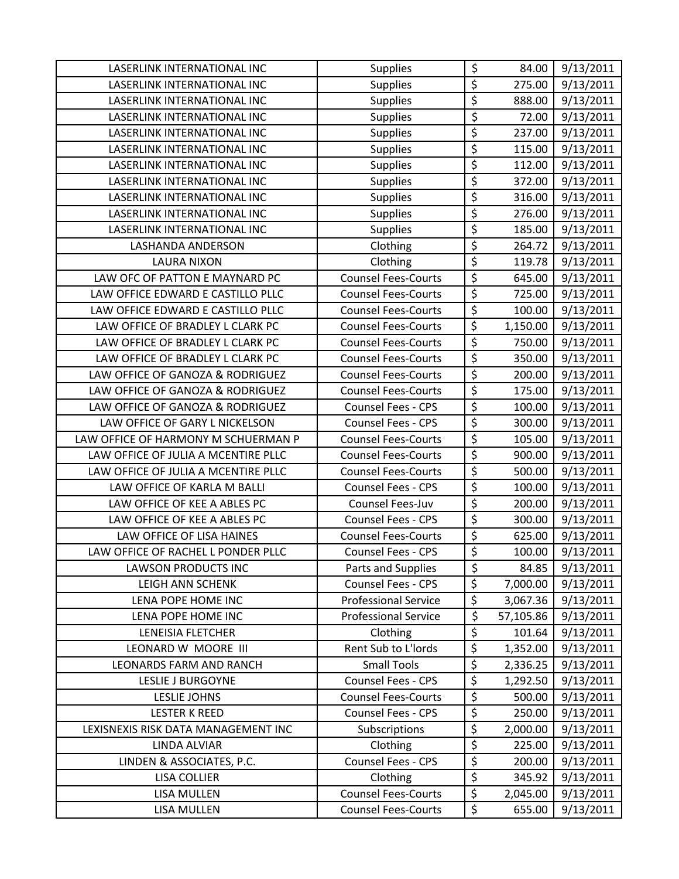| LASERLINK INTERNATIONAL INC         | <b>Supplies</b>             | \$                     | 84.00     | 9/13/2011 |
|-------------------------------------|-----------------------------|------------------------|-----------|-----------|
| LASERLINK INTERNATIONAL INC         | Supplies                    | $\overline{\xi}$       | 275.00    | 9/13/2011 |
| LASERLINK INTERNATIONAL INC         | <b>Supplies</b>             | \$                     | 888.00    | 9/13/2011 |
| LASERLINK INTERNATIONAL INC         | <b>Supplies</b>             | \$                     | 72.00     | 9/13/2011 |
| LASERLINK INTERNATIONAL INC         | <b>Supplies</b>             | \$                     | 237.00    | 9/13/2011 |
| LASERLINK INTERNATIONAL INC         | <b>Supplies</b>             | \$                     | 115.00    | 9/13/2011 |
| LASERLINK INTERNATIONAL INC         | <b>Supplies</b>             | \$                     | 112.00    | 9/13/2011 |
| LASERLINK INTERNATIONAL INC         | <b>Supplies</b>             | $\overline{\xi}$       | 372.00    | 9/13/2011 |
| LASERLINK INTERNATIONAL INC         | <b>Supplies</b>             | \$                     | 316.00    | 9/13/2011 |
| LASERLINK INTERNATIONAL INC         | <b>Supplies</b>             | \$                     | 276.00    | 9/13/2011 |
| LASERLINK INTERNATIONAL INC         | <b>Supplies</b>             | \$                     | 185.00    | 9/13/2011 |
| <b>LASHANDA ANDERSON</b>            | Clothing                    | \$                     | 264.72    | 9/13/2011 |
| <b>LAURA NIXON</b>                  | Clothing                    | \$                     | 119.78    | 9/13/2011 |
| LAW OFC OF PATTON E MAYNARD PC      | <b>Counsel Fees-Courts</b>  | \$                     | 645.00    | 9/13/2011 |
| LAW OFFICE EDWARD E CASTILLO PLLC   | <b>Counsel Fees-Courts</b>  | $\overline{\varsigma}$ | 725.00    | 9/13/2011 |
| LAW OFFICE EDWARD E CASTILLO PLLC   | <b>Counsel Fees-Courts</b>  | $\overline{\varsigma}$ | 100.00    | 9/13/2011 |
| LAW OFFICE OF BRADLEY L CLARK PC    | <b>Counsel Fees-Courts</b>  | $\overline{\xi}$       | 1,150.00  | 9/13/2011 |
| LAW OFFICE OF BRADLEY L CLARK PC    | <b>Counsel Fees-Courts</b>  | \$                     | 750.00    | 9/13/2011 |
| LAW OFFICE OF BRADLEY L CLARK PC    | <b>Counsel Fees-Courts</b>  | \$                     | 350.00    | 9/13/2011 |
| LAW OFFICE OF GANOZA & RODRIGUEZ    | <b>Counsel Fees-Courts</b>  | $\overline{\xi}$       | 200.00    | 9/13/2011 |
| LAW OFFICE OF GANOZA & RODRIGUEZ    | <b>Counsel Fees-Courts</b>  | $\overline{\xi}$       | 175.00    | 9/13/2011 |
| LAW OFFICE OF GANOZA & RODRIGUEZ    | <b>Counsel Fees - CPS</b>   | $\overline{\xi}$       | 100.00    | 9/13/2011 |
| LAW OFFICE OF GARY L NICKELSON      | <b>Counsel Fees - CPS</b>   | $\overline{\varsigma}$ | 300.00    | 9/13/2011 |
| LAW OFFICE OF HARMONY M SCHUERMAN P | <b>Counsel Fees-Courts</b>  | \$                     | 105.00    | 9/13/2011 |
| LAW OFFICE OF JULIA A MCENTIRE PLLC | <b>Counsel Fees-Courts</b>  | $\overline{\xi}$       | 900.00    | 9/13/2011 |
| LAW OFFICE OF JULIA A MCENTIRE PLLC | <b>Counsel Fees-Courts</b>  | \$                     | 500.00    | 9/13/2011 |
| LAW OFFICE OF KARLA M BALLI         | <b>Counsel Fees - CPS</b>   | $\overline{\xi}$       | 100.00    | 9/13/2011 |
| LAW OFFICE OF KEE A ABLES PC        | Counsel Fees-Juv            | \$                     | 200.00    | 9/13/2011 |
| LAW OFFICE OF KEE A ABLES PC        | <b>Counsel Fees - CPS</b>   | $\overline{\xi}$       | 300.00    | 9/13/2011 |
| LAW OFFICE OF LISA HAINES           | <b>Counsel Fees-Courts</b>  | $\overline{\xi}$       | 625.00    | 9/13/2011 |
| LAW OFFICE OF RACHEL L PONDER PLLC  | Counsel Fees - CPS          | \$                     | 100.00    | 9/13/2011 |
| <b>LAWSON PRODUCTS INC</b>          | Parts and Supplies          | \$                     | 84.85     | 9/13/2011 |
| LEIGH ANN SCHENK                    | Counsel Fees - CPS          | $\overline{\xi}$       | 7,000.00  | 9/13/2011 |
| LENA POPE HOME INC                  | <b>Professional Service</b> | $\overline{\xi}$       | 3,067.36  | 9/13/2011 |
| LENA POPE HOME INC                  | <b>Professional Service</b> | \$                     | 57,105.86 | 9/13/2011 |
| LENEISIA FLETCHER                   | Clothing                    | \$                     | 101.64    | 9/13/2011 |
| LEONARD W MOORE III                 | Rent Sub to L'Iords         | $\overline{\varsigma}$ | 1,352.00  | 9/13/2011 |
| <b>LEONARDS FARM AND RANCH</b>      | <b>Small Tools</b>          | \$                     | 2,336.25  | 9/13/2011 |
| <b>LESLIE J BURGOYNE</b>            | <b>Counsel Fees - CPS</b>   | $\overline{\xi}$       | 1,292.50  | 9/13/2011 |
| <b>LESLIE JOHNS</b>                 | <b>Counsel Fees-Courts</b>  | \$                     | 500.00    | 9/13/2011 |
| <b>LESTER K REED</b>                | <b>Counsel Fees - CPS</b>   | $\overline{\varsigma}$ | 250.00    | 9/13/2011 |
| LEXISNEXIS RISK DATA MANAGEMENT INC | Subscriptions               | \$                     | 2,000.00  | 9/13/2011 |
| <b>LINDA ALVIAR</b>                 | Clothing                    | \$                     | 225.00    | 9/13/2011 |
| LINDEN & ASSOCIATES, P.C.           | Counsel Fees - CPS          | $\overline{\varsigma}$ | 200.00    | 9/13/2011 |
| <b>LISA COLLIER</b>                 | Clothing                    | \$                     | 345.92    | 9/13/2011 |
| <b>LISA MULLEN</b>                  | <b>Counsel Fees-Courts</b>  | $\overline{\xi}$       | 2,045.00  | 9/13/2011 |
| LISA MULLEN                         | <b>Counsel Fees-Courts</b>  | \$                     | 655.00    | 9/13/2011 |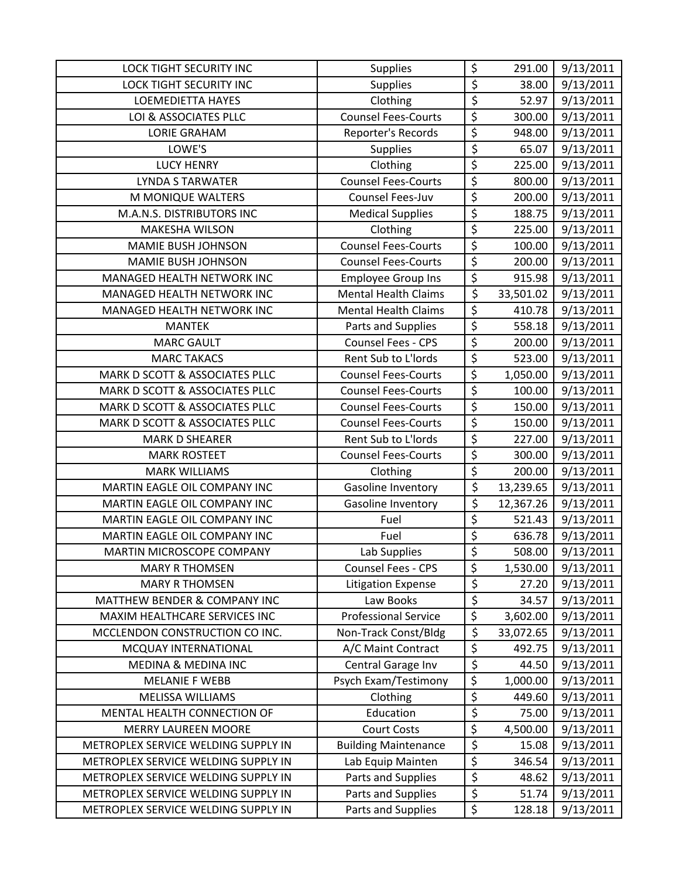| <b>LOCK TIGHT SECURITY INC</b>      | <b>Supplies</b>             | \$                              | 291.00    | 9/13/2011 |
|-------------------------------------|-----------------------------|---------------------------------|-----------|-----------|
| LOCK TIGHT SECURITY INC             | <b>Supplies</b>             | \$                              | 38.00     | 9/13/2011 |
| <b>LOEMEDIETTA HAYES</b>            | Clothing                    | \$                              | 52.97     | 9/13/2011 |
| LOI & ASSOCIATES PLLC               | <b>Counsel Fees-Courts</b>  | \$                              | 300.00    | 9/13/2011 |
| <b>LORIE GRAHAM</b>                 | Reporter's Records          | $\overline{\boldsymbol{\zeta}}$ | 948.00    | 9/13/2011 |
| LOWE'S                              | <b>Supplies</b>             | \$                              | 65.07     | 9/13/2011 |
| <b>LUCY HENRY</b>                   | Clothing                    | \$                              | 225.00    | 9/13/2011 |
| <b>LYNDA S TARWATER</b>             | <b>Counsel Fees-Courts</b>  | \$                              | 800.00    | 9/13/2011 |
| M MONIQUE WALTERS                   | <b>Counsel Fees-Juv</b>     | \$                              | 200.00    | 9/13/2011 |
| M.A.N.S. DISTRIBUTORS INC           | <b>Medical Supplies</b>     | \$                              | 188.75    | 9/13/2011 |
| <b>MAKESHA WILSON</b>               | Clothing                    | \$                              | 225.00    | 9/13/2011 |
| <b>MAMIE BUSH JOHNSON</b>           | <b>Counsel Fees-Courts</b>  | \$                              | 100.00    | 9/13/2011 |
| <b>MAMIE BUSH JOHNSON</b>           | <b>Counsel Fees-Courts</b>  | \$                              | 200.00    | 9/13/2011 |
| MANAGED HEALTH NETWORK INC          | <b>Employee Group Ins</b>   | $\overline{\xi}$                | 915.98    | 9/13/2011 |
| MANAGED HEALTH NETWORK INC          | <b>Mental Health Claims</b> | $\overline{\xi}$                | 33,501.02 | 9/13/2011 |
| MANAGED HEALTH NETWORK INC          | <b>Mental Health Claims</b> | \$                              | 410.78    | 9/13/2011 |
| <b>MANTEK</b>                       | Parts and Supplies          | \$                              | 558.18    | 9/13/2011 |
| <b>MARC GAULT</b>                   | <b>Counsel Fees - CPS</b>   | \$                              | 200.00    | 9/13/2011 |
| <b>MARC TAKACS</b>                  | Rent Sub to L'Iords         | $\overline{\boldsymbol{\zeta}}$ | 523.00    | 9/13/2011 |
| MARK D SCOTT & ASSOCIATES PLLC      | <b>Counsel Fees-Courts</b>  | $\overline{\xi}$                | 1,050.00  | 9/13/2011 |
| MARK D SCOTT & ASSOCIATES PLLC      | <b>Counsel Fees-Courts</b>  | \$                              | 100.00    | 9/13/2011 |
| MARK D SCOTT & ASSOCIATES PLLC      | <b>Counsel Fees-Courts</b>  | $\overline{\xi}$                | 150.00    | 9/13/2011 |
| MARK D SCOTT & ASSOCIATES PLLC      | <b>Counsel Fees-Courts</b>  | \$                              | 150.00    | 9/13/2011 |
| <b>MARK D SHEARER</b>               | Rent Sub to L'Iords         | \$                              | 227.00    | 9/13/2011 |
| <b>MARK ROSTEET</b>                 | <b>Counsel Fees-Courts</b>  | \$                              | 300.00    | 9/13/2011 |
| <b>MARK WILLIAMS</b>                | Clothing                    | \$                              | 200.00    | 9/13/2011 |
| MARTIN EAGLE OIL COMPANY INC        | Gasoline Inventory          | \$                              | 13,239.65 | 9/13/2011 |
| MARTIN EAGLE OIL COMPANY INC        | Gasoline Inventory          | \$                              | 12,367.26 | 9/13/2011 |
| MARTIN EAGLE OIL COMPANY INC        | Fuel                        | \$                              | 521.43    | 9/13/2011 |
| MARTIN EAGLE OIL COMPANY INC        | Fuel                        | $\overline{\xi}$                | 636.78    | 9/13/2011 |
| MARTIN MICROSCOPE COMPANY           | Lab Supplies                | \$                              | 508.00    | 9/13/2011 |
| <b>MARY R THOMSEN</b>               | Counsel Fees - CPS          | \$                              | 1,530.00  | 9/13/2011 |
| <b>MARY R THOMSEN</b>               | <b>Litigation Expense</b>   | \$                              | 27.20     | 9/13/2011 |
| MATTHEW BENDER & COMPANY INC        | Law Books                   | \$                              | 34.57     | 9/13/2011 |
| MAXIM HEALTHCARE SERVICES INC       | <b>Professional Service</b> | \$                              | 3,602.00  | 9/13/2011 |
| MCCLENDON CONSTRUCTION CO INC.      | Non-Track Const/Bldg        | \$                              | 33,072.65 | 9/13/2011 |
| MCQUAY INTERNATIONAL                | A/C Maint Contract          | \$                              | 492.75    | 9/13/2011 |
| <b>MEDINA &amp; MEDINA INC</b>      | Central Garage Inv          | \$                              | 44.50     | 9/13/2011 |
| <b>MELANIE F WEBB</b>               | Psych Exam/Testimony        | \$                              | 1,000.00  | 9/13/2011 |
| MELISSA WILLIAMS                    | Clothing                    | \$                              | 449.60    | 9/13/2011 |
| MENTAL HEALTH CONNECTION OF         | Education                   | \$                              | 75.00     | 9/13/2011 |
| <b>MERRY LAUREEN MOORE</b>          | <b>Court Costs</b>          | \$                              | 4,500.00  | 9/13/2011 |
| METROPLEX SERVICE WELDING SUPPLY IN | <b>Building Maintenance</b> | \$                              | 15.08     | 9/13/2011 |
| METROPLEX SERVICE WELDING SUPPLY IN | Lab Equip Mainten           | $\overline{\varsigma}$          | 346.54    | 9/13/2011 |
| METROPLEX SERVICE WELDING SUPPLY IN | Parts and Supplies          | \$                              | 48.62     | 9/13/2011 |
| METROPLEX SERVICE WELDING SUPPLY IN | Parts and Supplies          | \$                              | 51.74     | 9/13/2011 |
| METROPLEX SERVICE WELDING SUPPLY IN | Parts and Supplies          | \$                              | 128.18    | 9/13/2011 |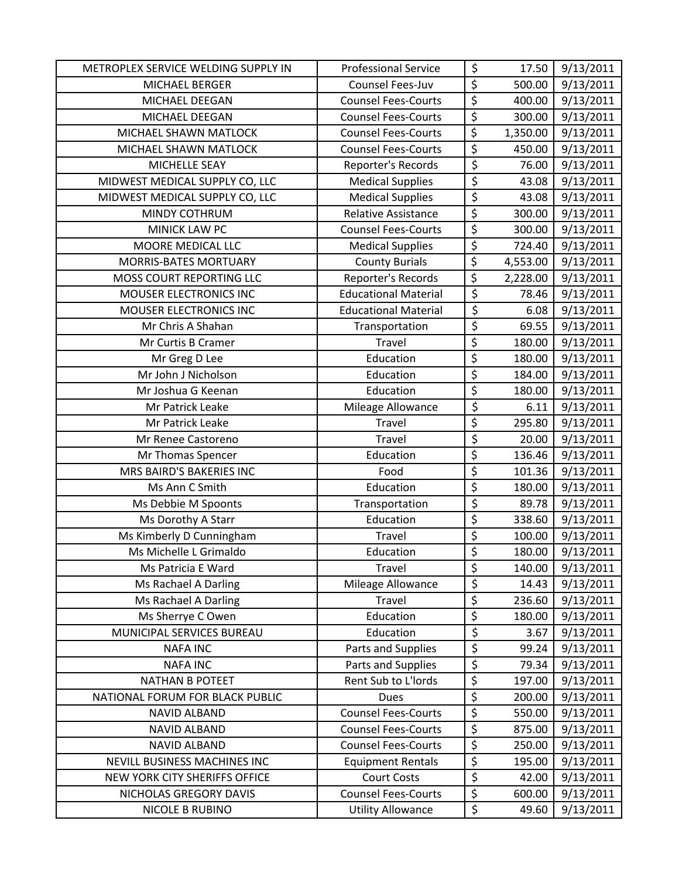| METROPLEX SERVICE WELDING SUPPLY IN | <b>Professional Service</b> | \$                     | 17.50    | 9/13/2011 |
|-------------------------------------|-----------------------------|------------------------|----------|-----------|
| MICHAEL BERGER                      | Counsel Fees-Juv            | \$                     | 500.00   | 9/13/2011 |
| MICHAEL DEEGAN                      | <b>Counsel Fees-Courts</b>  | $\overline{\xi}$       | 400.00   | 9/13/2011 |
| MICHAEL DEEGAN                      | <b>Counsel Fees-Courts</b>  | \$                     | 300.00   | 9/13/2011 |
| MICHAEL SHAWN MATLOCK               | <b>Counsel Fees-Courts</b>  | \$                     | 1,350.00 | 9/13/2011 |
| MICHAEL SHAWN MATLOCK               | <b>Counsel Fees-Courts</b>  | \$                     | 450.00   | 9/13/2011 |
| MICHELLE SEAY                       | Reporter's Records          | \$                     | 76.00    | 9/13/2011 |
| MIDWEST MEDICAL SUPPLY CO, LLC      | <b>Medical Supplies</b>     | $\overline{\xi}$       | 43.08    | 9/13/2011 |
| MIDWEST MEDICAL SUPPLY CO, LLC      | <b>Medical Supplies</b>     | \$                     | 43.08    | 9/13/2011 |
| MINDY COTHRUM                       | Relative Assistance         | \$                     | 300.00   | 9/13/2011 |
| MINICK LAW PC                       | <b>Counsel Fees-Courts</b>  | \$                     | 300.00   | 9/13/2011 |
| MOORE MEDICAL LLC                   | <b>Medical Supplies</b>     | \$                     | 724.40   | 9/13/2011 |
| <b>MORRIS-BATES MORTUARY</b>        | <b>County Burials</b>       | \$                     | 4,553.00 | 9/13/2011 |
| MOSS COURT REPORTING LLC            | Reporter's Records          | \$                     | 2,228.00 | 9/13/2011 |
| MOUSER ELECTRONICS INC              | <b>Educational Material</b> | \$                     | 78.46    | 9/13/2011 |
| MOUSER ELECTRONICS INC              | <b>Educational Material</b> | \$                     | 6.08     | 9/13/2011 |
| Mr Chris A Shahan                   | Transportation              | \$                     | 69.55    | 9/13/2011 |
| Mr Curtis B Cramer                  | Travel                      | \$                     | 180.00   | 9/13/2011 |
| Mr Greg D Lee                       | Education                   | $\overline{\varsigma}$ | 180.00   | 9/13/2011 |
| Mr John J Nicholson                 | Education                   | \$                     | 184.00   | 9/13/2011 |
| Mr Joshua G Keenan                  | Education                   | \$                     | 180.00   | 9/13/2011 |
| Mr Patrick Leake                    | Mileage Allowance           | \$                     | 6.11     | 9/13/2011 |
| Mr Patrick Leake                    | Travel                      | \$                     | 295.80   | 9/13/2011 |
| Mr Renee Castoreno                  | Travel                      | \$                     | 20.00    | 9/13/2011 |
| Mr Thomas Spencer                   | Education                   | \$                     | 136.46   | 9/13/2011 |
| MRS BAIRD'S BAKERIES INC            | Food                        | \$                     | 101.36   | 9/13/2011 |
| Ms Ann C Smith                      | Education                   | \$                     | 180.00   | 9/13/2011 |
| Ms Debbie M Spoonts                 | Transportation              | \$                     | 89.78    | 9/13/2011 |
| Ms Dorothy A Starr                  | Education                   | $\overline{\xi}$       | 338.60   | 9/13/2011 |
| Ms Kimberly D Cunningham            | Travel                      | \$                     | 100.00   | 9/13/2011 |
| Ms Michelle L Grimaldo              | Education                   | $\overline{\xi}$       | 180.00   | 9/13/2011 |
| Ms Patricia E Ward                  | Travel                      | \$                     | 140.00   | 9/13/2011 |
| Ms Rachael A Darling                | Mileage Allowance           | \$                     | 14.43    | 9/13/2011 |
| Ms Rachael A Darling                | Travel                      | \$                     | 236.60   | 9/13/2011 |
| Ms Sherrye C Owen                   | Education                   | \$                     | 180.00   | 9/13/2011 |
| MUNICIPAL SERVICES BUREAU           | Education                   | \$                     | 3.67     | 9/13/2011 |
| <b>NAFA INC</b>                     | Parts and Supplies          | \$                     | 99.24    | 9/13/2011 |
| <b>NAFA INC</b>                     | Parts and Supplies          | \$                     | 79.34    | 9/13/2011 |
| <b>NATHAN B POTEET</b>              | Rent Sub to L'Iords         | \$                     | 197.00   | 9/13/2011 |
| NATIONAL FORUM FOR BLACK PUBLIC     | <b>Dues</b>                 | \$                     | 200.00   | 9/13/2011 |
| <b>NAVID ALBAND</b>                 | <b>Counsel Fees-Courts</b>  | \$                     | 550.00   | 9/13/2011 |
| <b>NAVID ALBAND</b>                 | <b>Counsel Fees-Courts</b>  | \$                     | 875.00   | 9/13/2011 |
| <b>NAVID ALBAND</b>                 | <b>Counsel Fees-Courts</b>  | \$                     | 250.00   | 9/13/2011 |
| NEVILL BUSINESS MACHINES INC        | <b>Equipment Rentals</b>    | $\overline{\xi}$       | 195.00   | 9/13/2011 |
| NEW YORK CITY SHERIFFS OFFICE       | <b>Court Costs</b>          | \$                     | 42.00    | 9/13/2011 |
| NICHOLAS GREGORY DAVIS              | <b>Counsel Fees-Courts</b>  | \$                     | 600.00   | 9/13/2011 |
| NICOLE B RUBINO                     | <b>Utility Allowance</b>    | \$                     | 49.60    | 9/13/2011 |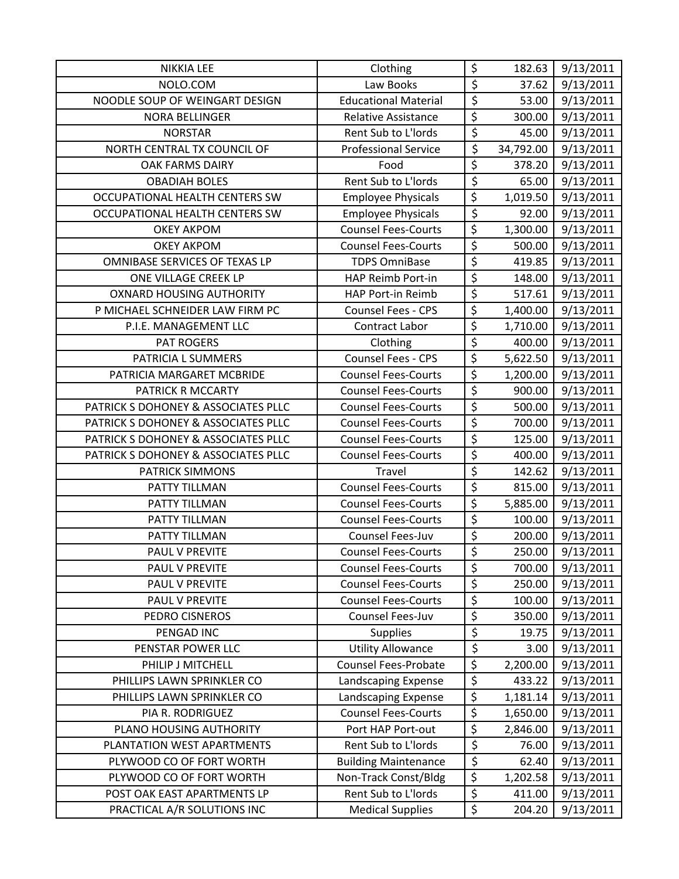| <b>NIKKIA LEE</b>                   | Clothing                    | \$                     | 182.63    | 9/13/2011 |
|-------------------------------------|-----------------------------|------------------------|-----------|-----------|
| NOLO.COM                            | Law Books                   | \$                     | 37.62     | 9/13/2011 |
| NOODLE SOUP OF WEINGART DESIGN      | <b>Educational Material</b> | \$                     | 53.00     | 9/13/2011 |
| <b>NORA BELLINGER</b>               | <b>Relative Assistance</b>  | \$                     | 300.00    | 9/13/2011 |
| <b>NORSTAR</b>                      | Rent Sub to L'Iords         | $\overline{\varsigma}$ | 45.00     | 9/13/2011 |
| NORTH CENTRAL TX COUNCIL OF         | <b>Professional Service</b> | \$                     | 34,792.00 | 9/13/2011 |
| <b>OAK FARMS DAIRY</b>              | Food                        | \$                     | 378.20    | 9/13/2011 |
| <b>OBADIAH BOLES</b>                | <b>Rent Sub to L'Iords</b>  | \$                     | 65.00     | 9/13/2011 |
| OCCUPATIONAL HEALTH CENTERS SW      | <b>Employee Physicals</b>   | \$                     | 1,019.50  | 9/13/2011 |
| OCCUPATIONAL HEALTH CENTERS SW      | <b>Employee Physicals</b>   | \$                     | 92.00     | 9/13/2011 |
| <b>OKEY AKPOM</b>                   | <b>Counsel Fees-Courts</b>  | $\overline{\xi}$       | 1,300.00  | 9/13/2011 |
| <b>OKEY AKPOM</b>                   | <b>Counsel Fees-Courts</b>  | \$                     | 500.00    | 9/13/2011 |
| OMNIBASE SERVICES OF TEXAS LP       | <b>TDPS OmniBase</b>        | \$                     | 419.85    | 9/13/2011 |
| ONE VILLAGE CREEK LP                | HAP Reimb Port-in           | \$                     | 148.00    | 9/13/2011 |
| <b>OXNARD HOUSING AUTHORITY</b>     | HAP Port-in Reimb           | $\overline{\xi}$       | 517.61    | 9/13/2011 |
| P MICHAEL SCHNEIDER LAW FIRM PC     | Counsel Fees - CPS          | $\overline{\varsigma}$ | 1,400.00  | 9/13/2011 |
| P.I.E. MANAGEMENT LLC               | Contract Labor              | \$                     | 1,710.00  | 9/13/2011 |
| <b>PAT ROGERS</b>                   | Clothing                    | $\overline{\xi}$       | 400.00    | 9/13/2011 |
| PATRICIA L SUMMERS                  | Counsel Fees - CPS          | $\overline{\varsigma}$ | 5,622.50  | 9/13/2011 |
| PATRICIA MARGARET MCBRIDE           | <b>Counsel Fees-Courts</b>  | \$                     | 1,200.00  | 9/13/2011 |
| PATRICK R MCCARTY                   | <b>Counsel Fees-Courts</b>  | $\overline{\xi}$       | 900.00    | 9/13/2011 |
| PATRICK S DOHONEY & ASSOCIATES PLLC | <b>Counsel Fees-Courts</b>  | \$                     | 500.00    | 9/13/2011 |
| PATRICK S DOHONEY & ASSOCIATES PLLC | <b>Counsel Fees-Courts</b>  | $\overline{\varsigma}$ | 700.00    | 9/13/2011 |
| PATRICK S DOHONEY & ASSOCIATES PLLC | <b>Counsel Fees-Courts</b>  | $\overline{\xi}$       | 125.00    | 9/13/2011 |
| PATRICK S DOHONEY & ASSOCIATES PLLC | <b>Counsel Fees-Courts</b>  | $\overline{\xi}$       | 400.00    | 9/13/2011 |
| PATRICK SIMMONS                     | Travel                      | $\overline{\varsigma}$ | 142.62    | 9/13/2011 |
| PATTY TILLMAN                       | <b>Counsel Fees-Courts</b>  | $\overline{\xi}$       | 815.00    | 9/13/2011 |
| PATTY TILLMAN                       | <b>Counsel Fees-Courts</b>  | \$                     | 5,885.00  | 9/13/2011 |
| PATTY TILLMAN                       | <b>Counsel Fees-Courts</b>  | \$                     | 100.00    | 9/13/2011 |
| PATTY TILLMAN                       | Counsel Fees-Juv            | $\overline{\varsigma}$ | 200.00    | 9/13/2011 |
| <b>PAUL V PREVITE</b>               | <b>Counsel Fees-Courts</b>  | \$                     | 250.00    | 9/13/2011 |
| PAUL V PREVITE                      | <b>Counsel Fees-Courts</b>  | \$                     | 700.00    | 9/13/2011 |
| PAUL V PREVITE                      | <b>Counsel Fees-Courts</b>  | \$                     | 250.00    | 9/13/2011 |
| PAUL V PREVITE                      | <b>Counsel Fees-Courts</b>  | \$                     | 100.00    | 9/13/2011 |
| PEDRO CISNEROS                      | Counsel Fees-Juv            | \$                     | 350.00    | 9/13/2011 |
| PENGAD INC                          | <b>Supplies</b>             | \$                     | 19.75     | 9/13/2011 |
| PENSTAR POWER LLC                   | <b>Utility Allowance</b>    | $\overline{\varsigma}$ | 3.00      | 9/13/2011 |
| PHILIP J MITCHELL                   | <b>Counsel Fees-Probate</b> | \$                     | 2,200.00  | 9/13/2011 |
| PHILLIPS LAWN SPRINKLER CO          | Landscaping Expense         | \$                     | 433.22    | 9/13/2011 |
| PHILLIPS LAWN SPRINKLER CO          | Landscaping Expense         | \$                     | 1,181.14  | 9/13/2011 |
| PIA R. RODRIGUEZ                    | <b>Counsel Fees-Courts</b>  | \$                     | 1,650.00  | 9/13/2011 |
| PLANO HOUSING AUTHORITY             | Port HAP Port-out           | \$                     | 2,846.00  | 9/13/2011 |
| PLANTATION WEST APARTMENTS          | Rent Sub to L'Iords         | \$                     | 76.00     | 9/13/2011 |
| PLYWOOD CO OF FORT WORTH            | <b>Building Maintenance</b> | \$                     | 62.40     | 9/13/2011 |
| PLYWOOD CO OF FORT WORTH            | Non-Track Const/Bldg        | \$                     | 1,202.58  | 9/13/2011 |
| POST OAK EAST APARTMENTS LP         | Rent Sub to L'Iords         | \$                     | 411.00    | 9/13/2011 |
| PRACTICAL A/R SOLUTIONS INC         | <b>Medical Supplies</b>     | \$                     | 204.20    | 9/13/2011 |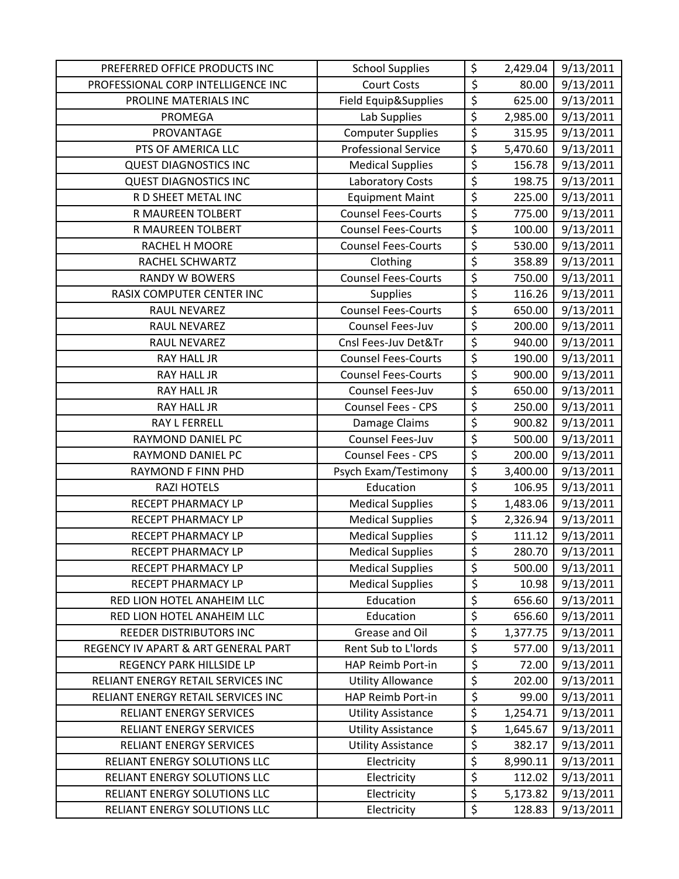| PREFERRED OFFICE PRODUCTS INC       | <b>School Supplies</b>      | \$                     | 2,429.04 | 9/13/2011 |
|-------------------------------------|-----------------------------|------------------------|----------|-----------|
| PROFESSIONAL CORP INTELLIGENCE INC  | <b>Court Costs</b>          | \$                     | 80.00    | 9/13/2011 |
| PROLINE MATERIALS INC               | Field Equip&Supplies        | $\overline{\xi}$       | 625.00   | 9/13/2011 |
| <b>PROMEGA</b>                      | Lab Supplies                | \$                     | 2,985.00 | 9/13/2011 |
| PROVANTAGE                          | <b>Computer Supplies</b>    | $\overline{\varsigma}$ | 315.95   | 9/13/2011 |
| PTS OF AMERICA LLC                  | <b>Professional Service</b> | \$                     | 5,470.60 | 9/13/2011 |
| <b>QUEST DIAGNOSTICS INC</b>        | <b>Medical Supplies</b>     | \$                     | 156.78   | 9/13/2011 |
| <b>QUEST DIAGNOSTICS INC</b>        | Laboratory Costs            | \$                     | 198.75   | 9/13/2011 |
| R D SHEET METAL INC                 | <b>Equipment Maint</b>      | \$                     | 225.00   | 9/13/2011 |
| R MAUREEN TOLBERT                   | <b>Counsel Fees-Courts</b>  | \$                     | 775.00   | 9/13/2011 |
| R MAUREEN TOLBERT                   | <b>Counsel Fees-Courts</b>  | \$                     | 100.00   | 9/13/2011 |
| RACHEL H MOORE                      | <b>Counsel Fees-Courts</b>  | \$                     | 530.00   | 9/13/2011 |
| RACHEL SCHWARTZ                     | Clothing                    | \$                     | 358.89   | 9/13/2011 |
| <b>RANDY W BOWERS</b>               | <b>Counsel Fees-Courts</b>  | \$                     | 750.00   | 9/13/2011 |
| RASIX COMPUTER CENTER INC           | Supplies                    | $\overline{\varsigma}$ | 116.26   | 9/13/2011 |
| RAUL NEVAREZ                        | <b>Counsel Fees-Courts</b>  | \$                     | 650.00   | 9/13/2011 |
| RAUL NEVAREZ                        | Counsel Fees-Juv            | \$                     | 200.00   | 9/13/2011 |
| RAUL NEVAREZ                        | Cnsl Fees-Juv Det&Tr        | \$                     | 940.00   | 9/13/2011 |
| <b>RAY HALL JR</b>                  | <b>Counsel Fees-Courts</b>  | \$                     | 190.00   | 9/13/2011 |
| <b>RAY HALL JR</b>                  | <b>Counsel Fees-Courts</b>  | $\overline{\xi}$       | 900.00   | 9/13/2011 |
| <b>RAY HALL JR</b>                  | Counsel Fees-Juv            | \$                     | 650.00   | 9/13/2011 |
| RAY HALL JR                         | Counsel Fees - CPS          | \$                     | 250.00   | 9/13/2011 |
| <b>RAY L FERRELL</b>                | Damage Claims               | $\overline{\varsigma}$ | 900.82   | 9/13/2011 |
| RAYMOND DANIEL PC                   | Counsel Fees-Juv            | \$                     | 500.00   | 9/13/2011 |
| RAYMOND DANIEL PC                   | Counsel Fees - CPS          | \$                     | 200.00   | 9/13/2011 |
| RAYMOND F FINN PHD                  | Psych Exam/Testimony        | $\overline{\varsigma}$ | 3,400.00 | 9/13/2011 |
| <b>RAZI HOTELS</b>                  | Education                   | \$                     | 106.95   | 9/13/2011 |
| RECEPT PHARMACY LP                  | <b>Medical Supplies</b>     | \$                     | 1,483.06 | 9/13/2011 |
| <b>RECEPT PHARMACY LP</b>           | <b>Medical Supplies</b>     | $\overline{\xi}$       | 2,326.94 | 9/13/2011 |
| RECEPT PHARMACY LP                  | <b>Medical Supplies</b>     | $\overline{\varsigma}$ | 111.12   | 9/13/2011 |
| RECEPT PHARMACY LP                  | <b>Medical Supplies</b>     | \$                     | 280.70   | 9/13/2011 |
| RECEPT PHARMACY LP                  | <b>Medical Supplies</b>     | \$                     | 500.00   | 9/13/2011 |
| RECEPT PHARMACY LP                  | <b>Medical Supplies</b>     | $\overline{\varsigma}$ | 10.98    | 9/13/2011 |
| RED LION HOTEL ANAHEIM LLC          | Education                   | \$                     | 656.60   | 9/13/2011 |
| RED LION HOTEL ANAHEIM LLC          | Education                   | \$                     | 656.60   | 9/13/2011 |
| <b>REEDER DISTRIBUTORS INC</b>      | Grease and Oil              | \$                     | 1,377.75 | 9/13/2011 |
| REGENCY IV APART & ART GENERAL PART | Rent Sub to L'Iords         | \$                     | 577.00   | 9/13/2011 |
| REGENCY PARK HILLSIDE LP            | HAP Reimb Port-in           | \$                     | 72.00    | 9/13/2011 |
| RELIANT ENERGY RETAIL SERVICES INC  | <b>Utility Allowance</b>    | \$                     | 202.00   | 9/13/2011 |
| RELIANT ENERGY RETAIL SERVICES INC  | HAP Reimb Port-in           | \$                     | 99.00    | 9/13/2011 |
| RELIANT ENERGY SERVICES             | <b>Utility Assistance</b>   | $\overline{\xi}$       | 1,254.71 | 9/13/2011 |
| RELIANT ENERGY SERVICES             | <b>Utility Assistance</b>   | \$                     | 1,645.67 | 9/13/2011 |
| <b>RELIANT ENERGY SERVICES</b>      | <b>Utility Assistance</b>   | \$                     | 382.17   | 9/13/2011 |
| RELIANT ENERGY SOLUTIONS LLC        | Electricity                 | $\overline{\varsigma}$ | 8,990.11 | 9/13/2011 |
| RELIANT ENERGY SOLUTIONS LLC        | Electricity                 | \$                     | 112.02   | 9/13/2011 |
| RELIANT ENERGY SOLUTIONS LLC        | Electricity                 | \$                     | 5,173.82 | 9/13/2011 |
| RELIANT ENERGY SOLUTIONS LLC        | Electricity                 | \$                     | 128.83   | 9/13/2011 |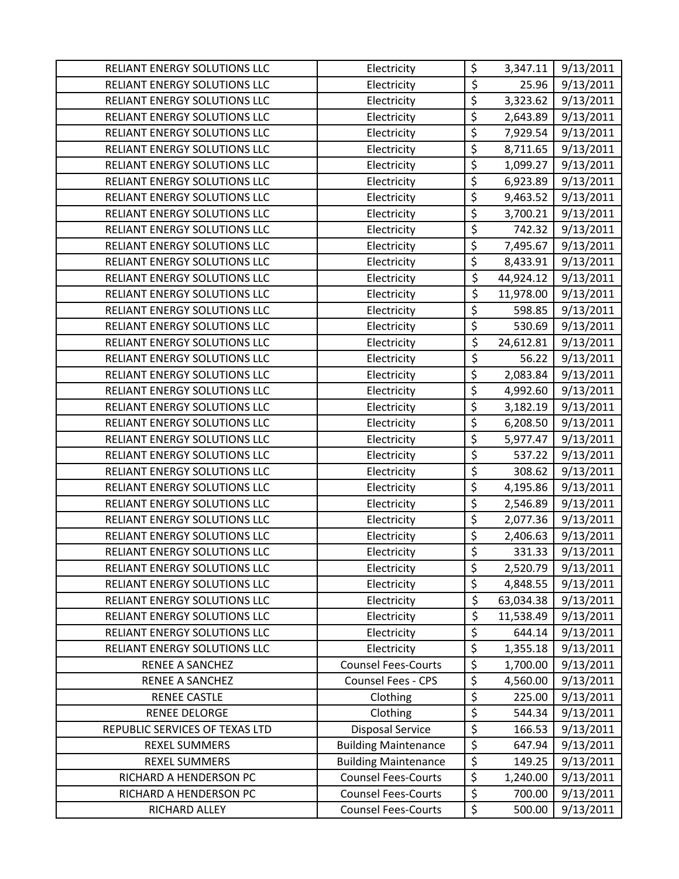| RELIANT ENERGY SOLUTIONS LLC   | Electricity                 | \$                     | 3,347.11  | 9/13/2011 |
|--------------------------------|-----------------------------|------------------------|-----------|-----------|
| RELIANT ENERGY SOLUTIONS LLC   | Electricity                 | \$                     | 25.96     | 9/13/2011 |
| RELIANT ENERGY SOLUTIONS LLC   | Electricity                 | \$                     | 3,323.62  | 9/13/2011 |
| RELIANT ENERGY SOLUTIONS LLC   | Electricity                 | \$                     | 2,643.89  | 9/13/2011 |
| RELIANT ENERGY SOLUTIONS LLC   | Electricity                 | \$                     | 7,929.54  | 9/13/2011 |
| RELIANT ENERGY SOLUTIONS LLC   | Electricity                 | \$                     | 8,711.65  | 9/13/2011 |
| RELIANT ENERGY SOLUTIONS LLC   | Electricity                 | \$                     | 1,099.27  | 9/13/2011 |
| RELIANT ENERGY SOLUTIONS LLC   | Electricity                 | \$                     | 6,923.89  | 9/13/2011 |
| RELIANT ENERGY SOLUTIONS LLC   | Electricity                 | \$                     | 9,463.52  | 9/13/2011 |
| RELIANT ENERGY SOLUTIONS LLC   | Electricity                 | \$                     | 3,700.21  | 9/13/2011 |
| RELIANT ENERGY SOLUTIONS LLC   | Electricity                 | \$                     | 742.32    | 9/13/2011 |
| RELIANT ENERGY SOLUTIONS LLC   | Electricity                 | \$                     | 7,495.67  | 9/13/2011 |
| RELIANT ENERGY SOLUTIONS LLC   | Electricity                 | \$                     | 8,433.91  | 9/13/2011 |
| RELIANT ENERGY SOLUTIONS LLC   | Electricity                 | \$                     | 44,924.12 | 9/13/2011 |
| RELIANT ENERGY SOLUTIONS LLC   | Electricity                 | \$                     | 11,978.00 | 9/13/2011 |
| RELIANT ENERGY SOLUTIONS LLC   | Electricity                 | \$                     | 598.85    | 9/13/2011 |
| RELIANT ENERGY SOLUTIONS LLC   | Electricity                 | \$                     | 530.69    | 9/13/2011 |
| RELIANT ENERGY SOLUTIONS LLC   | Electricity                 | \$                     | 24,612.81 | 9/13/2011 |
| RELIANT ENERGY SOLUTIONS LLC   | Electricity                 | $\overline{\varsigma}$ | 56.22     | 9/13/2011 |
| RELIANT ENERGY SOLUTIONS LLC   | Electricity                 | \$                     | 2,083.84  | 9/13/2011 |
| RELIANT ENERGY SOLUTIONS LLC   | Electricity                 | \$                     | 4,992.60  | 9/13/2011 |
| RELIANT ENERGY SOLUTIONS LLC   | Electricity                 | $\overline{\xi}$       | 3,182.19  | 9/13/2011 |
| RELIANT ENERGY SOLUTIONS LLC   | Electricity                 | \$                     | 6,208.50  | 9/13/2011 |
| RELIANT ENERGY SOLUTIONS LLC   | Electricity                 | \$                     | 5,977.47  | 9/13/2011 |
| RELIANT ENERGY SOLUTIONS LLC   | Electricity                 | \$                     | 537.22    | 9/13/2011 |
| RELIANT ENERGY SOLUTIONS LLC   | Electricity                 | \$                     | 308.62    | 9/13/2011 |
| RELIANT ENERGY SOLUTIONS LLC   | Electricity                 | \$                     | 4,195.86  | 9/13/2011 |
| RELIANT ENERGY SOLUTIONS LLC   | Electricity                 | \$                     | 2,546.89  | 9/13/2011 |
| RELIANT ENERGY SOLUTIONS LLC   | Electricity                 | \$                     | 2,077.36  | 9/13/2011 |
| RELIANT ENERGY SOLUTIONS LLC   | Electricity                 | $\overline{\varsigma}$ | 2,406.63  | 9/13/2011 |
| RELIANT ENERGY SOLUTIONS LLC   | Electricity                 | \$                     | 331.33    | 9/13/2011 |
| RELIANT ENERGY SOLUTIONS LLC   | Electricity                 | \$                     | 2,520.79  | 9/13/2011 |
| RELIANT ENERGY SOLUTIONS LLC   | Electricity                 | \$                     | 4,848.55  | 9/13/2011 |
| RELIANT ENERGY SOLUTIONS LLC   | Electricity                 | \$                     | 63,034.38 | 9/13/2011 |
| RELIANT ENERGY SOLUTIONS LLC   | Electricity                 | \$                     | 11,538.49 | 9/13/2011 |
| RELIANT ENERGY SOLUTIONS LLC   | Electricity                 | \$                     | 644.14    | 9/13/2011 |
| RELIANT ENERGY SOLUTIONS LLC   | Electricity                 | \$                     | 1,355.18  | 9/13/2011 |
| RENEE A SANCHEZ                | <b>Counsel Fees-Courts</b>  | \$                     | 1,700.00  | 9/13/2011 |
| RENEE A SANCHEZ                | Counsel Fees - CPS          | \$                     | 4,560.00  | 9/13/2011 |
| <b>RENEE CASTLE</b>            | Clothing                    | \$                     | 225.00    | 9/13/2011 |
| <b>RENEE DELORGE</b>           | Clothing                    | \$                     | 544.34    | 9/13/2011 |
| REPUBLIC SERVICES OF TEXAS LTD | <b>Disposal Service</b>     | \$                     | 166.53    | 9/13/2011 |
| <b>REXEL SUMMERS</b>           | <b>Building Maintenance</b> | \$                     | 647.94    | 9/13/2011 |
| <b>REXEL SUMMERS</b>           | <b>Building Maintenance</b> | $\overline{\xi}$       | 149.25    | 9/13/2011 |
| RICHARD A HENDERSON PC         | <b>Counsel Fees-Courts</b>  | $\overline{\xi}$       | 1,240.00  | 9/13/2011 |
| RICHARD A HENDERSON PC         | <b>Counsel Fees-Courts</b>  | \$                     | 700.00    | 9/13/2011 |
| RICHARD ALLEY                  | <b>Counsel Fees-Courts</b>  | \$                     | 500.00    | 9/13/2011 |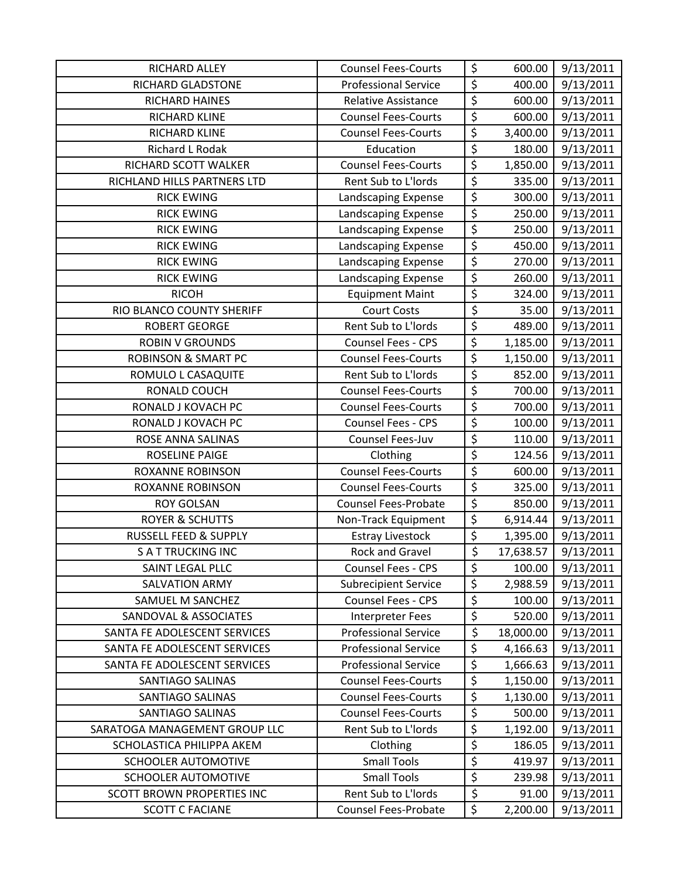| RICHARD ALLEY                    | <b>Counsel Fees-Courts</b>  | \$                     | 600.00    | 9/13/2011 |
|----------------------------------|-----------------------------|------------------------|-----------|-----------|
| RICHARD GLADSTONE                | <b>Professional Service</b> | $\overline{\xi}$       | 400.00    | 9/13/2011 |
| RICHARD HAINES                   | <b>Relative Assistance</b>  | $\overline{\xi}$       | 600.00    | 9/13/2011 |
| RICHARD KLINE                    | <b>Counsel Fees-Courts</b>  | \$                     | 600.00    | 9/13/2011 |
| RICHARD KLINE                    | <b>Counsel Fees-Courts</b>  | $\overline{\xi}$       | 3,400.00  | 9/13/2011 |
| Richard L Rodak                  | Education                   | $\overline{\xi}$       | 180.00    | 9/13/2011 |
| RICHARD SCOTT WALKER             | <b>Counsel Fees-Courts</b>  | \$                     | 1,850.00  | 9/13/2011 |
| RICHLAND HILLS PARTNERS LTD      | Rent Sub to L'Iords         | \$                     | 335.00    | 9/13/2011 |
| <b>RICK EWING</b>                | Landscaping Expense         | $\overline{\varsigma}$ | 300.00    | 9/13/2011 |
| <b>RICK EWING</b>                | Landscaping Expense         | $\overline{\xi}$       | 250.00    | 9/13/2011 |
| <b>RICK EWING</b>                | Landscaping Expense         | $\overline{\xi}$       | 250.00    | 9/13/2011 |
| <b>RICK EWING</b>                | Landscaping Expense         | $\overline{\xi}$       | 450.00    | 9/13/2011 |
| <b>RICK EWING</b>                | Landscaping Expense         | $\overline{\xi}$       | 270.00    | 9/13/2011 |
| <b>RICK EWING</b>                | Landscaping Expense         | \$                     | 260.00    | 9/13/2011 |
| <b>RICOH</b>                     | <b>Equipment Maint</b>      | $\overline{\xi}$       | 324.00    | 9/13/2011 |
| RIO BLANCO COUNTY SHERIFF        | <b>Court Costs</b>          | \$                     | 35.00     | 9/13/2011 |
| <b>ROBERT GEORGE</b>             | Rent Sub to L'Iords         | \$                     | 489.00    | 9/13/2011 |
| <b>ROBIN V GROUNDS</b>           | Counsel Fees - CPS          | $\overline{\xi}$       | 1,185.00  | 9/13/2011 |
| <b>ROBINSON &amp; SMART PC</b>   | <b>Counsel Fees-Courts</b>  | $\overline{\varsigma}$ | 1,150.00  | 9/13/2011 |
| ROMULO L CASAQUITE               | Rent Sub to L'Iords         | \$                     | 852.00    | 9/13/2011 |
| RONALD COUCH                     | <b>Counsel Fees-Courts</b>  | $\overline{\xi}$       | 700.00    | 9/13/2011 |
| RONALD J KOVACH PC               | <b>Counsel Fees-Courts</b>  | $\overline{\xi}$       | 700.00    | 9/13/2011 |
| RONALD J KOVACH PC               | Counsel Fees - CPS          | $\overline{\varsigma}$ | 100.00    | 9/13/2011 |
| ROSE ANNA SALINAS                | Counsel Fees-Juv            | \$                     | 110.00    | 9/13/2011 |
| ROSELINE PAIGE                   | Clothing                    | \$                     | 124.56    | 9/13/2011 |
| <b>ROXANNE ROBINSON</b>          | <b>Counsel Fees-Courts</b>  | \$                     | 600.00    | 9/13/2011 |
| <b>ROXANNE ROBINSON</b>          | <b>Counsel Fees-Courts</b>  | $\overline{\xi}$       | 325.00    | 9/13/2011 |
| <b>ROY GOLSAN</b>                | <b>Counsel Fees-Probate</b> | \$                     | 850.00    | 9/13/2011 |
| <b>ROYER &amp; SCHUTTS</b>       | Non-Track Equipment         | $\overline{\xi}$       | 6,914.44  | 9/13/2011 |
| RUSSELL FEED & SUPPLY            | <b>Estray Livestock</b>     | \$                     | 1,395.00  | 9/13/2011 |
| <b>SATTRUCKING INC</b>           | <b>Rock and Gravel</b>      | \$                     | 17,638.57 | 9/13/2011 |
| SAINT LEGAL PLLC                 | Counsel Fees - CPS          | \$                     | 100.00    | 9/13/2011 |
| <b>SALVATION ARMY</b>            | <b>Subrecipient Service</b> | \$                     | 2,988.59  | 9/13/2011 |
| SAMUEL M SANCHEZ                 | Counsel Fees - CPS          | $\overline{\xi}$       | 100.00    | 9/13/2011 |
| <b>SANDOVAL &amp; ASSOCIATES</b> | Interpreter Fees            | \$                     | 520.00    | 9/13/2011 |
| SANTA FE ADOLESCENT SERVICES     | <b>Professional Service</b> | \$                     | 18,000.00 | 9/13/2011 |
| SANTA FE ADOLESCENT SERVICES     | <b>Professional Service</b> | $\overline{\varsigma}$ | 4,166.63  | 9/13/2011 |
| SANTA FE ADOLESCENT SERVICES     | <b>Professional Service</b> | \$                     | 1,666.63  | 9/13/2011 |
| SANTIAGO SALINAS                 | <b>Counsel Fees-Courts</b>  | \$                     | 1,150.00  | 9/13/2011 |
| SANTIAGO SALINAS                 | <b>Counsel Fees-Courts</b>  | $\overline{\xi}$       | 1,130.00  | 9/13/2011 |
| <b>SANTIAGO SALINAS</b>          | <b>Counsel Fees-Courts</b>  | \$                     | 500.00    | 9/13/2011 |
| SARATOGA MANAGEMENT GROUP LLC    | Rent Sub to L'Iords         | \$                     | 1,192.00  | 9/13/2011 |
| SCHOLASTICA PHILIPPA AKEM        | Clothing                    | \$                     | 186.05    | 9/13/2011 |
| <b>SCHOOLER AUTOMOTIVE</b>       | <b>Small Tools</b>          | \$                     | 419.97    | 9/13/2011 |
| <b>SCHOOLER AUTOMOTIVE</b>       | <b>Small Tools</b>          | \$                     | 239.98    | 9/13/2011 |
| SCOTT BROWN PROPERTIES INC       | Rent Sub to L'Iords         | $\overline{\xi}$       | 91.00     | 9/13/2011 |
| <b>SCOTT C FACIANE</b>           | <b>Counsel Fees-Probate</b> | \$                     | 2,200.00  | 9/13/2011 |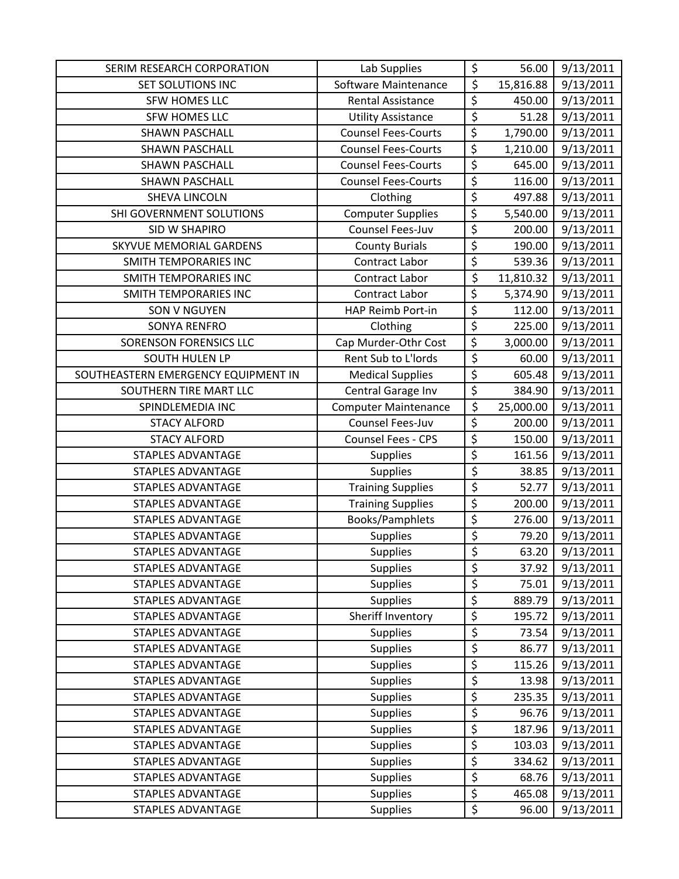| SERIM RESEARCH CORPORATION          | Lab Supplies                | \$                     | 56.00     | 9/13/2011 |
|-------------------------------------|-----------------------------|------------------------|-----------|-----------|
| SET SOLUTIONS INC                   | Software Maintenance        | \$                     | 15,816.88 | 9/13/2011 |
| SFW HOMES LLC                       | <b>Rental Assistance</b>    | \$                     | 450.00    | 9/13/2011 |
| SFW HOMES LLC                       | <b>Utility Assistance</b>   | \$                     | 51.28     | 9/13/2011 |
| <b>SHAWN PASCHALL</b>               | <b>Counsel Fees-Courts</b>  | \$                     | 1,790.00  | 9/13/2011 |
| <b>SHAWN PASCHALL</b>               | <b>Counsel Fees-Courts</b>  | $\overline{\xi}$       | 1,210.00  | 9/13/2011 |
| <b>SHAWN PASCHALL</b>               | <b>Counsel Fees-Courts</b>  | \$                     | 645.00    | 9/13/2011 |
| <b>SHAWN PASCHALL</b>               | <b>Counsel Fees-Courts</b>  | \$                     | 116.00    | 9/13/2011 |
| SHEVA LINCOLN                       | Clothing                    | \$                     | 497.88    | 9/13/2011 |
| SHI GOVERNMENT SOLUTIONS            | <b>Computer Supplies</b>    | \$                     | 5,540.00  | 9/13/2011 |
| SID W SHAPIRO                       | Counsel Fees-Juv            | \$                     | 200.00    | 9/13/2011 |
| SKYVUE MEMORIAL GARDENS             | <b>County Burials</b>       | $\overline{\varsigma}$ | 190.00    | 9/13/2011 |
| SMITH TEMPORARIES INC               | Contract Labor              | \$                     | 539.36    | 9/13/2011 |
| <b>SMITH TEMPORARIES INC</b>        | Contract Labor              | \$                     | 11,810.32 | 9/13/2011 |
| <b>SMITH TEMPORARIES INC</b>        | <b>Contract Labor</b>       | $\overline{\varsigma}$ | 5,374.90  | 9/13/2011 |
| <b>SON V NGUYEN</b>                 | HAP Reimb Port-in           | \$                     | 112.00    | 9/13/2011 |
| <b>SONYA RENFRO</b>                 | Clothing                    | \$                     | 225.00    | 9/13/2011 |
| <b>SORENSON FORENSICS LLC</b>       | Cap Murder-Othr Cost        | \$                     | 3,000.00  | 9/13/2011 |
| <b>SOUTH HULEN LP</b>               | Rent Sub to L'Iords         | \$                     | 60.00     | 9/13/2011 |
| SOUTHEASTERN EMERGENCY EQUIPMENT IN | <b>Medical Supplies</b>     | \$                     | 605.48    | 9/13/2011 |
| SOUTHERN TIRE MART LLC              | Central Garage Inv          | \$                     | 384.90    | 9/13/2011 |
| SPINDLEMEDIA INC                    | <b>Computer Maintenance</b> | \$                     | 25,000.00 | 9/13/2011 |
| <b>STACY ALFORD</b>                 | Counsel Fees-Juv            | \$                     | 200.00    | 9/13/2011 |
| <b>STACY ALFORD</b>                 | <b>Counsel Fees - CPS</b>   | \$                     | 150.00    | 9/13/2011 |
| <b>STAPLES ADVANTAGE</b>            | <b>Supplies</b>             | \$                     | 161.56    | 9/13/2011 |
| STAPLES ADVANTAGE                   | Supplies                    | \$                     | 38.85     | 9/13/2011 |
| STAPLES ADVANTAGE                   | <b>Training Supplies</b>    | \$                     | 52.77     | 9/13/2011 |
| <b>STAPLES ADVANTAGE</b>            | <b>Training Supplies</b>    | \$                     | 200.00    | 9/13/2011 |
| <b>STAPLES ADVANTAGE</b>            | Books/Pamphlets             | \$                     | 276.00    | 9/13/2011 |
| <b>STAPLES ADVANTAGE</b>            | <b>Supplies</b>             | \$                     | 79.20     | 9/13/2011 |
| <b>STAPLES ADVANTAGE</b>            | <b>Supplies</b>             | \$                     | 63.20     | 9/13/2011 |
| STAPLES ADVANTAGE                   | <b>Supplies</b>             | \$                     | 37.92     | 9/13/2011 |
| <b>STAPLES ADVANTAGE</b>            | <b>Supplies</b>             | \$                     | 75.01     | 9/13/2011 |
| STAPLES ADVANTAGE                   | <b>Supplies</b>             | \$                     | 889.79    | 9/13/2011 |
| <b>STAPLES ADVANTAGE</b>            | Sheriff Inventory           | \$                     | 195.72    | 9/13/2011 |
| <b>STAPLES ADVANTAGE</b>            | <b>Supplies</b>             | \$                     | 73.54     | 9/13/2011 |
| <b>STAPLES ADVANTAGE</b>            | <b>Supplies</b>             | \$                     | 86.77     | 9/13/2011 |
| STAPLES ADVANTAGE                   | <b>Supplies</b>             | \$                     | 115.26    | 9/13/2011 |
| <b>STAPLES ADVANTAGE</b>            | <b>Supplies</b>             | \$                     | 13.98     | 9/13/2011 |
| <b>STAPLES ADVANTAGE</b>            | <b>Supplies</b>             | \$                     | 235.35    | 9/13/2011 |
| STAPLES ADVANTAGE                   | <b>Supplies</b>             | \$                     | 96.76     | 9/13/2011 |
| STAPLES ADVANTAGE                   | <b>Supplies</b>             | \$                     | 187.96    | 9/13/2011 |
| <b>STAPLES ADVANTAGE</b>            | Supplies                    | \$                     | 103.03    | 9/13/2011 |
| STAPLES ADVANTAGE                   | <b>Supplies</b>             | \$                     | 334.62    | 9/13/2011 |
| STAPLES ADVANTAGE                   | <b>Supplies</b>             | \$                     | 68.76     | 9/13/2011 |
| STAPLES ADVANTAGE                   | <b>Supplies</b>             | \$                     | 465.08    | 9/13/2011 |
| STAPLES ADVANTAGE                   | <b>Supplies</b>             | \$                     | 96.00     | 9/13/2011 |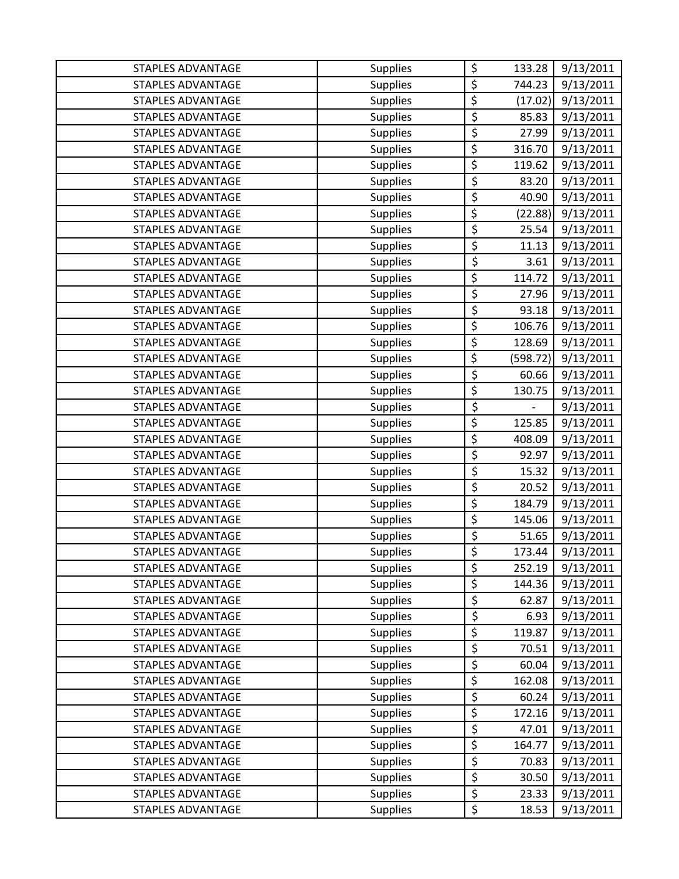| <b>STAPLES ADVANTAGE</b> | <b>Supplies</b> | \$                     | 133.28                   | 9/13/2011 |
|--------------------------|-----------------|------------------------|--------------------------|-----------|
| <b>STAPLES ADVANTAGE</b> | <b>Supplies</b> | \$                     | 744.23                   | 9/13/2011 |
| STAPLES ADVANTAGE        | <b>Supplies</b> | \$                     | (17.02)                  | 9/13/2011 |
| <b>STAPLES ADVANTAGE</b> | <b>Supplies</b> | \$                     | 85.83                    | 9/13/2011 |
| STAPLES ADVANTAGE        | <b>Supplies</b> | \$                     | 27.99                    | 9/13/2011 |
| STAPLES ADVANTAGE        | <b>Supplies</b> | \$                     | 316.70                   | 9/13/2011 |
| <b>STAPLES ADVANTAGE</b> | <b>Supplies</b> | \$                     | 119.62                   | 9/13/2011 |
| <b>STAPLES ADVANTAGE</b> | <b>Supplies</b> | \$                     | 83.20                    | 9/13/2011 |
| <b>STAPLES ADVANTAGE</b> | <b>Supplies</b> | \$                     | 40.90                    | 9/13/2011 |
| <b>STAPLES ADVANTAGE</b> | <b>Supplies</b> | \$                     | (22.88)                  | 9/13/2011 |
| <b>STAPLES ADVANTAGE</b> | <b>Supplies</b> | \$                     | 25.54                    | 9/13/2011 |
| STAPLES ADVANTAGE        | <b>Supplies</b> | \$                     | 11.13                    | 9/13/2011 |
| <b>STAPLES ADVANTAGE</b> | <b>Supplies</b> | \$                     | 3.61                     | 9/13/2011 |
| <b>STAPLES ADVANTAGE</b> | <b>Supplies</b> | \$                     | 114.72                   | 9/13/2011 |
| <b>STAPLES ADVANTAGE</b> | Supplies        | \$                     | 27.96                    | 9/13/2011 |
| <b>STAPLES ADVANTAGE</b> | <b>Supplies</b> | \$                     | 93.18                    | 9/13/2011 |
| <b>STAPLES ADVANTAGE</b> | <b>Supplies</b> | \$                     | 106.76                   | 9/13/2011 |
| STAPLES ADVANTAGE        | <b>Supplies</b> | \$                     | 128.69                   | 9/13/2011 |
| <b>STAPLES ADVANTAGE</b> | <b>Supplies</b> | \$                     | (598.72)                 | 9/13/2011 |
| STAPLES ADVANTAGE        | <b>Supplies</b> | \$                     | 60.66                    | 9/13/2011 |
| <b>STAPLES ADVANTAGE</b> | <b>Supplies</b> | \$                     | 130.75                   | 9/13/2011 |
| STAPLES ADVANTAGE        | <b>Supplies</b> | \$                     | $\overline{\phantom{0}}$ | 9/13/2011 |
| STAPLES ADVANTAGE        | <b>Supplies</b> | $\overline{\varsigma}$ | 125.85                   | 9/13/2011 |
| <b>STAPLES ADVANTAGE</b> | <b>Supplies</b> | \$                     | 408.09                   | 9/13/2011 |
| STAPLES ADVANTAGE        | <b>Supplies</b> | \$                     | 92.97                    | 9/13/2011 |
| STAPLES ADVANTAGE        | <b>Supplies</b> | $\overline{\varsigma}$ | 15.32                    | 9/13/2011 |
| STAPLES ADVANTAGE        | <b>Supplies</b> | \$                     | 20.52                    | 9/13/2011 |
| <b>STAPLES ADVANTAGE</b> | <b>Supplies</b> | \$                     | 184.79                   | 9/13/2011 |
| <b>STAPLES ADVANTAGE</b> | <b>Supplies</b> | \$                     | 145.06                   | 9/13/2011 |
| <b>STAPLES ADVANTAGE</b> | <b>Supplies</b> | \$                     | 51.65                    | 9/13/2011 |
| <b>STAPLES ADVANTAGE</b> | <b>Supplies</b> | \$                     | 173.44                   | 9/13/2011 |
| <b>STAPLES ADVANTAGE</b> | <b>Supplies</b> | \$                     | 252.19                   | 9/13/2011 |
| <b>STAPLES ADVANTAGE</b> | <b>Supplies</b> | \$                     | 144.36                   | 9/13/2011 |
| STAPLES ADVANTAGE        | <b>Supplies</b> | \$                     | 62.87                    | 9/13/2011 |
| <b>STAPLES ADVANTAGE</b> | <b>Supplies</b> | \$                     | 6.93                     | 9/13/2011 |
| <b>STAPLES ADVANTAGE</b> | <b>Supplies</b> | \$                     | 119.87                   | 9/13/2011 |
| <b>STAPLES ADVANTAGE</b> | <b>Supplies</b> | \$                     | 70.51                    | 9/13/2011 |
| <b>STAPLES ADVANTAGE</b> | <b>Supplies</b> | \$                     | 60.04                    | 9/13/2011 |
| STAPLES ADVANTAGE        | <b>Supplies</b> | \$                     | 162.08                   | 9/13/2011 |
| STAPLES ADVANTAGE        | <b>Supplies</b> | \$                     | 60.24                    | 9/13/2011 |
| <b>STAPLES ADVANTAGE</b> | <b>Supplies</b> | \$                     | 172.16                   | 9/13/2011 |
| <b>STAPLES ADVANTAGE</b> | <b>Supplies</b> | \$                     | 47.01                    | 9/13/2011 |
| <b>STAPLES ADVANTAGE</b> | <b>Supplies</b> | \$                     | 164.77                   | 9/13/2011 |
| STAPLES ADVANTAGE        | <b>Supplies</b> | \$                     | 70.83                    | 9/13/2011 |
| STAPLES ADVANTAGE        | <b>Supplies</b> | \$                     | 30.50                    | 9/13/2011 |
| STAPLES ADVANTAGE        | <b>Supplies</b> | $\overline{\xi}$       | 23.33                    | 9/13/2011 |
| STAPLES ADVANTAGE        | <b>Supplies</b> | \$                     | 18.53                    | 9/13/2011 |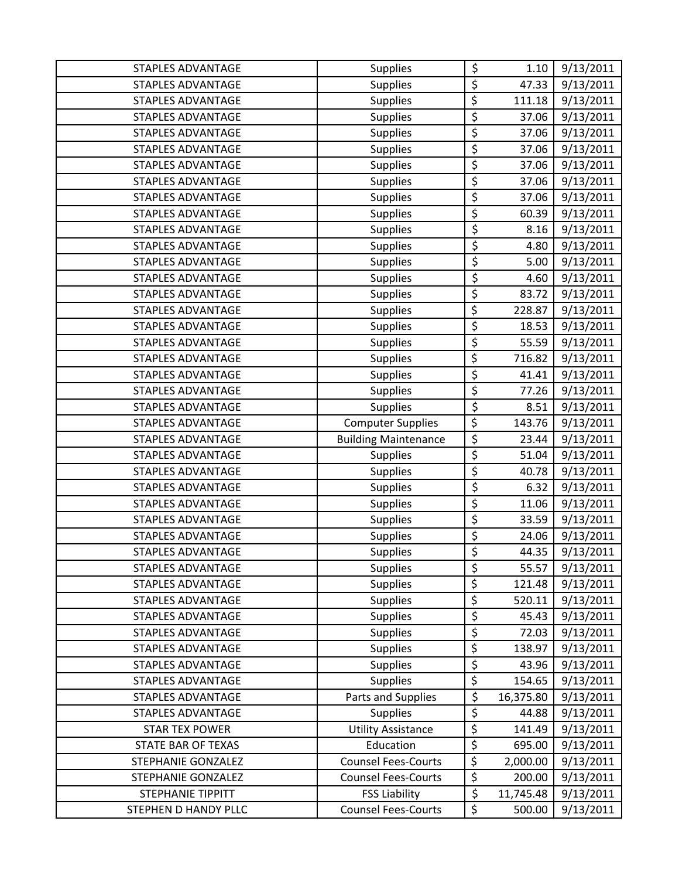| <b>STAPLES ADVANTAGE</b>  | <b>Supplies</b>             | \$                     | 1.10      | 9/13/2011 |
|---------------------------|-----------------------------|------------------------|-----------|-----------|
| STAPLES ADVANTAGE         | <b>Supplies</b>             | \$                     | 47.33     | 9/13/2011 |
| STAPLES ADVANTAGE         | <b>Supplies</b>             | \$                     | 111.18    | 9/13/2011 |
| <b>STAPLES ADVANTAGE</b>  | <b>Supplies</b>             | \$                     | 37.06     | 9/13/2011 |
| <b>STAPLES ADVANTAGE</b>  | <b>Supplies</b>             | \$                     | 37.06     | 9/13/2011 |
| STAPLES ADVANTAGE         | <b>Supplies</b>             | \$                     | 37.06     | 9/13/2011 |
| <b>STAPLES ADVANTAGE</b>  | <b>Supplies</b>             | \$                     | 37.06     | 9/13/2011 |
| STAPLES ADVANTAGE         | <b>Supplies</b>             | \$                     | 37.06     | 9/13/2011 |
| <b>STAPLES ADVANTAGE</b>  | <b>Supplies</b>             | \$                     | 37.06     | 9/13/2011 |
| <b>STAPLES ADVANTAGE</b>  | <b>Supplies</b>             | \$                     | 60.39     | 9/13/2011 |
| <b>STAPLES ADVANTAGE</b>  | <b>Supplies</b>             | \$                     | 8.16      | 9/13/2011 |
| STAPLES ADVANTAGE         | <b>Supplies</b>             | \$                     | 4.80      | 9/13/2011 |
| STAPLES ADVANTAGE         | <b>Supplies</b>             | \$                     | 5.00      | 9/13/2011 |
| <b>STAPLES ADVANTAGE</b>  | <b>Supplies</b>             | \$                     | 4.60      | 9/13/2011 |
| <b>STAPLES ADVANTAGE</b>  | <b>Supplies</b>             | \$                     | 83.72     | 9/13/2011 |
| STAPLES ADVANTAGE         | <b>Supplies</b>             | \$                     | 228.87    | 9/13/2011 |
| <b>STAPLES ADVANTAGE</b>  | <b>Supplies</b>             | \$                     | 18.53     | 9/13/2011 |
| STAPLES ADVANTAGE         | <b>Supplies</b>             | \$                     | 55.59     | 9/13/2011 |
| STAPLES ADVANTAGE         | <b>Supplies</b>             | \$                     | 716.82    | 9/13/2011 |
| <b>STAPLES ADVANTAGE</b>  | <b>Supplies</b>             | \$                     | 41.41     | 9/13/2011 |
| <b>STAPLES ADVANTAGE</b>  | <b>Supplies</b>             | \$                     | 77.26     | 9/13/2011 |
| STAPLES ADVANTAGE         | <b>Supplies</b>             | \$                     | 8.51      | 9/13/2011 |
| <b>STAPLES ADVANTAGE</b>  | <b>Computer Supplies</b>    | \$                     | 143.76    | 9/13/2011 |
| <b>STAPLES ADVANTAGE</b>  | <b>Building Maintenance</b> | \$                     | 23.44     | 9/13/2011 |
| STAPLES ADVANTAGE         | <b>Supplies</b>             | \$                     | 51.04     | 9/13/2011 |
| <b>STAPLES ADVANTAGE</b>  | <b>Supplies</b>             | \$                     | 40.78     | 9/13/2011 |
| STAPLES ADVANTAGE         | <b>Supplies</b>             | \$                     | 6.32      | 9/13/2011 |
| <b>STAPLES ADVANTAGE</b>  | <b>Supplies</b>             | \$                     | 11.06     | 9/13/2011 |
| <b>STAPLES ADVANTAGE</b>  | <b>Supplies</b>             | \$                     | 33.59     | 9/13/2011 |
| <b>STAPLES ADVANTAGE</b>  | Supplies                    | \$                     | 24.06     | 9/13/2011 |
| <b>STAPLES ADVANTAGE</b>  | <b>Supplies</b>             | \$                     | 44.35     | 9/13/2011 |
| <b>STAPLES ADVANTAGE</b>  | <b>Supplies</b>             | \$                     | 55.57     | 9/13/2011 |
| <b>STAPLES ADVANTAGE</b>  | <b>Supplies</b>             | \$                     | 121.48    | 9/13/2011 |
| STAPLES ADVANTAGE         | <b>Supplies</b>             | \$                     | 520.11    | 9/13/2011 |
| <b>STAPLES ADVANTAGE</b>  | <b>Supplies</b>             | \$                     | 45.43     | 9/13/2011 |
| <b>STAPLES ADVANTAGE</b>  | <b>Supplies</b>             | \$                     | 72.03     | 9/13/2011 |
| STAPLES ADVANTAGE         | <b>Supplies</b>             | \$                     | 138.97    | 9/13/2011 |
| <b>STAPLES ADVANTAGE</b>  | <b>Supplies</b>             | \$                     | 43.96     | 9/13/2011 |
| <b>STAPLES ADVANTAGE</b>  | <b>Supplies</b>             | \$                     | 154.65    | 9/13/2011 |
| <b>STAPLES ADVANTAGE</b>  | Parts and Supplies          | \$                     | 16,375.80 | 9/13/2011 |
| <b>STAPLES ADVANTAGE</b>  | <b>Supplies</b>             | \$                     | 44.88     | 9/13/2011 |
| <b>STAR TEX POWER</b>     | <b>Utility Assistance</b>   | \$                     | 141.49    | 9/13/2011 |
| <b>STATE BAR OF TEXAS</b> | Education                   | \$                     | 695.00    | 9/13/2011 |
| STEPHANIE GONZALEZ        | <b>Counsel Fees-Courts</b>  | $\overline{\varsigma}$ | 2,000.00  | 9/13/2011 |
| <b>STEPHANIE GONZALEZ</b> | <b>Counsel Fees-Courts</b>  | \$                     | 200.00    | 9/13/2011 |
| STEPHANIE TIPPITT         | <b>FSS Liability</b>        | \$                     | 11,745.48 | 9/13/2011 |
| STEPHEN D HANDY PLLC      | <b>Counsel Fees-Courts</b>  | \$                     | 500.00    | 9/13/2011 |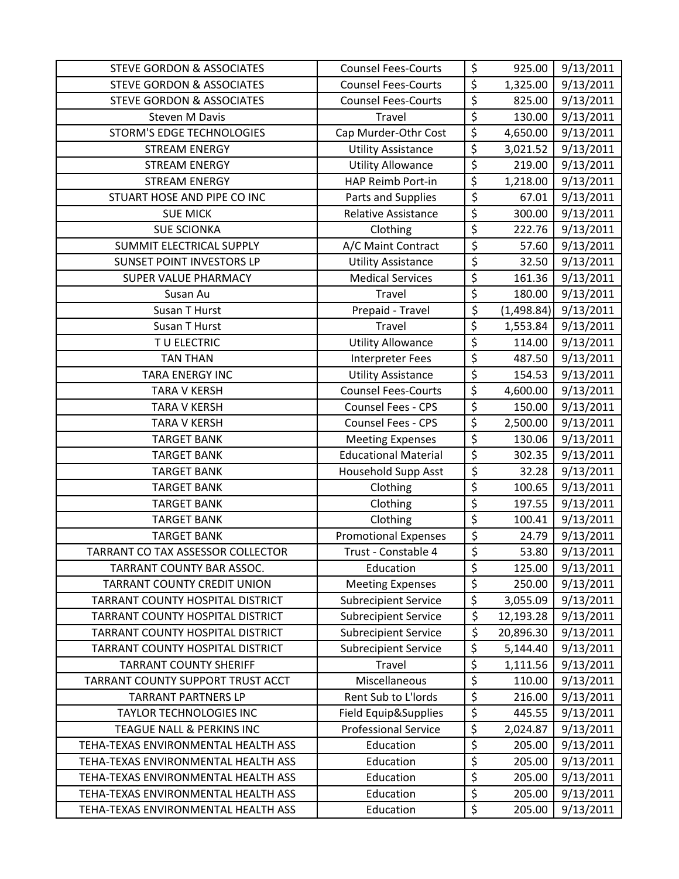| <b>STEVE GORDON &amp; ASSOCIATES</b> | <b>Counsel Fees-Courts</b>  | \$                     | 925.00     | 9/13/2011 |
|--------------------------------------|-----------------------------|------------------------|------------|-----------|
| <b>STEVE GORDON &amp; ASSOCIATES</b> | <b>Counsel Fees-Courts</b>  | $\overline{\xi}$       | 1,325.00   | 9/13/2011 |
| <b>STEVE GORDON &amp; ASSOCIATES</b> | <b>Counsel Fees-Courts</b>  | \$                     | 825.00     | 9/13/2011 |
| <b>Steven M Davis</b>                | Travel                      | \$                     | 130.00     | 9/13/2011 |
| STORM'S EDGE TECHNOLOGIES            | Cap Murder-Othr Cost        | $\overline{\xi}$       | 4,650.00   | 9/13/2011 |
| <b>STREAM ENERGY</b>                 | <b>Utility Assistance</b>   | \$                     | 3,021.52   | 9/13/2011 |
| <b>STREAM ENERGY</b>                 | <b>Utility Allowance</b>    | \$                     | 219.00     | 9/13/2011 |
| <b>STREAM ENERGY</b>                 | HAP Reimb Port-in           | $\overline{\xi}$       | 1,218.00   | 9/13/2011 |
| STUART HOSE AND PIPE CO INC          | Parts and Supplies          | \$                     | 67.01      | 9/13/2011 |
| <b>SUE MICK</b>                      | Relative Assistance         | \$                     | 300.00     | 9/13/2011 |
| <b>SUE SCIONKA</b>                   | Clothing                    | \$                     | 222.76     | 9/13/2011 |
| SUMMIT ELECTRICAL SUPPLY             | A/C Maint Contract          | \$                     | 57.60      | 9/13/2011 |
| SUNSET POINT INVESTORS LP            | <b>Utility Assistance</b>   | \$                     | 32.50      | 9/13/2011 |
| SUPER VALUE PHARMACY                 | <b>Medical Services</b>     | \$                     | 161.36     | 9/13/2011 |
| Susan Au                             | Travel                      | $\overline{\varsigma}$ | 180.00     | 9/13/2011 |
| <b>Susan T Hurst</b>                 | Prepaid - Travel            | \$                     | (1,498.84) | 9/13/2011 |
| Susan T Hurst                        | <b>Travel</b>               | \$                     | 1,553.84   | 9/13/2011 |
| TU ELECTRIC                          | <b>Utility Allowance</b>    | \$                     | 114.00     | 9/13/2011 |
| <b>TAN THAN</b>                      | <b>Interpreter Fees</b>     | \$                     | 487.50     | 9/13/2011 |
| <b>TARA ENERGY INC</b>               | <b>Utility Assistance</b>   | $\overline{\xi}$       | 154.53     | 9/13/2011 |
| <b>TARA V KERSH</b>                  | <b>Counsel Fees-Courts</b>  | $\overline{\xi}$       | 4,600.00   | 9/13/2011 |
| <b>TARA V KERSH</b>                  | Counsel Fees - CPS          | \$                     | 150.00     | 9/13/2011 |
| <b>TARA V KERSH</b>                  | Counsel Fees - CPS          | \$                     | 2,500.00   | 9/13/2011 |
| <b>TARGET BANK</b>                   | <b>Meeting Expenses</b>     | \$                     | 130.06     | 9/13/2011 |
| <b>TARGET BANK</b>                   | <b>Educational Material</b> | \$                     | 302.35     | 9/13/2011 |
| <b>TARGET BANK</b>                   | Household Supp Asst         | \$                     | 32.28      | 9/13/2011 |
| <b>TARGET BANK</b>                   | Clothing                    | \$                     | 100.65     | 9/13/2011 |
| <b>TARGET BANK</b>                   | Clothing                    | \$                     | 197.55     | 9/13/2011 |
| <b>TARGET BANK</b>                   | Clothing                    | $\overline{\xi}$       | 100.41     | 9/13/2011 |
| <b>TARGET BANK</b>                   | <b>Promotional Expenses</b> | $\overline{\varsigma}$ | 24.79      | 9/13/2011 |
| TARRANT CO TAX ASSESSOR COLLECTOR    | Trust - Constable 4         | \$                     | 53.80      | 9/13/2011 |
| TARRANT COUNTY BAR ASSOC.            | Education                   | \$                     | 125.00     | 9/13/2011 |
| TARRANT COUNTY CREDIT UNION          | <b>Meeting Expenses</b>     | $\overline{\varsigma}$ | 250.00     | 9/13/2011 |
| TARRANT COUNTY HOSPITAL DISTRICT     | <b>Subrecipient Service</b> | $\overline{\xi}$       | 3,055.09   | 9/13/2011 |
| TARRANT COUNTY HOSPITAL DISTRICT     | <b>Subrecipient Service</b> | \$                     | 12,193.28  | 9/13/2011 |
| TARRANT COUNTY HOSPITAL DISTRICT     | <b>Subrecipient Service</b> | \$                     | 20,896.30  | 9/13/2011 |
| TARRANT COUNTY HOSPITAL DISTRICT     | <b>Subrecipient Service</b> | \$                     | 5,144.40   | 9/13/2011 |
| <b>TARRANT COUNTY SHERIFF</b>        | Travel                      | \$                     | 1,111.56   | 9/13/2011 |
| TARRANT COUNTY SUPPORT TRUST ACCT    | Miscellaneous               | \$                     | 110.00     | 9/13/2011 |
| <b>TARRANT PARTNERS LP</b>           | Rent Sub to L'Iords         | \$                     | 216.00     | 9/13/2011 |
| TAYLOR TECHNOLOGIES INC              | Field Equip&Supplies        | $\overline{\xi}$       | 445.55     | 9/13/2011 |
| TEAGUE NALL & PERKINS INC            | <b>Professional Service</b> | \$                     | 2,024.87   | 9/13/2011 |
| TEHA-TEXAS ENVIRONMENTAL HEALTH ASS  | Education                   | \$                     | 205.00     | 9/13/2011 |
| TEHA-TEXAS ENVIRONMENTAL HEALTH ASS  | Education                   | $\overline{\varsigma}$ | 205.00     | 9/13/2011 |
| TEHA-TEXAS ENVIRONMENTAL HEALTH ASS  | Education                   | \$                     | 205.00     | 9/13/2011 |
| TEHA-TEXAS ENVIRONMENTAL HEALTH ASS  | Education                   | \$                     | 205.00     | 9/13/2011 |
| TEHA-TEXAS ENVIRONMENTAL HEALTH ASS  | Education                   | \$                     | 205.00     | 9/13/2011 |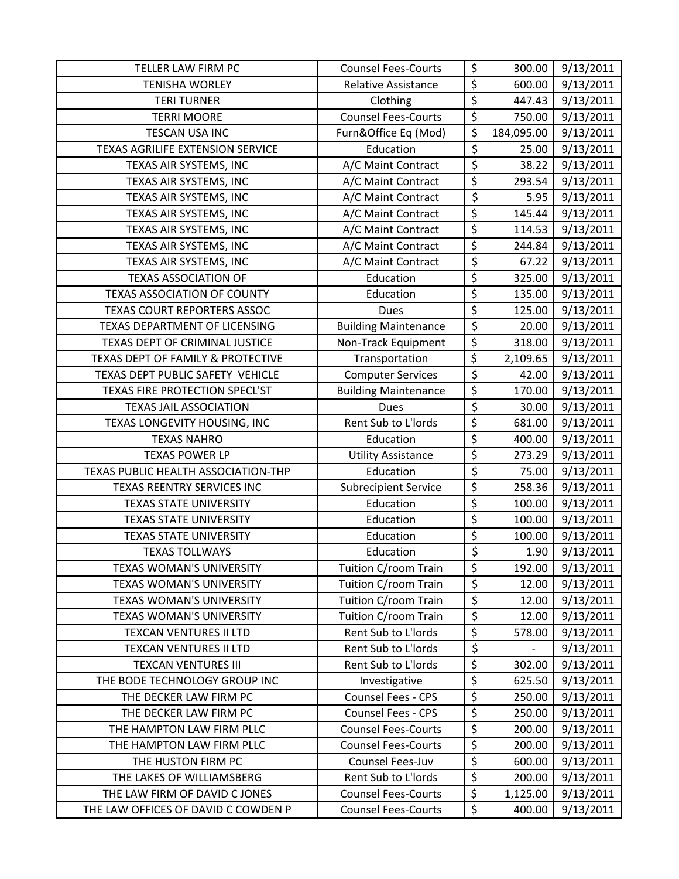| TELLER LAW FIRM PC                      | <b>Counsel Fees-Courts</b>  | \$                              | 300.00     | 9/13/2011 |
|-----------------------------------------|-----------------------------|---------------------------------|------------|-----------|
| <b>TENISHA WORLEY</b>                   | <b>Relative Assistance</b>  | \$                              | 600.00     | 9/13/2011 |
| <b>TERI TURNER</b>                      | Clothing                    | \$                              | 447.43     | 9/13/2011 |
| <b>TERRI MOORE</b>                      | <b>Counsel Fees-Courts</b>  | \$                              | 750.00     | 9/13/2011 |
| <b>TESCAN USA INC</b>                   | Furn&Office Eq (Mod)        | \$                              | 184,095.00 | 9/13/2011 |
| <b>TEXAS AGRILIFE EXTENSION SERVICE</b> | Education                   | \$                              | 25.00      | 9/13/2011 |
| TEXAS AIR SYSTEMS, INC                  | A/C Maint Contract          | \$                              | 38.22      | 9/13/2011 |
| TEXAS AIR SYSTEMS, INC                  | A/C Maint Contract          | \$                              | 293.54     | 9/13/2011 |
| TEXAS AIR SYSTEMS, INC                  | A/C Maint Contract          | \$                              | 5.95       | 9/13/2011 |
| TEXAS AIR SYSTEMS, INC                  | A/C Maint Contract          | \$                              | 145.44     | 9/13/2011 |
| TEXAS AIR SYSTEMS, INC                  | A/C Maint Contract          | \$                              | 114.53     | 9/13/2011 |
| TEXAS AIR SYSTEMS, INC                  | A/C Maint Contract          | \$                              | 244.84     | 9/13/2011 |
| TEXAS AIR SYSTEMS, INC                  | A/C Maint Contract          | \$                              | 67.22      | 9/13/2011 |
| <b>TEXAS ASSOCIATION OF</b>             | Education                   | \$                              | 325.00     | 9/13/2011 |
| <b>TEXAS ASSOCIATION OF COUNTY</b>      | Education                   | \$                              | 135.00     | 9/13/2011 |
| TEXAS COURT REPORTERS ASSOC             | <b>Dues</b>                 | \$                              | 125.00     | 9/13/2011 |
| TEXAS DEPARTMENT OF LICENSING           | <b>Building Maintenance</b> | \$                              | 20.00      | 9/13/2011 |
| TEXAS DEPT OF CRIMINAL JUSTICE          | Non-Track Equipment         | $\overline{\xi}$                | 318.00     | 9/13/2011 |
| TEXAS DEPT OF FAMILY & PROTECTIVE       | Transportation              | $\overline{\boldsymbol{\zeta}}$ | 2,109.65   | 9/13/2011 |
| TEXAS DEPT PUBLIC SAFETY VEHICLE        | <b>Computer Services</b>    | \$                              | 42.00      | 9/13/2011 |
| TEXAS FIRE PROTECTION SPECL'ST          | <b>Building Maintenance</b> | \$                              | 170.00     | 9/13/2011 |
| <b>TEXAS JAIL ASSOCIATION</b>           | Dues                        | \$                              | 30.00      | 9/13/2011 |
| TEXAS LONGEVITY HOUSING, INC            | Rent Sub to L'Iords         | \$                              | 681.00     | 9/13/2011 |
| <b>TEXAS NAHRO</b>                      | Education                   | $\overline{\xi}$                | 400.00     | 9/13/2011 |
| <b>TEXAS POWER LP</b>                   | <b>Utility Assistance</b>   | \$                              | 273.29     | 9/13/2011 |
| TEXAS PUBLIC HEALTH ASSOCIATION-THP     | Education                   | \$                              | 75.00      | 9/13/2011 |
| TEXAS REENTRY SERVICES INC              | <b>Subrecipient Service</b> | $\overline{\xi}$                | 258.36     | 9/13/2011 |
| <b>TEXAS STATE UNIVERSITY</b>           | Education                   | \$                              | 100.00     | 9/13/2011 |
| <b>TEXAS STATE UNIVERSITY</b>           | Education                   | \$                              | 100.00     | 9/13/2011 |
| <b>TEXAS STATE UNIVERSITY</b>           | Education                   | \$                              | 100.00     | 9/13/2011 |
| <b>TEXAS TOLLWAYS</b>                   | Education                   | \$                              | 1.90       | 9/13/2011 |
| <b>TEXAS WOMAN'S UNIVERSITY</b>         | Tuition C/room Train        | \$                              | 192.00     | 9/13/2011 |
| <b>TEXAS WOMAN'S UNIVERSITY</b>         | Tuition C/room Train        | \$                              | 12.00      | 9/13/2011 |
| TEXAS WOMAN'S UNIVERSITY                | Tuition C/room Train        | \$                              | 12.00      | 9/13/2011 |
| <b>TEXAS WOMAN'S UNIVERSITY</b>         | Tuition C/room Train        | \$                              | 12.00      | 9/13/2011 |
| <b>TEXCAN VENTURES II LTD</b>           | Rent Sub to L'Iords         | \$                              | 578.00     | 9/13/2011 |
| <b>TEXCAN VENTURES II LTD</b>           | Rent Sub to L'Iords         | $\overline{\varsigma}$          |            | 9/13/2011 |
| <b>TEXCAN VENTURES III</b>              | Rent Sub to L'Iords         | \$                              | 302.00     | 9/13/2011 |
| THE BODE TECHNOLOGY GROUP INC           | Investigative               | \$                              | 625.50     | 9/13/2011 |
| THE DECKER LAW FIRM PC                  | Counsel Fees - CPS          | \$                              | 250.00     | 9/13/2011 |
| THE DECKER LAW FIRM PC                  | <b>Counsel Fees - CPS</b>   | \$                              | 250.00     | 9/13/2011 |
| THE HAMPTON LAW FIRM PLLC               | <b>Counsel Fees-Courts</b>  | \$                              | 200.00     | 9/13/2011 |
| THE HAMPTON LAW FIRM PLLC               | <b>Counsel Fees-Courts</b>  | \$                              | 200.00     | 9/13/2011 |
| THE HUSTON FIRM PC                      | Counsel Fees-Juv            | $\overline{\varsigma}$          | 600.00     | 9/13/2011 |
| THE LAKES OF WILLIAMSBERG               | Rent Sub to L'Iords         | \$                              | 200.00     | 9/13/2011 |
| THE LAW FIRM OF DAVID C JONES           | <b>Counsel Fees-Courts</b>  | $\overline{\xi}$                | 1,125.00   | 9/13/2011 |
| THE LAW OFFICES OF DAVID C COWDEN P     | <b>Counsel Fees-Courts</b>  | \$                              | 400.00     | 9/13/2011 |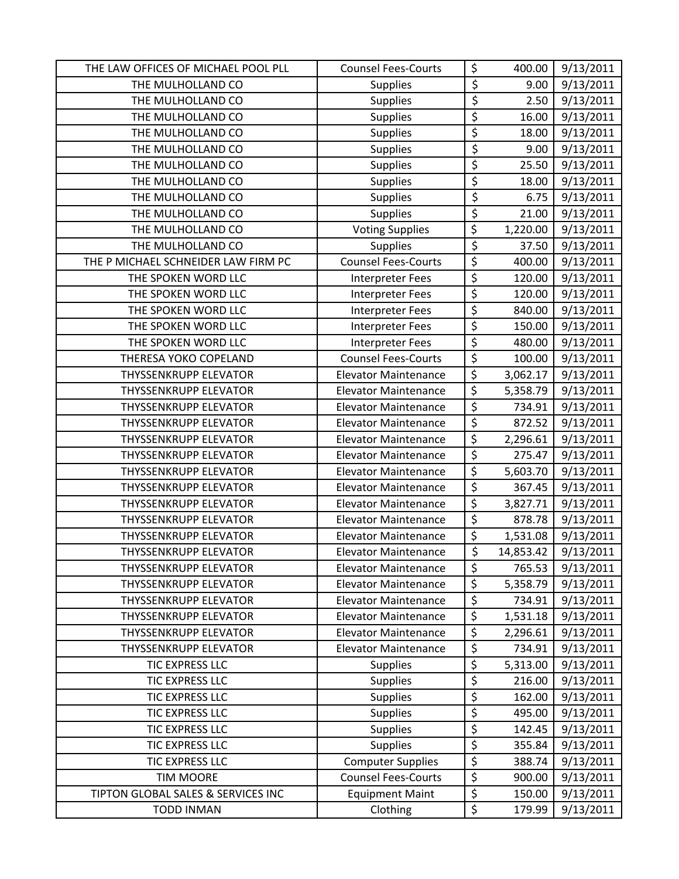| THE LAW OFFICES OF MICHAEL POOL PLL | <b>Counsel Fees-Courts</b>  | \$                              | 400.00    | 9/13/2011 |
|-------------------------------------|-----------------------------|---------------------------------|-----------|-----------|
| THE MULHOLLAND CO                   | <b>Supplies</b>             | \$                              | 9.00      | 9/13/2011 |
| THE MULHOLLAND CO                   | <b>Supplies</b>             | \$                              | 2.50      | 9/13/2011 |
| THE MULHOLLAND CO                   | Supplies                    | \$                              | 16.00     | 9/13/2011 |
| THE MULHOLLAND CO                   | <b>Supplies</b>             | $\overline{\boldsymbol{\zeta}}$ | 18.00     | 9/13/2011 |
| THE MULHOLLAND CO                   | <b>Supplies</b>             | \$                              | 9.00      | 9/13/2011 |
| THE MULHOLLAND CO                   | Supplies                    | \$                              | 25.50     | 9/13/2011 |
| THE MULHOLLAND CO                   | Supplies                    | \$                              | 18.00     | 9/13/2011 |
| THE MULHOLLAND CO                   | Supplies                    | \$                              | 6.75      | 9/13/2011 |
| THE MULHOLLAND CO                   | Supplies                    | \$                              | 21.00     | 9/13/2011 |
| THE MULHOLLAND CO                   | <b>Voting Supplies</b>      | \$                              | 1,220.00  | 9/13/2011 |
| THE MULHOLLAND CO                   | Supplies                    | \$                              | 37.50     | 9/13/2011 |
| THE P MICHAEL SCHNEIDER LAW FIRM PC | <b>Counsel Fees-Courts</b>  | \$                              | 400.00    | 9/13/2011 |
| THE SPOKEN WORD LLC                 | <b>Interpreter Fees</b>     | \$                              | 120.00    | 9/13/2011 |
| THE SPOKEN WORD LLC                 | Interpreter Fees            | \$                              | 120.00    | 9/13/2011 |
| THE SPOKEN WORD LLC                 | <b>Interpreter Fees</b>     | \$                              | 840.00    | 9/13/2011 |
| THE SPOKEN WORD LLC                 | <b>Interpreter Fees</b>     | \$                              | 150.00    | 9/13/2011 |
| THE SPOKEN WORD LLC                 | <b>Interpreter Fees</b>     | \$                              | 480.00    | 9/13/2011 |
| THERESA YOKO COPELAND               | <b>Counsel Fees-Courts</b>  | \$                              | 100.00    | 9/13/2011 |
| <b>THYSSENKRUPP ELEVATOR</b>        | <b>Elevator Maintenance</b> | \$                              | 3,062.17  | 9/13/2011 |
| <b>THYSSENKRUPP ELEVATOR</b>        | <b>Elevator Maintenance</b> | \$                              | 5,358.79  | 9/13/2011 |
| <b>THYSSENKRUPP ELEVATOR</b>        | <b>Elevator Maintenance</b> | \$                              | 734.91    | 9/13/2011 |
| <b>THYSSENKRUPP ELEVATOR</b>        | <b>Elevator Maintenance</b> | \$                              | 872.52    | 9/13/2011 |
| <b>THYSSENKRUPP ELEVATOR</b>        | <b>Elevator Maintenance</b> | $\overline{\boldsymbol{\zeta}}$ | 2,296.61  | 9/13/2011 |
| <b>THYSSENKRUPP ELEVATOR</b>        | <b>Elevator Maintenance</b> | \$                              | 275.47    | 9/13/2011 |
| <b>THYSSENKRUPP ELEVATOR</b>        | <b>Elevator Maintenance</b> | \$                              | 5,603.70  | 9/13/2011 |
| <b>THYSSENKRUPP ELEVATOR</b>        | <b>Elevator Maintenance</b> | \$                              | 367.45    | 9/13/2011 |
| <b>THYSSENKRUPP ELEVATOR</b>        | <b>Elevator Maintenance</b> | \$                              | 3,827.71  | 9/13/2011 |
| <b>THYSSENKRUPP ELEVATOR</b>        | <b>Elevator Maintenance</b> | $\overline{\boldsymbol{\zeta}}$ | 878.78    | 9/13/2011 |
| <b>THYSSENKRUPP ELEVATOR</b>        | <b>Elevator Maintenance</b> | \$                              | 1,531.08  | 9/13/2011 |
| <b>THYSSENKRUPP ELEVATOR</b>        | <b>Elevator Maintenance</b> | \$                              | 14,853.42 | 9/13/2011 |
| <b>THYSSENKRUPP ELEVATOR</b>        | <b>Elevator Maintenance</b> | \$                              | 765.53    | 9/13/2011 |
| <b>THYSSENKRUPP ELEVATOR</b>        | <b>Elevator Maintenance</b> | \$                              | 5,358.79  | 9/13/2011 |
| <b>THYSSENKRUPP ELEVATOR</b>        | <b>Elevator Maintenance</b> | \$                              | 734.91    | 9/13/2011 |
| <b>THYSSENKRUPP ELEVATOR</b>        | <b>Elevator Maintenance</b> | \$                              | 1,531.18  | 9/13/2011 |
| <b>THYSSENKRUPP ELEVATOR</b>        | <b>Elevator Maintenance</b> | \$                              | 2,296.61  | 9/13/2011 |
| <b>THYSSENKRUPP ELEVATOR</b>        | <b>Elevator Maintenance</b> | \$                              | 734.91    | 9/13/2011 |
| TIC EXPRESS LLC                     | <b>Supplies</b>             | \$                              | 5,313.00  | 9/13/2011 |
| TIC EXPRESS LLC                     | <b>Supplies</b>             | \$                              | 216.00    | 9/13/2011 |
| <b>TIC EXPRESS LLC</b>              | <b>Supplies</b>             | \$                              | 162.00    | 9/13/2011 |
| <b>TIC EXPRESS LLC</b>              | <b>Supplies</b>             | \$                              | 495.00    | 9/13/2011 |
| TIC EXPRESS LLC                     | Supplies                    | \$                              | 142.45    | 9/13/2011 |
| TIC EXPRESS LLC                     | Supplies                    | \$                              | 355.84    | 9/13/2011 |
| TIC EXPRESS LLC                     | <b>Computer Supplies</b>    | \$                              | 388.74    | 9/13/2011 |
| <b>TIM MOORE</b>                    | <b>Counsel Fees-Courts</b>  | \$                              | 900.00    | 9/13/2011 |
| TIPTON GLOBAL SALES & SERVICES INC  | <b>Equipment Maint</b>      | \$                              | 150.00    | 9/13/2011 |
| <b>TODD INMAN</b>                   | Clothing                    | \$                              | 179.99    | 9/13/2011 |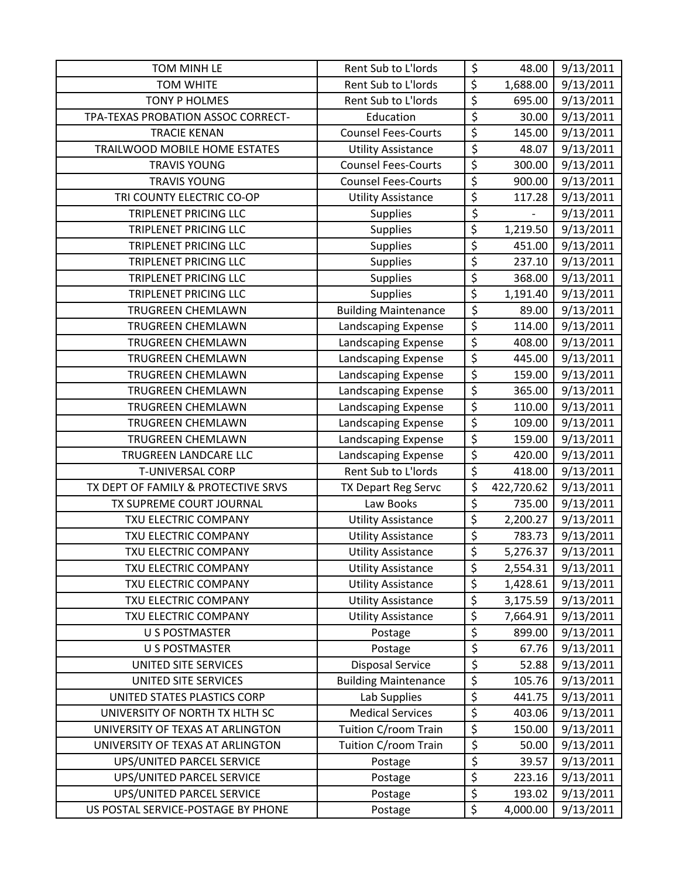| TOM MINH LE                                                     | Rent Sub to L'Iords         | \$                     | 48.00              | 9/13/2011              |
|-----------------------------------------------------------------|-----------------------------|------------------------|--------------------|------------------------|
| <b>TOM WHITE</b>                                                | Rent Sub to L'Iords         | $\overline{\xi}$       | 1,688.00           | 9/13/2011              |
| <b>TONY P HOLMES</b>                                            | Rent Sub to L'Iords         | \$                     | 695.00             | 9/13/2011              |
| TPA-TEXAS PROBATION ASSOC CORRECT-                              | Education                   | \$                     | 30.00              | 9/13/2011              |
| <b>TRACIE KENAN</b>                                             | <b>Counsel Fees-Courts</b>  | $\overline{\varsigma}$ | 145.00             | 9/13/2011              |
| TRAILWOOD MOBILE HOME ESTATES                                   | <b>Utility Assistance</b>   | $\overline{\xi}$       | 48.07              | 9/13/2011              |
| <b>TRAVIS YOUNG</b>                                             | <b>Counsel Fees-Courts</b>  | \$                     | 300.00             | 9/13/2011              |
| <b>TRAVIS YOUNG</b>                                             | <b>Counsel Fees-Courts</b>  | $\overline{\xi}$       | 900.00             | 9/13/2011              |
| TRI COUNTY ELECTRIC CO-OP                                       | <b>Utility Assistance</b>   | \$                     | 117.28             | 9/13/2011              |
| <b>TRIPLENET PRICING LLC</b>                                    | <b>Supplies</b>             | \$                     |                    | 9/13/2011              |
| <b>TRIPLENET PRICING LLC</b>                                    | Supplies                    | \$                     | 1,219.50           | 9/13/2011              |
| TRIPLENET PRICING LLC                                           | <b>Supplies</b>             | \$                     | 451.00             | 9/13/2011              |
| TRIPLENET PRICING LLC                                           | <b>Supplies</b>             | \$                     | 237.10             | 9/13/2011              |
| <b>TRIPLENET PRICING LLC</b>                                    | Supplies                    | \$                     | 368.00             | 9/13/2011              |
| TRIPLENET PRICING LLC                                           | <b>Supplies</b>             | $\overline{\varsigma}$ | 1,191.40           | 9/13/2011              |
| TRUGREEN CHEMLAWN                                               | <b>Building Maintenance</b> | \$                     | 89.00              | 9/13/2011              |
| <b>TRUGREEN CHEMLAWN</b>                                        | Landscaping Expense         | $\overline{\xi}$       | 114.00             | 9/13/2011              |
| TRUGREEN CHEMLAWN                                               | Landscaping Expense         | $\overline{\xi}$       | 408.00             | 9/13/2011              |
| <b>TRUGREEN CHEMLAWN</b>                                        | Landscaping Expense         | $\overline{\varsigma}$ | 445.00             | 9/13/2011              |
| <b>TRUGREEN CHEMLAWN</b>                                        | Landscaping Expense         | $\overline{\xi}$       | 159.00             | 9/13/2011              |
| TRUGREEN CHEMLAWN                                               | Landscaping Expense         | \$                     | 365.00             | 9/13/2011              |
| TRUGREEN CHEMLAWN                                               | Landscaping Expense         | $\overline{\xi}$       | 110.00             | 9/13/2011              |
| TRUGREEN CHEMLAWN                                               | Landscaping Expense         | $\overline{\varsigma}$ | 109.00             | 9/13/2011              |
| <b>TRUGREEN CHEMLAWN</b>                                        | Landscaping Expense         | $\overline{\xi}$       | 159.00             | 9/13/2011              |
| TRUGREEN LANDCARE LLC                                           | Landscaping Expense         | $\overline{\xi}$       | 420.00             | 9/13/2011              |
| <b>T-UNIVERSAL CORP</b>                                         | Rent Sub to L'Iords         | \$                     | 418.00             | 9/13/2011              |
| TX DEPT OF FAMILY & PROTECTIVE SRVS                             | TX Depart Reg Servc         | \$                     | 422,720.62         | 9/13/2011              |
| TX SUPREME COURT JOURNAL                                        | Law Books                   | \$                     | 735.00             | 9/13/2011              |
| TXU ELECTRIC COMPANY                                            | <b>Utility Assistance</b>   | $\overline{\xi}$       | 2,200.27           | 9/13/2011              |
| TXU ELECTRIC COMPANY                                            | <b>Utility Assistance</b>   | $\overline{\varsigma}$ | 783.73             | 9/13/2011              |
| TXU ELECTRIC COMPANY                                            | <b>Utility Assistance</b>   | \$                     | 5,276.37           | 9/13/2011              |
| TXU ELECTRIC COMPANY                                            | <b>Utility Assistance</b>   | \$                     | 2,554.31           | 9/13/2011              |
| TXU ELECTRIC COMPANY                                            | <b>Utility Assistance</b>   | $\overline{\xi}$       | 1,428.61           | 9/13/2011              |
| TXU ELECTRIC COMPANY                                            | <b>Utility Assistance</b>   | \$                     | 3,175.59           | 9/13/2011              |
| TXU ELECTRIC COMPANY                                            | <b>Utility Assistance</b>   | \$                     | 7,664.91           | 9/13/2011              |
| <b>U S POSTMASTER</b>                                           | Postage                     | \$                     | 899.00             | 9/13/2011              |
| <b>U S POSTMASTER</b>                                           | Postage                     | $\overline{\varsigma}$ | 67.76              | 9/13/2011              |
| UNITED SITE SERVICES                                            | <b>Disposal Service</b>     | \$                     | 52.88              | 9/13/2011              |
| UNITED SITE SERVICES                                            | <b>Building Maintenance</b> | $\overline{\xi}$       | 105.76             | 9/13/2011              |
| UNITED STATES PLASTICS CORP                                     | Lab Supplies                | \$                     | 441.75             | 9/13/2011              |
| UNIVERSITY OF NORTH TX HLTH SC                                  | <b>Medical Services</b>     | $\overline{\varsigma}$ | 403.06             | 9/13/2011              |
| UNIVERSITY OF TEXAS AT ARLINGTON                                | Tuition C/room Train        | \$                     | 150.00             | 9/13/2011              |
| UNIVERSITY OF TEXAS AT ARLINGTON                                | Tuition C/room Train        | \$                     | 50.00              | 9/13/2011              |
| UPS/UNITED PARCEL SERVICE                                       | Postage                     | \$                     | 39.57              | 9/13/2011              |
| UPS/UNITED PARCEL SERVICE                                       | Postage                     | \$                     | 223.16             | 9/13/2011              |
|                                                                 |                             |                        |                    |                        |
| UPS/UNITED PARCEL SERVICE<br>US POSTAL SERVICE-POSTAGE BY PHONE | Postage<br>Postage          | \$<br>\$               | 193.02<br>4,000.00 | 9/13/2011<br>9/13/2011 |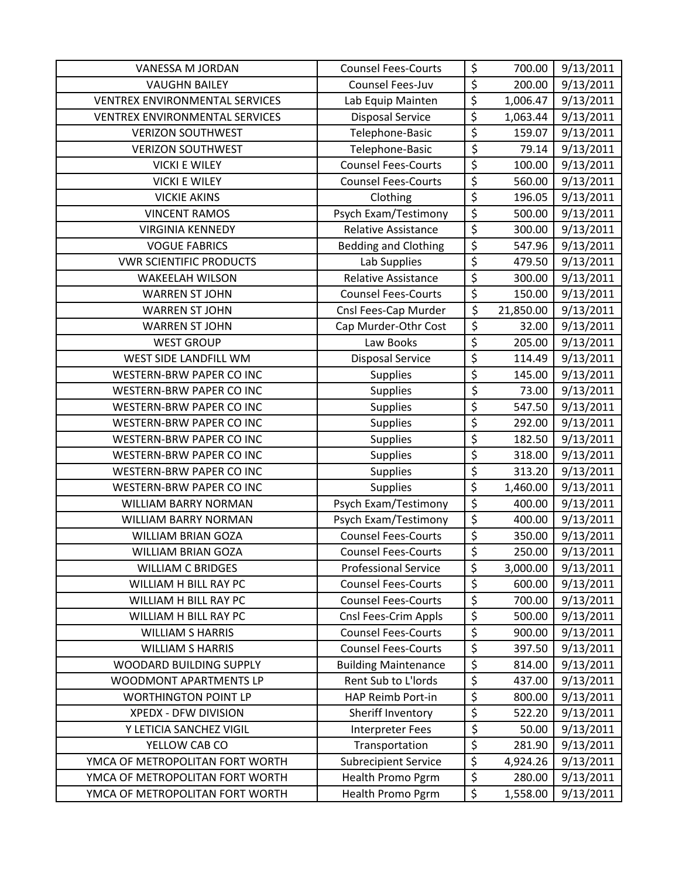| VANESSA M JORDAN                | <b>Counsel Fees-Courts</b>  | \$                              | 700.00    | 9/13/2011 |
|---------------------------------|-----------------------------|---------------------------------|-----------|-----------|
| <b>VAUGHN BAILEY</b>            | Counsel Fees-Juv            | \$                              | 200.00    | 9/13/2011 |
| VENTREX ENVIRONMENTAL SERVICES  | Lab Equip Mainten           | \$                              | 1,006.47  | 9/13/2011 |
| VENTREX ENVIRONMENTAL SERVICES  | <b>Disposal Service</b>     | \$                              | 1,063.44  | 9/13/2011 |
| <b>VERIZON SOUTHWEST</b>        | Telephone-Basic             | \$                              | 159.07    | 9/13/2011 |
| <b>VERIZON SOUTHWEST</b>        | Telephone-Basic             | \$                              | 79.14     | 9/13/2011 |
| <b>VICKI E WILEY</b>            | <b>Counsel Fees-Courts</b>  | \$                              | 100.00    | 9/13/2011 |
| <b>VICKI E WILEY</b>            | <b>Counsel Fees-Courts</b>  | \$                              | 560.00    | 9/13/2011 |
| <b>VICKIE AKINS</b>             | Clothing                    | \$                              | 196.05    | 9/13/2011 |
| <b>VINCENT RAMOS</b>            | Psych Exam/Testimony        | \$                              | 500.00    | 9/13/2011 |
| <b>VIRGINIA KENNEDY</b>         | <b>Relative Assistance</b>  | \$                              | 300.00    | 9/13/2011 |
| <b>VOGUE FABRICS</b>            | <b>Bedding and Clothing</b> | \$                              | 547.96    | 9/13/2011 |
| <b>VWR SCIENTIFIC PRODUCTS</b>  | Lab Supplies                | \$                              | 479.50    | 9/13/2011 |
| <b>WAKEELAH WILSON</b>          | <b>Relative Assistance</b>  | \$                              | 300.00    | 9/13/2011 |
| <b>WARREN ST JOHN</b>           | <b>Counsel Fees-Courts</b>  | $\overline{\xi}$                | 150.00    | 9/13/2011 |
| <b>WARREN ST JOHN</b>           | Cnsl Fees-Cap Murder        | \$                              | 21,850.00 | 9/13/2011 |
| <b>WARREN ST JOHN</b>           | Cap Murder-Othr Cost        | \$                              | 32.00     | 9/13/2011 |
| <b>WEST GROUP</b>               | Law Books                   | \$                              | 205.00    | 9/13/2011 |
| WEST SIDE LANDFILL WM           | <b>Disposal Service</b>     | \$                              | 114.49    | 9/13/2011 |
| WESTERN-BRW PAPER CO INC        | <b>Supplies</b>             | \$                              | 145.00    | 9/13/2011 |
| WESTERN-BRW PAPER CO INC        | <b>Supplies</b>             | \$                              | 73.00     | 9/13/2011 |
| WESTERN-BRW PAPER CO INC        | <b>Supplies</b>             | \$                              | 547.50    | 9/13/2011 |
| WESTERN-BRW PAPER CO INC        | <b>Supplies</b>             | \$                              | 292.00    | 9/13/2011 |
| WESTERN-BRW PAPER CO INC        | <b>Supplies</b>             | \$                              | 182.50    | 9/13/2011 |
| <b>WESTERN-BRW PAPER CO INC</b> | <b>Supplies</b>             | \$                              | 318.00    | 9/13/2011 |
| WESTERN-BRW PAPER CO INC        | <b>Supplies</b>             | $\overline{\boldsymbol{\zeta}}$ | 313.20    | 9/13/2011 |
| WESTERN-BRW PAPER CO INC        | <b>Supplies</b>             | $\overline{\xi}$                | 1,460.00  | 9/13/2011 |
| <b>WILLIAM BARRY NORMAN</b>     | Psych Exam/Testimony        | \$                              | 400.00    | 9/13/2011 |
| <b>WILLIAM BARRY NORMAN</b>     | Psych Exam/Testimony        | $\overline{\xi}$                | 400.00    | 9/13/2011 |
| <b>WILLIAM BRIAN GOZA</b>       | <b>Counsel Fees-Courts</b>  | \$                              | 350.00    | 9/13/2011 |
| <b>WILLIAM BRIAN GOZA</b>       | <b>Counsel Fees-Courts</b>  | \$                              | 250.00    | 9/13/2011 |
| <b>WILLIAM C BRIDGES</b>        | <b>Professional Service</b> | \$                              | 3,000.00  | 9/13/2011 |
| WILLIAM H BILL RAY PC           | <b>Counsel Fees-Courts</b>  | \$                              | 600.00    | 9/13/2011 |
| WILLIAM H BILL RAY PC           | <b>Counsel Fees-Courts</b>  | \$                              | 700.00    | 9/13/2011 |
| WILLIAM H BILL RAY PC           | Cnsl Fees-Crim Appls        | \$                              | 500.00    | 9/13/2011 |
| <b>WILLIAM S HARRIS</b>         | <b>Counsel Fees-Courts</b>  | \$                              | 900.00    | 9/13/2011 |
| <b>WILLIAM S HARRIS</b>         | <b>Counsel Fees-Courts</b>  | \$                              | 397.50    | 9/13/2011 |
| WOODARD BUILDING SUPPLY         | <b>Building Maintenance</b> | \$                              | 814.00    | 9/13/2011 |
| WOODMONT APARTMENTS LP          | Rent Sub to L'Iords         | \$                              | 437.00    | 9/13/2011 |
| <b>WORTHINGTON POINT LP</b>     | HAP Reimb Port-in           | \$                              | 800.00    | 9/13/2011 |
| XPEDX - DFW DIVISION            | Sheriff Inventory           | \$                              | 522.20    | 9/13/2011 |
| Y LETICIA SANCHEZ VIGIL         | <b>Interpreter Fees</b>     | \$                              | 50.00     | 9/13/2011 |
| YELLOW CAB CO                   | Transportation              | \$                              | 281.90    | 9/13/2011 |
| YMCA OF METROPOLITAN FORT WORTH | <b>Subrecipient Service</b> | \$                              | 4,924.26  | 9/13/2011 |
| YMCA OF METROPOLITAN FORT WORTH | Health Promo Pgrm           | \$                              | 280.00    | 9/13/2011 |
| YMCA OF METROPOLITAN FORT WORTH | Health Promo Pgrm           | $\overline{\xi}$                | 1,558.00  | 9/13/2011 |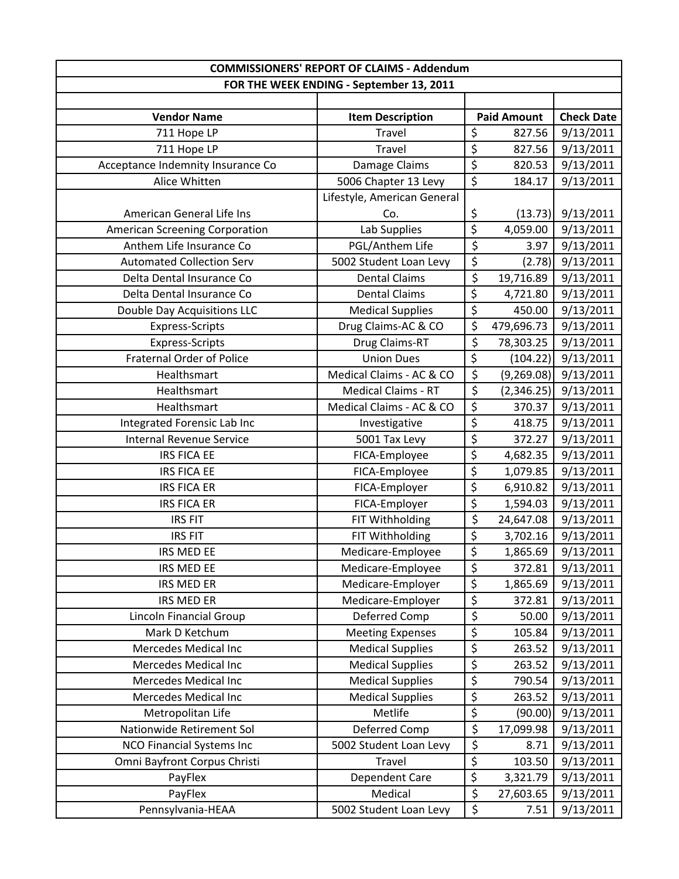| <b>COMMISSIONERS' REPORT OF CLAIMS - Addendum</b> |                                          |                          |                    |                   |
|---------------------------------------------------|------------------------------------------|--------------------------|--------------------|-------------------|
|                                                   | FOR THE WEEK ENDING - September 13, 2011 |                          |                    |                   |
|                                                   |                                          |                          |                    |                   |
| <b>Vendor Name</b>                                | <b>Item Description</b>                  |                          | <b>Paid Amount</b> | <b>Check Date</b> |
| 711 Hope LP                                       | Travel                                   | \$                       | 827.56             | 9/13/2011         |
| 711 Hope LP                                       | Travel                                   | \$                       | 827.56             | 9/13/2011         |
| Acceptance Indemnity Insurance Co                 | Damage Claims                            | \$                       | 820.53             | 9/13/2011         |
| Alice Whitten                                     | 5006 Chapter 13 Levy                     | $\overline{\xi}$         | 184.17             | 9/13/2011         |
|                                                   | Lifestyle, American General              |                          |                    |                   |
| American General Life Ins                         | Co.                                      | \$                       | (13.73)            | 9/13/2011         |
| <b>American Screening Corporation</b>             | Lab Supplies                             | $\overline{\xi}$         | 4,059.00           | 9/13/2011         |
| Anthem Life Insurance Co                          | PGL/Anthem Life                          | $\overline{\varsigma}$   | 3.97               | 9/13/2011         |
| <b>Automated Collection Serv</b>                  | 5002 Student Loan Levy                   | \$                       | (2.78)             | 9/13/2011         |
| Delta Dental Insurance Co                         | <b>Dental Claims</b>                     | \$                       | 19,716.89          | 9/13/2011         |
| Delta Dental Insurance Co                         | <b>Dental Claims</b>                     | \$                       | 4,721.80           | 9/13/2011         |
| <b>Double Day Acquisitions LLC</b>                | <b>Medical Supplies</b>                  | \$                       | 450.00             | 9/13/2011         |
| <b>Express-Scripts</b>                            | Drug Claims-AC & CO                      | \$                       | 479,696.73         | 9/13/2011         |
| Express-Scripts                                   | Drug Claims-RT                           | \$                       | 78,303.25          | 9/13/2011         |
| <b>Fraternal Order of Police</b>                  | <b>Union Dues</b>                        | $\overline{\xi}$         | (104.22)           | 9/13/2011         |
| Healthsmart                                       | Medical Claims - AC & CO                 | \$                       | (9,269.08)         | 9/13/2011         |
| Healthsmart                                       | <b>Medical Claims - RT</b>               | \$                       | (2,346.25)         | 9/13/2011         |
| Healthsmart                                       | Medical Claims - AC & CO                 | \$                       | 370.37             | 9/13/2011         |
| Integrated Forensic Lab Inc                       | Investigative                            | \$                       | 418.75             | 9/13/2011         |
| <b>Internal Revenue Service</b>                   | 5001 Tax Levy                            | \$                       | 372.27             | 9/13/2011         |
| <b>IRS FICA EE</b>                                | FICA-Employee                            | \$                       | 4,682.35           | 9/13/2011         |
| <b>IRS FICA EE</b>                                | FICA-Employee                            | $\overline{\varsigma}$   | 1,079.85           | 9/13/2011         |
| <b>IRS FICA ER</b>                                | FICA-Employer                            | \$                       | 6,910.82           | 9/13/2011         |
| <b>IRS FICA ER</b>                                | FICA-Employer                            | \$                       | 1,594.03           | 9/13/2011         |
| <b>IRS FIT</b>                                    | FIT Withholding                          | \$                       | 24,647.08          | 9/13/2011         |
| <b>IRS FIT</b>                                    | FIT Withholding                          | $\overline{\xi}$         | 3,702.16           | 9/13/2011         |
| IRS MED EE                                        | Medicare-Employee                        | \$                       | 1,865.69           | 9/13/2011         |
| IRS MED EE                                        | Medicare-Employee                        | \$                       | 372.81             | 9/13/2011         |
| IRS MED ER                                        | Medicare-Employer                        | $\overline{\xi}$         | 1,865.69           | 9/13/2011         |
| <b>IRS MED ER</b>                                 | Medicare-Employer                        | $\overline{\varsigma}$   | 372.81             | 9/13/2011         |
| Lincoln Financial Group                           | Deferred Comp                            | \$                       | 50.00              | 9/13/2011         |
| Mark D Ketchum                                    | <b>Meeting Expenses</b>                  | $\overline{\xi}$         | 105.84             | 9/13/2011         |
| Mercedes Medical Inc                              | <b>Medical Supplies</b>                  | \$                       | 263.52             | 9/13/2011         |
| Mercedes Medical Inc                              | <b>Medical Supplies</b>                  | \$                       | 263.52             | 9/13/2011         |
| Mercedes Medical Inc                              | <b>Medical Supplies</b>                  | \$                       | 790.54             | 9/13/2011         |
| Mercedes Medical Inc                              | <b>Medical Supplies</b>                  | $\overline{\varsigma}$   | 263.52             | 9/13/2011         |
| Metropolitan Life                                 | Metlife                                  | $\overline{\mathcal{S}}$ | (90.00)            | 9/13/2011         |
| Nationwide Retirement Sol                         | Deferred Comp                            | \$                       | 17,099.98          | 9/13/2011         |
| <b>NCO Financial Systems Inc</b>                  | 5002 Student Loan Levy                   | \$                       | 8.71               | 9/13/2011         |
| Omni Bayfront Corpus Christi                      | Travel                                   | $\overline{\varsigma}$   | 103.50             | 9/13/2011         |
| PayFlex                                           | Dependent Care                           | $\overline{\xi}$         | 3,321.79           | 9/13/2011         |
| PayFlex                                           | Medical                                  | \$                       | 27,603.65          | 9/13/2011         |
| Pennsylvania-HEAA                                 | 5002 Student Loan Levy                   | \$                       | 7.51               | 9/13/2011         |